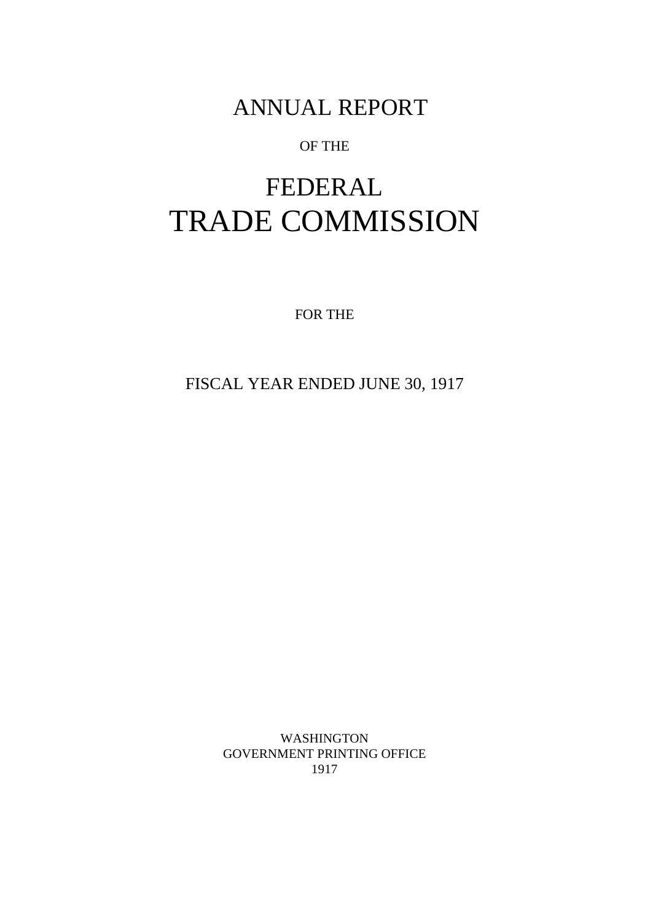## ANNUAL REPORT

## OF THE

# FEDERAL TRADE COMMISSION

FOR THE

FISCAL YEAR ENDED JUNE 30, 1917

WASHINGTON GOVERNMENT PRINTING OFFICE 1917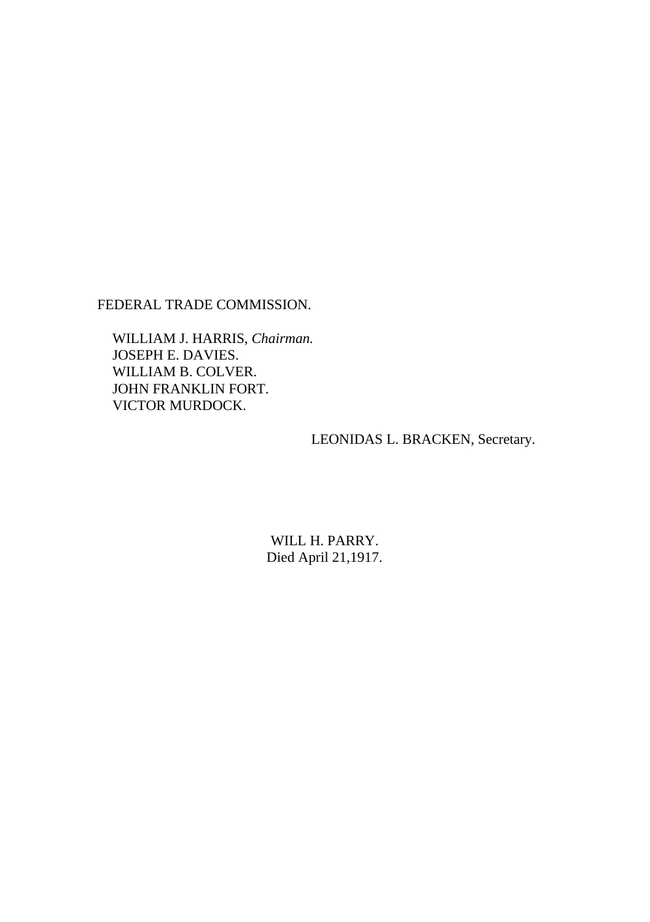FEDERAL TRADE COMMISSION.

WILLIAM J. HARRIS, *Chairman.* JOSEPH E. DAVIES. WILLIAM B. COLVER. JOHN FRANKLIN FORT. VICTOR MURDOCK.

LEONIDAS L. BRACKEN, Secretary.

WILL H. PARRY. Died April 21,1917.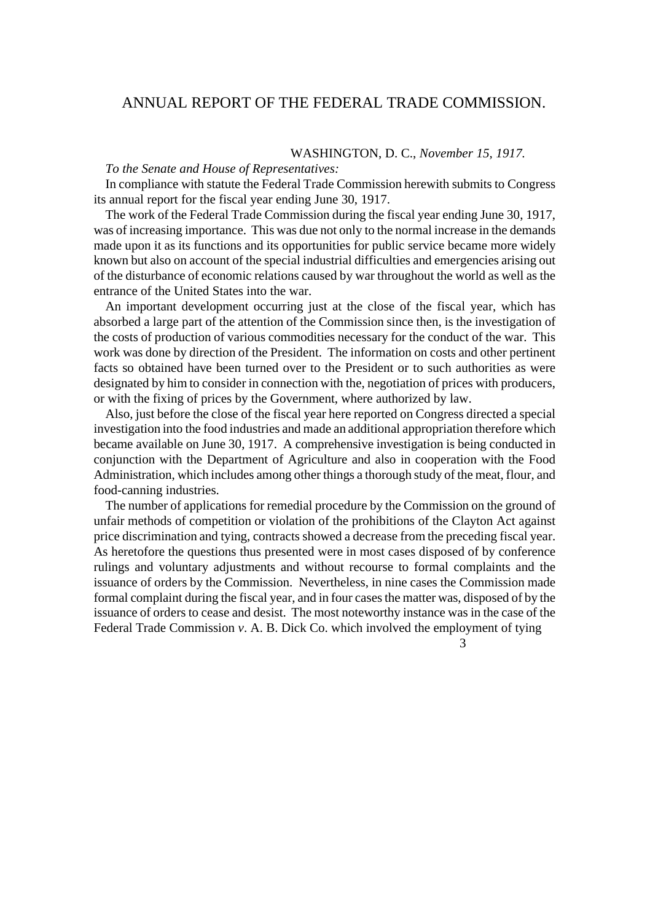#### WASHINGTON, D. C., *November 15, 1917.*

*To the Senate and House of Representatives:*

In compliance with statute the Federal Trade Commission herewith submits to Congress its annual report for the fiscal year ending June 30, 1917.

The work of the Federal Trade Commission during the fiscal year ending June 30, 1917, was of increasing importance. This was due not only to the normal increase in the demands made upon it as its functions and its opportunities for public service became more widely known but also on account of the special industrial difficulties and emergencies arising out of the disturbance of economic relations caused by war throughout the world as well as the entrance of the United States into the war.

An important development occurring just at the close of the fiscal year, which has absorbed a large part of the attention of the Commission since then, is the investigation of the costs of production of various commodities necessary for the conduct of the war. This work was done by direction of the President. The information on costs and other pertinent facts so obtained have been turned over to the President or to such authorities as were designated by him to consider in connection with the, negotiation of prices with producers, or with the fixing of prices by the Government, where authorized by law.

Also, just before the close of the fiscal year here reported on Congress directed a special investigation into the food industries and made an additional appropriation therefore which became available on June 30, 1917. A comprehensive investigation is being conducted in conjunction with the Department of Agriculture and also in cooperation with the Food Administration, which includes among other things a thorough study of the meat, flour, and food-canning industries.

The number of applications for remedial procedure by the Commission on the ground of unfair methods of competition or violation of the prohibitions of the Clayton Act against price discrimination and tying, contracts showed a decrease from the preceding fiscal year. As heretofore the questions thus presented were in most cases disposed of by conference rulings and voluntary adjustments and without recourse to formal complaints and the issuance of orders by the Commission. Nevertheless, in nine cases the Commission made formal complaint during the fiscal year, and in four casesthe matter was, disposed of by the issuance of orders to cease and desist. The most noteworthy instance was in the case of the Federal Trade Commission *v*. A. B. Dick Co. which involved the employment of tying

3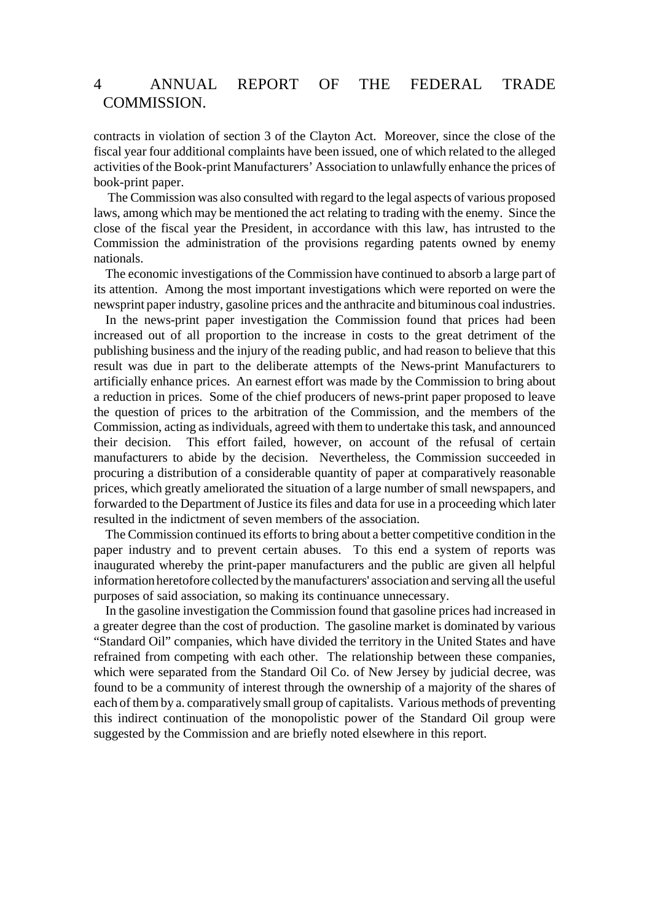contracts in violation of section 3 of the Clayton Act. Moreover, since the close of the fiscal year four additional complaints have been issued, one of which related to the alleged activities of the Book-print Manufacturers' Association to unlawfully enhance the prices of book-print paper.

The Commission was also consulted with regard to the legal aspects of various proposed laws, among which may be mentioned the act relating to trading with the enemy. Since the close of the fiscal year the President, in accordance with this law, has intrusted to the Commission the administration of the provisions regarding patents owned by enemy nationals.

The economic investigations of the Commission have continued to absorb a large part of its attention. Among the most important investigations which were reported on were the newsprint paper industry, gasoline prices and the anthracite and bituminous coal industries.

In the news-print paper investigation the Commission found that prices had been increased out of all proportion to the increase in costs to the great detriment of the publishing business and the injury of the reading public, and had reason to believe that this result was due in part to the deliberate attempts of the News-print Manufacturers to artificially enhance prices. An earnest effort was made by the Commission to bring about a reduction in prices. Some of the chief producers of news-print paper proposed to leave the question of prices to the arbitration of the Commission, and the members of the Commission, acting as individuals, agreed with them to undertake this task, and announced their decision. This effort failed, however, on account of the refusal of certain manufacturers to abide by the decision. Nevertheless, the Commission succeeded in procuring a distribution of a considerable quantity of paper at comparatively reasonable prices, which greatly ameliorated the situation of a large number of small newspapers, and forwarded to the Department of Justice its files and data for use in a proceeding which later resulted in the indictment of seven members of the association.

The Commission continued its efforts to bring about a better competitive condition in the paper industry and to prevent certain abuses. To this end a system of reports was inaugurated whereby the print-paper manufacturers and the public are given all helpful information heretofore collected by the manufacturers' association and serving all the useful purposes of said association, so making its continuance unnecessary.

In the gasoline investigation the Commission found that gasoline prices had increased in a greater degree than the cost of production. The gasoline market is dominated by various "Standard Oil" companies, which have divided the territory in the United States and have refrained from competing with each other. The relationship between these companies, which were separated from the Standard Oil Co. of New Jersey by judicial decree, was found to be a community of interest through the ownership of a majority of the shares of each of them by a. comparatively small group of capitalists. Various methods of preventing this indirect continuation of the monopolistic power of the Standard Oil group were suggested by the Commission and are briefly noted elsewhere in this report.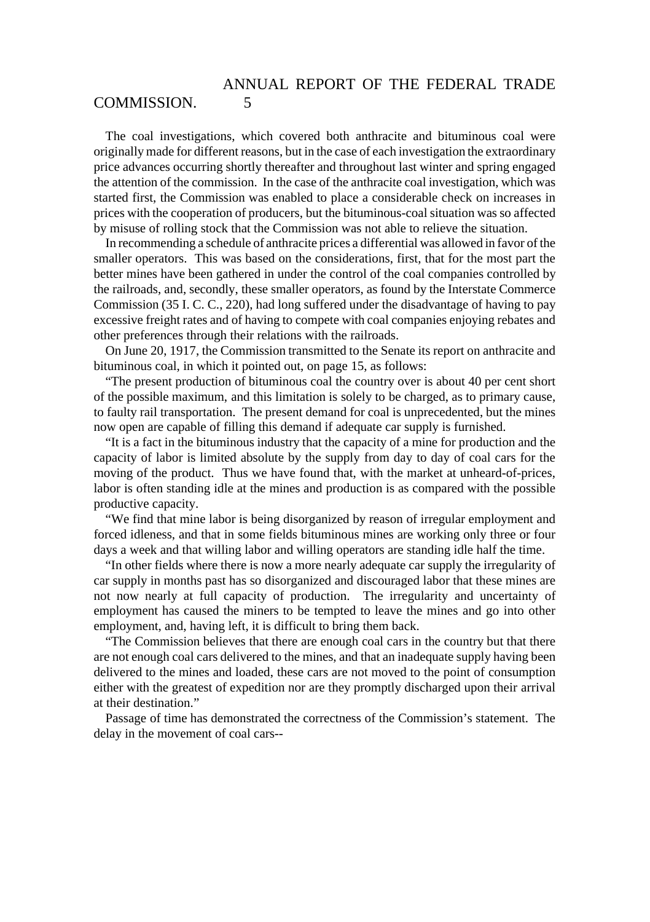# ANNUAL REPORT OF THE FEDERAL TRADE

## COMMISSION. 5

The coal investigations, which covered both anthracite and bituminous coal were originally made for different reasons, but in the case of each investigation the extraordinary price advances occurring shortly thereafter and throughout last winter and spring engaged the attention of the commission. In the case of the anthracite coal investigation, which was started first, the Commission was enabled to place a considerable check on increases in prices with the cooperation of producers, but the bituminous-coal situation was so affected by misuse of rolling stock that the Commission was not able to relieve the situation.

In recommending a schedule of anthracite prices a differential was allowed in favor of the smaller operators. This was based on the considerations, first, that for the most part the better mines have been gathered in under the control of the coal companies controlled by the railroads, and, secondly, these smaller operators, as found by the Interstate Commerce Commission (35 I. C. C., 220), had long suffered under the disadvantage of having to pay excessive freight rates and of having to compete with coal companies enjoying rebates and other preferences through their relations with the railroads.

On June 20, 1917, the Commission transmitted to the Senate its report on anthracite and bituminous coal, in which it pointed out, on page 15, as follows:

"The present production of bituminous coal the country over is about 40 per cent short of the possible maximum, and this limitation is solely to be charged, as to primary cause, to faulty rail transportation. The present demand for coal is unprecedented, but the mines now open are capable of filling this demand if adequate car supply is furnished.

"It is a fact in the bituminous industry that the capacity of a mine for production and the capacity of labor is limited absolute by the supply from day to day of coal cars for the moving of the product. Thus we have found that, with the market at unheard-of-prices, labor is often standing idle at the mines and production is as compared with the possible productive capacity.

"We find that mine labor is being disorganized by reason of irregular employment and forced idleness, and that in some fields bituminous mines are working only three or four days a week and that willing labor and willing operators are standing idle half the time.

"In other fields where there is now a more nearly adequate car supply the irregularity of car supply in months past has so disorganized and discouraged labor that these mines are not now nearly at full capacity of production. The irregularity and uncertainty of employment has caused the miners to be tempted to leave the mines and go into other employment, and, having left, it is difficult to bring them back.

"The Commission believes that there are enough coal cars in the country but that there are not enough coal cars delivered to the mines, and that an inadequate supply having been delivered to the mines and loaded, these cars are not moved to the point of consumption either with the greatest of expedition nor are they promptly discharged upon their arrival at their destination."

Passage of time has demonstrated the correctness of the Commission's statement. The delay in the movement of coal cars--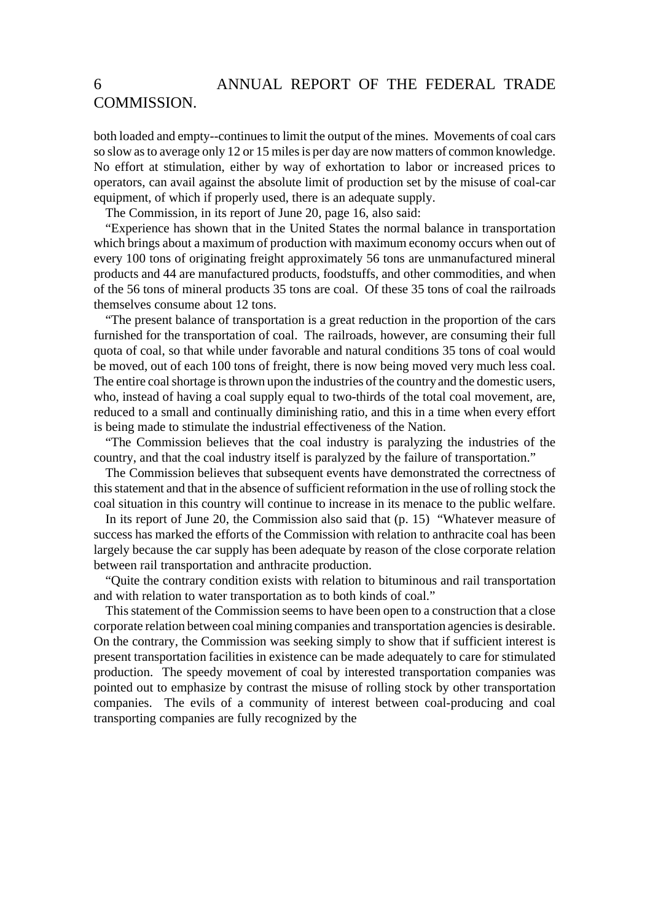both loaded and empty--continuesto limit the output of the mines. Movements of coal cars so slow asto average only 12 or 15 milesis per day are now matters of common knowledge. No effort at stimulation, either by way of exhortation to labor or increased prices to operators, can avail against the absolute limit of production set by the misuse of coal-car equipment, of which if properly used, there is an adequate supply.

The Commission, in its report of June 20, page 16, also said:

"Experience has shown that in the United States the normal balance in transportation which brings about a maximum of production with maximum economy occurs when out of every 100 tons of originating freight approximately 56 tons are unmanufactured mineral products and 44 are manufactured products, foodstuffs, and other commodities, and when of the 56 tons of mineral products 35 tons are coal. Of these 35 tons of coal the railroads themselves consume about 12 tons.

"The present balance of transportation is a great reduction in the proportion of the cars furnished for the transportation of coal. The railroads, however, are consuming their full quota of coal, so that while under favorable and natural conditions 35 tons of coal would be moved, out of each 100 tons of freight, there is now being moved very much less coal. The entire coal shortage is thrown upon the industries of the country and the domestic users, who, instead of having a coal supply equal to two-thirds of the total coal movement, are, reduced to a small and continually diminishing ratio, and this in a time when every effort is being made to stimulate the industrial effectiveness of the Nation.

"The Commission believes that the coal industry is paralyzing the industries of the country, and that the coal industry itself is paralyzed by the failure of transportation."

The Commission believes that subsequent events have demonstrated the correctness of this statement and that in the absence of sufficient reformation in the use of rolling stock the coal situation in this country will continue to increase in its menace to the public welfare.

In its report of June 20, the Commission also said that (p. 15) "Whatever measure of success has marked the efforts of the Commission with relation to anthracite coal has been largely because the car supply has been adequate by reason of the close corporate relation between rail transportation and anthracite production.

"Quite the contrary condition exists with relation to bituminous and rail transportation and with relation to water transportation as to both kinds of coal."

This statement of the Commission seems to have been open to a construction that a close corporate relation between coal mining companies and transportation agenciesis desirable. On the contrary, the Commission was seeking simply to show that if sufficient interest is present transportation facilities in existence can be made adequately to care for stimulated production. The speedy movement of coal by interested transportation companies was pointed out to emphasize by contrast the misuse of rolling stock by other transportation companies. The evils of a community of interest between coal-producing and coal transporting companies are fully recognized by the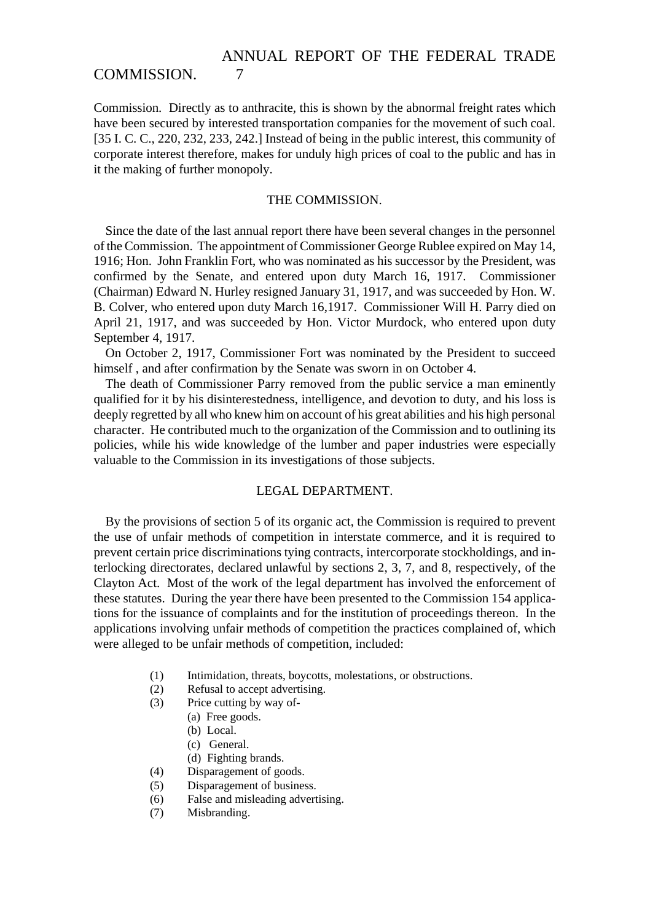#### ANNUAL REPORT OF THE FEDERAL TRADE

#### COMMISSION. 7

Commission. Directly as to anthracite, this is shown by the abnormal freight rates which have been secured by interested transportation companies for the movement of such coal. [35 I. C. C., 220, 232, 233, 242.] Instead of being in the public interest, this community of corporate interest therefore, makes for unduly high prices of coal to the public and has in it the making of further monopoly.

#### THE COMMISSION.

Since the date of the last annual report there have been several changes in the personnel ofthe Commission. The appointment of Commissioner George Rublee expired on May 14, 1916; Hon. John Franklin Fort, who was nominated as his successor by the President, was confirmed by the Senate, and entered upon duty March 16, 1917. Commissioner (Chairman) Edward N. Hurley resigned January 31, 1917, and was succeeded by Hon. W. B. Colver, who entered upon duty March 16,1917. Commissioner Will H. Parry died on April 21, 1917, and was succeeded by Hon. Victor Murdock, who entered upon duty September 4, 1917.

On October 2, 1917, Commissioner Fort was nominated by the President to succeed himself , and after confirmation by the Senate was sworn in on October 4.

The death of Commissioner Parry removed from the public service a man eminently qualified for it by his disinterestedness, intelligence, and devotion to duty, and his loss is deeply regretted by all who knew him on account of his great abilities and his high personal character. He contributed much to the organization of the Commission and to outlining its policies, while his wide knowledge of the lumber and paper industries were especially valuable to the Commission in its investigations of those subjects.

#### LEGAL DEPARTMENT.

By the provisions of section 5 of its organic act, the Commission is required to prevent the use of unfair methods of competition in interstate commerce, and it is required to prevent certain price discriminations tying contracts, intercorporate stockholdings, and interlocking directorates, declared unlawful by sections 2, 3, 7, and 8, respectively, of the Clayton Act. Most of the work of the legal department has involved the enforcement of these statutes. During the year there have been presented to the Commission 154 applications for the issuance of complaints and for the institution of proceedings thereon. In the applications involving unfair methods of competition the practices complained of, which were alleged to be unfair methods of competition, included:

- (1) Intimidation, threats, boycotts, molestations, or obstructions.
- (2) Refusal to accept advertising.
- (3) Price cutting by way of-
	- (a) Free goods.
		- (b) Local.
		- (c) General.
	- (d) Fighting brands.
- (4) Disparagement of goods.
- (5) Disparagement of business.
- (6) False and misleading advertising.
- (7) Misbranding.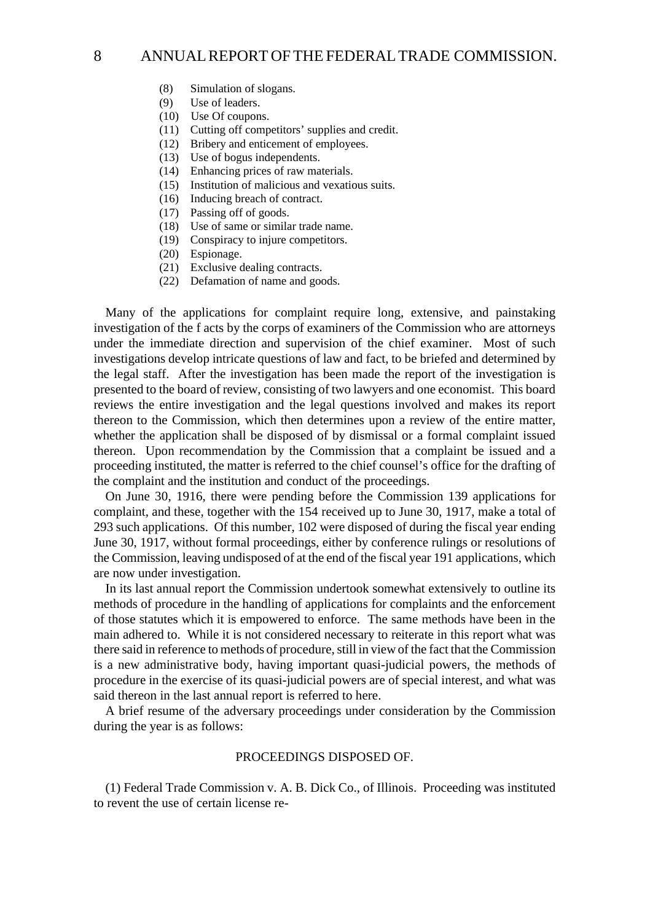- (8) Simulation of slogans.
- (9) Use of leaders.
- (10) Use Of coupons.
- (11) Cutting off competitors' supplies and credit.
- (12) Bribery and enticement of employees.
- (13) Use of bogus independents.
- (14) Enhancing prices of raw materials.
- (15) Institution of malicious and vexatious suits.
- (16) Inducing breach of contract.
- (17) Passing off of goods.
- (18) Use of same or similar trade name.
- (19) Conspiracy to injure competitors.
- (20) Espionage.
- (21) Exclusive dealing contracts.
- (22) Defamation of name and goods.

Many of the applications for complaint require long, extensive, and painstaking investigation of the f acts by the corps of examiners of the Commission who are attorneys under the immediate direction and supervision of the chief examiner. Most of such investigations develop intricate questions of law and fact, to be briefed and determined by the legal staff. After the investigation has been made the report of the investigation is presented to the board of review, consisting of two lawyers and one economist. This board reviews the entire investigation and the legal questions involved and makes its report thereon to the Commission, which then determines upon a review of the entire matter, whether the application shall be disposed of by dismissal or a formal complaint issued thereon. Upon recommendation by the Commission that a complaint be issued and a proceeding instituted, the matter is referred to the chief counsel's office for the drafting of the complaint and the institution and conduct of the proceedings.

On June 30, 1916, there were pending before the Commission 139 applications for complaint, and these, together with the 154 received up to June 30, 1917, make a total of 293 such applications. Of this number, 102 were disposed of during the fiscal year ending June 30, 1917, without formal proceedings, either by conference rulings or resolutions of the Commission, leaving undisposed of at the end of the fiscal year 191 applications, which are now under investigation.

In its last annual report the Commission undertook somewhat extensively to outline its methods of procedure in the handling of applications for complaints and the enforcement of those statutes which it is empowered to enforce. The same methods have been in the main adhered to. While it is not considered necessary to reiterate in this report what was there said in reference to methods of procedure, still in view of the fact that the Commission is a new administrative body, having important quasi-judicial powers, the methods of procedure in the exercise of its quasi-judicial powers are of special interest, and what was said thereon in the last annual report is referred to here.

A brief resume of the adversary proceedings under consideration by the Commission during the year is as follows:

#### PROCEEDINGS DISPOSED OF.

(1) Federal Trade Commission v. A. B. Dick Co., of Illinois. Proceeding was instituted to revent the use of certain license re-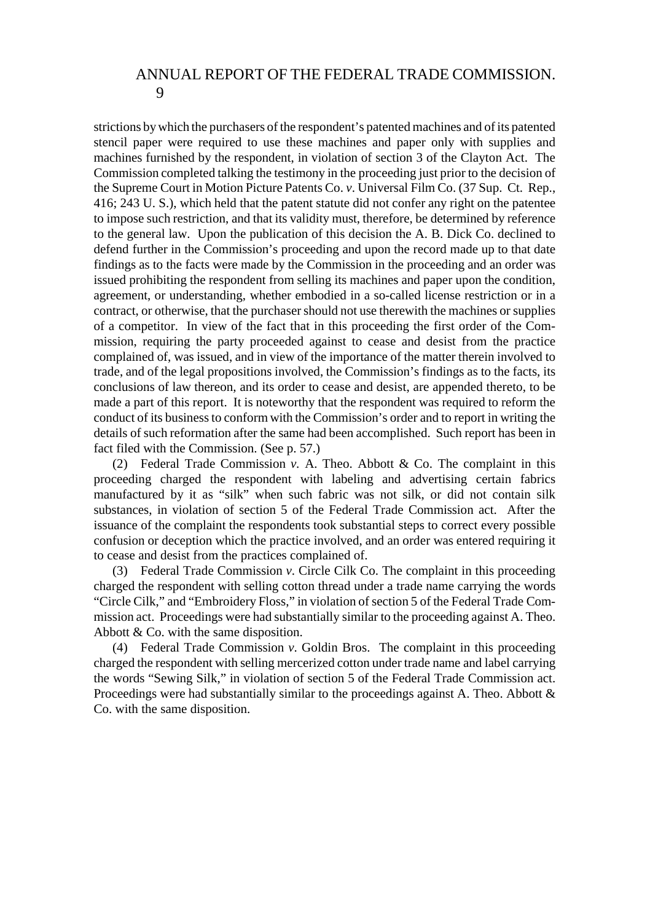strictions bywhich the purchasers ofthe respondent's patented machines and ofits patented stencil paper were required to use these machines and paper only with supplies and machines furnished by the respondent, in violation of section 3 of the Clayton Act. The Commission completed talking the testimony in the proceeding just prior to the decision of the Supreme Court in Motion Picture Patents Co. *v*. Universal Film Co. (37 Sup. Ct. Rep., 416; 243 U. S.), which held that the patent statute did not confer any right on the patentee to impose such restriction, and that its validity must, therefore, be determined by reference to the general law. Upon the publication of this decision the A. B. Dick Co. declined to defend further in the Commission's proceeding and upon the record made up to that date findings as to the facts were made by the Commission in the proceeding and an order was issued prohibiting the respondent from selling its machines and paper upon the condition, agreement, or understanding, whether embodied in a so-called license restriction or in a contract, or otherwise, that the purchasershould not use therewith the machines or supplies of a competitor. In view of the fact that in this proceeding the first order of the Commission, requiring the party proceeded against to cease and desist from the practice complained of, was issued, and in view of the importance of the matter therein involved to trade, and of the legal propositions involved, the Commission's findings as to the facts, its conclusions of law thereon, and its order to cease and desist, are appended thereto, to be made a part of this report. It is noteworthy that the respondent was required to reform the conduct of its businessto conform with the Commission's order and to report in writing the details of such reformation after the same had been accomplished. Such report has been in fact filed with the Commission. (See p. 57.)

(2) Federal Trade Commission *v.* A. Theo. Abbott & Co. The complaint in this proceeding charged the respondent with labeling and advertising certain fabrics manufactured by it as "silk" when such fabric was not silk, or did not contain silk substances, in violation of section 5 of the Federal Trade Commission act. After the issuance of the complaint the respondents took substantial steps to correct every possible confusion or deception which the practice involved, and an order was entered requiring it to cease and desist from the practices complained of.

(3) Federal Trade Commission *v*. Circle Cilk Co. The complaint in this proceeding charged the respondent with selling cotton thread under a trade name carrying the words "Circle Cilk," and "Embroidery Floss," in violation of section 5 of the Federal Trade Commission act. Proceedings were had substantially similar to the proceeding against A. Theo. Abbott & Co. with the same disposition.

(4) Federal Trade Commission *v*. Goldin Bros. The complaint in this proceeding charged the respondent with selling mercerized cotton under trade name and label carrying the words "Sewing Silk," in violation of section 5 of the Federal Trade Commission act. Proceedings were had substantially similar to the proceedings against A. Theo. Abbott & Co. with the same disposition.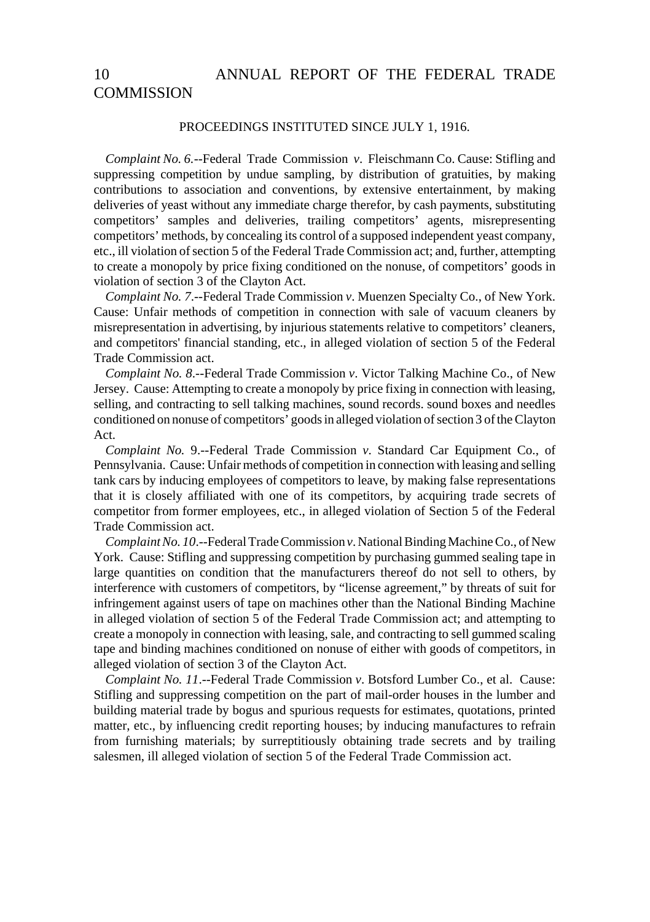#### PROCEEDINGS INSTITUTED SINCE JULY 1, 1916.

*Complaint No. 6.*--Federal Trade Commission *v*. Fleischmann Co. Cause: Stifling and suppressing competition by undue sampling, by distribution of gratuities, by making contributions to association and conventions, by extensive entertainment, by making deliveries of yeast without any immediate charge therefor, by cash payments, substituting competitors' samples and deliveries, trailing competitors' agents, misrepresenting competitors' methods, by concealing its control of a supposed independent yeast company, etc., ill violation ofsection 5 of the Federal Trade Commission act; and, further, attempting to create a monopoly by price fixing conditioned on the nonuse, of competitors' goods in violation of section 3 of the Clayton Act.

*Complaint No. 7*.--Federal Trade Commission *v*. Muenzen Specialty Co., of New York. Cause: Unfair methods of competition in connection with sale of vacuum cleaners by misrepresentation in advertising, by injurious statements relative to competitors' cleaners, and competitors' financial standing, etc., in alleged violation of section 5 of the Federal Trade Commission act.

*Complaint No. 8*.--Federal Trade Commission *v*. Victor Talking Machine Co., of New Jersey. Cause: Attempting to create a monopoly by price fixing in connection with leasing, selling, and contracting to sell talking machines, sound records. sound boxes and needles conditioned on nonuse of competitors' goods in alleged violation of section 3 of the Clayton Act.

*Complaint No.* 9.--Federal Trade Commission *v*. Standard Car Equipment Co., of Pennsylvania. Cause: Unfair methods of competition in connection with leasing and selling tank cars by inducing employees of competitors to leave, by making false representations that it is closely affiliated with one of its competitors, by acquiring trade secrets of competitor from former employees, etc., in alleged violation of Section 5 of the Federal Trade Commission act.

*Complaint No. 10.*--Federal Trade Commission *v*. National Binding Machine Co., of New York. Cause: Stifling and suppressing competition by purchasing gummed sealing tape in large quantities on condition that the manufacturers thereof do not sell to others, by interference with customers of competitors, by "license agreement," by threats of suit for infringement against users of tape on machines other than the National Binding Machine in alleged violation of section 5 of the Federal Trade Commission act; and attempting to create a monopoly in connection with leasing, sale, and contracting to sell gummed scaling tape and binding machines conditioned on nonuse of either with goods of competitors, in alleged violation of section 3 of the Clayton Act.

*Complaint No. 11*.--Federal Trade Commission *v*. Botsford Lumber Co., et al. Cause: Stifling and suppressing competition on the part of mail-order houses in the lumber and building material trade by bogus and spurious requests for estimates, quotations, printed matter, etc., by influencing credit reporting houses; by inducing manufactures to refrain from furnishing materials; by surreptitiously obtaining trade secrets and by trailing salesmen, ill alleged violation of section 5 of the Federal Trade Commission act.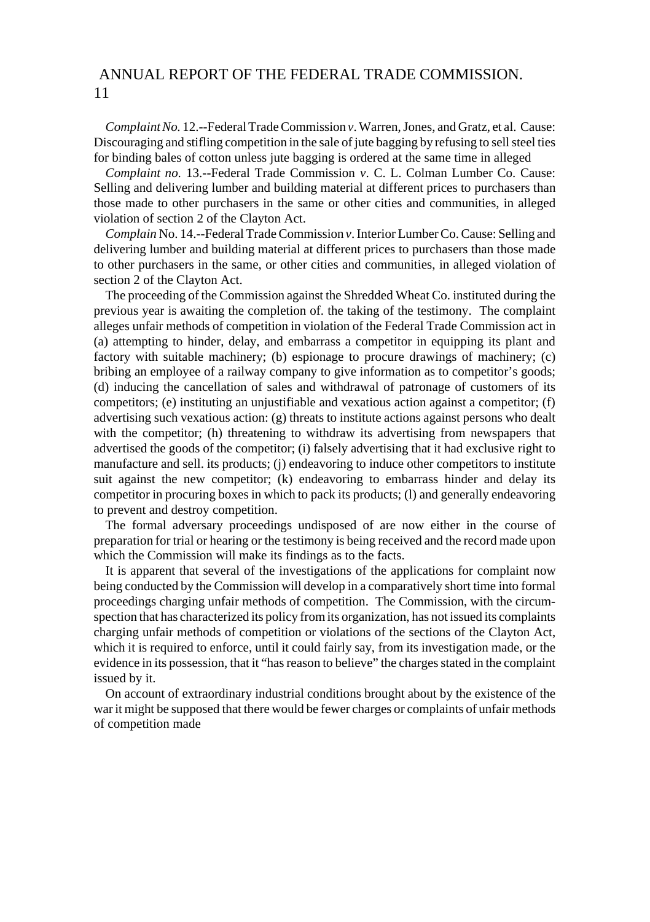*Complaint No.* 12.--Federal Trade Commission *v*. Warren, Jones, and Gratz, et al. Cause: Discouraging and stifling competition in the sale of jute bagging by refusing to sell steel ties for binding bales of cotton unless jute bagging is ordered at the same time in alleged

*Complaint no.* 13.--Federal Trade Commission *v*. C. L. Colman Lumber Co. Cause: Selling and delivering lumber and building material at different prices to purchasers than those made to other purchasers in the same or other cities and communities, in alleged violation of section 2 of the Clayton Act.

*Complain* No. 14.--Federal Trade Commission *v*. Interior Lumber Co. Cause: Selling and delivering lumber and building material at different prices to purchasers than those made to other purchasers in the same, or other cities and communities, in alleged violation of section 2 of the Clayton Act.

The proceeding of the Commission against the Shredded Wheat Co. instituted during the previous year is awaiting the completion of. the taking of the testimony. The complaint alleges unfair methods of competition in violation of the Federal Trade Commission act in (a) attempting to hinder, delay, and embarrass a competitor in equipping its plant and factory with suitable machinery; (b) espionage to procure drawings of machinery; (c) bribing an employee of a railway company to give information as to competitor's goods; (d) inducing the cancellation of sales and withdrawal of patronage of customers of its competitors; (e) instituting an unjustifiable and vexatious action against a competitor; (f) advertising such vexatious action: (g) threats to institute actions against persons who dealt with the competitor; (h) threatening to withdraw its advertising from newspapers that advertised the goods of the competitor; (i) falsely advertising that it had exclusive right to manufacture and sell. its products; (j) endeavoring to induce other competitors to institute suit against the new competitor; (k) endeavoring to embarrass hinder and delay its competitor in procuring boxes in which to pack its products; (l) and generally endeavoring to prevent and destroy competition.

The formal adversary proceedings undisposed of are now either in the course of preparation for trial or hearing or the testimony is being received and the record made upon which the Commission will make its findings as to the facts.

It is apparent that several of the investigations of the applications for complaint now being conducted by the Commission will develop in a comparatively short time into formal proceedings charging unfair methods of competition. The Commission, with the circumspection that has characterized its policy fromits organization, has not issued its complaints charging unfair methods of competition or violations of the sections of the Clayton Act, which it is required to enforce, until it could fairly say, from its investigation made, or the evidence in its possession, that it "has reason to believe" the charges stated in the complaint issued by it.

On account of extraordinary industrial conditions brought about by the existence of the warit might be supposed that there would be fewer charges or complaints of unfair methods of competition made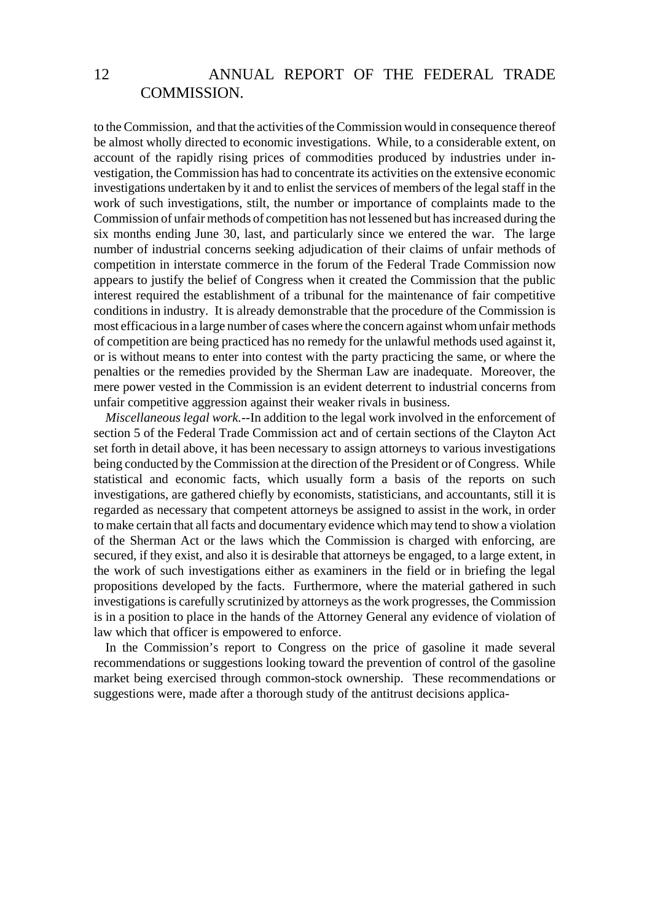to the Commission, and that the activities of the Commission would in consequence thereof be almost wholly directed to economic investigations. While, to a considerable extent, on account of the rapidly rising prices of commodities produced by industries under investigation, the Commission has had to concentrate its activities on the extensive economic investigations undertaken by it and to enlist the services of members of the legalstaff in the work of such investigations, stilt, the number or importance of complaints made to the Commission of unfair methods of competition has not lessened but hasincreased during the six months ending June 30, last, and particularly since we entered the war. The large number of industrial concerns seeking adjudication of their claims of unfair methods of competition in interstate commerce in the forum of the Federal Trade Commission now appears to justify the belief of Congress when it created the Commission that the public interest required the establishment of a tribunal for the maintenance of fair competitive conditions in industry. It is already demonstrable that the procedure of the Commission is most efficaciousin a large number of cases where the concern against whomunfair methods of competition are being practiced has no remedy for the unlawful methods used against it, or is without means to enter into contest with the party practicing the same, or where the penalties or the remedies provided by the Sherman Law are inadequate. Moreover, the mere power vested in the Commission is an evident deterrent to industrial concerns from unfair competitive aggression against their weaker rivals in business.

*Miscellaneous legal work.--*In addition to the legal work involved in the enforcement of section 5 of the Federal Trade Commission act and of certain sections of the Clayton Act set forth in detail above, it has been necessary to assign attorneys to various investigations being conducted by the Commission at the direction of the President or of Congress. While statistical and economic facts, which usually form a basis of the reports on such investigations, are gathered chiefly by economists, statisticians, and accountants, still it is regarded as necessary that competent attorneys be assigned to assist in the work, in order to make certain that all facts and documentary evidence which may tend to show a violation of the Sherman Act or the laws which the Commission is charged with enforcing, are secured, if they exist, and also it is desirable that attorneys be engaged, to a large extent, in the work of such investigations either as examiners in the field or in briefing the legal propositions developed by the facts. Furthermore, where the material gathered in such investigations is carefully scrutinized by attorneys as the work progresses, the Commission is in a position to place in the hands of the Attorney General any evidence of violation of law which that officer is empowered to enforce.

In the Commission's report to Congress on the price of gasoline it made several recommendations or suggestions looking toward the prevention of control of the gasoline market being exercised through common-stock ownership. These recommendations or suggestions were, made after a thorough study of the antitrust decisions applica-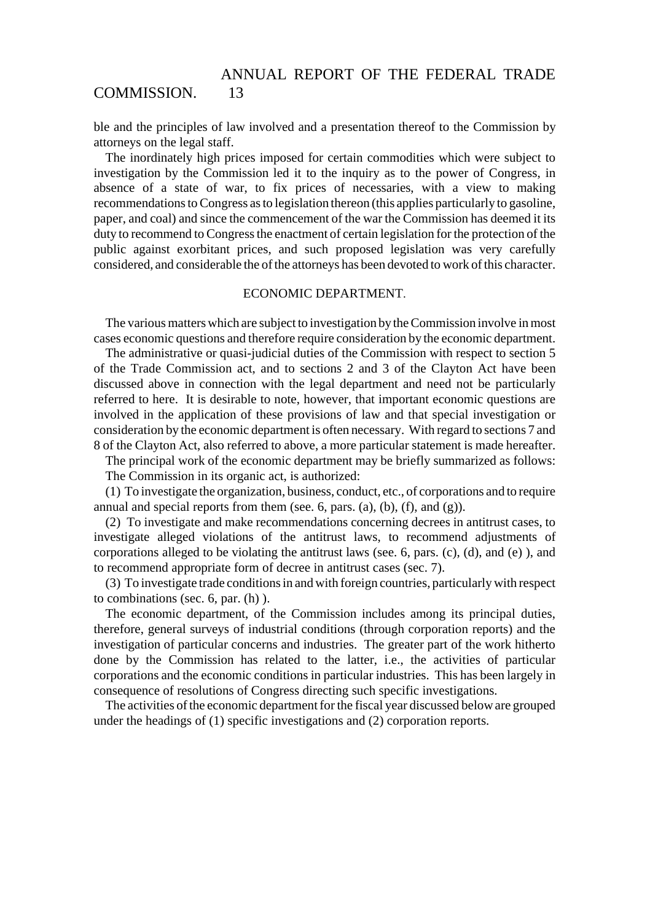ble and the principles of law involved and a presentation thereof to the Commission by attorneys on the legal staff.

The inordinately high prices imposed for certain commodities which were subject to investigation by the Commission led it to the inquiry as to the power of Congress, in absence of a state of war, to fix prices of necessaries, with a view to making recommendationstoCongress asto legislation thereon (this applies particularly to gasoline, paper, and coal) and since the commencement of the war the Commission has deemed it its duty to recommend to Congress the enactment of certain legislation for the protection of the public against exorbitant prices, and such proposed legislation was very carefully considered, and considerable the of the attorneys has been devoted to work of this character.

#### ECONOMIC DEPARTMENT.

The various matterswhich are subject to investigation by theCommission involve inmost cases economic questions and therefore require consideration by the economic department.

The administrative or quasi-judicial duties of the Commission with respect to section 5 of the Trade Commission act, and to sections 2 and 3 of the Clayton Act have been discussed above in connection with the legal department and need not be particularly referred to here. It is desirable to note, however, that important economic questions are involved in the application of these provisions of law and that special investigation or consideration by the economic department is often necessary. With regard to sections 7 and 8 of the Clayton Act, also referred to above, a more particular statement is made hereafter.

The principal work of the economic department may be briefly summarized as follows: The Commission in its organic act, is authorized:

(1) To investigate the organization, business, conduct, etc., of corporations and to require annual and special reports from them (see. 6, pars. (a), (b), (f), and (g)).

(2) To investigate and make recommendations concerning decrees in antitrust cases, to investigate alleged violations of the antitrust laws, to recommend adjustments of corporations alleged to be violating the antitrust laws (see. 6, pars. (c), (d), and (e) ), and to recommend appropriate form of decree in antitrust cases (sec. 7).

(3) To investigate trade conditions in and with foreign countries, particularly with respect to combinations (sec. 6, par. (h) ).

The economic department, of the Commission includes among its principal duties, therefore, general surveys of industrial conditions (through corporation reports) and the investigation of particular concerns and industries. The greater part of the work hitherto done by the Commission has related to the latter, i.e., the activities of particular corporations and the economic conditions in particular industries. This has been largely in consequence of resolutions of Congress directing such specific investigations.

The activities of the economic department for the fiscal year discussed below are grouped under the headings of (1) specific investigations and (2) corporation reports.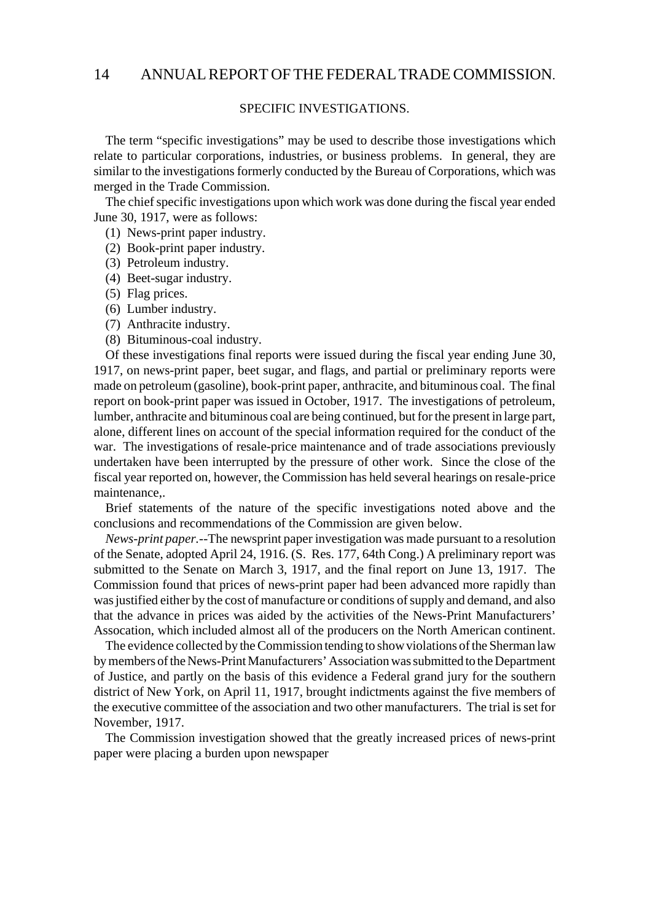#### SPECIFIC INVESTIGATIONS.

The term "specific investigations" may be used to describe those investigations which relate to particular corporations, industries, or business problems. In general, they are similar to the investigations formerly conducted by the Bureau of Corporations, which was merged in the Trade Commission.

The chief specific investigations upon which work was done during the fiscal year ended June 30, 1917, were as follows:

(1) News-print paper industry.

- (2) Book-print paper industry.
- (3) Petroleum industry.
- (4) Beet-sugar industry.
- (5) Flag prices.
- (6) Lumber industry.
- (7) Anthracite industry.
- (8) Bituminous-coal industry.

Of these investigations final reports were issued during the fiscal year ending June 30, 1917, on news-print paper, beet sugar, and flags, and partial or preliminary reports were made on petroleum (gasoline), book-print paper, anthracite, and bituminous coal. The final report on book-print paper was issued in October, 1917. The investigations of petroleum, lumber, anthracite and bituminous coal are being continued, butforthe present in large part, alone, different lines on account of the special information required for the conduct of the war. The investigations of resale-price maintenance and of trade associations previously undertaken have been interrupted by the pressure of other work. Since the close of the fiscal year reported on, however, the Commission has held several hearings on resale-price maintenance,.

Brief statements of the nature of the specific investigations noted above and the conclusions and recommendations of the Commission are given below.

*News-print paper.--*The newsprint paper investigation was made pursuant to a resolution of the Senate, adopted April 24, 1916. (S. Res. 177, 64th Cong.) A preliminary report was submitted to the Senate on March 3, 1917, and the final report on June 13, 1917. The Commission found that prices of news-print paper had been advanced more rapidly than was justified either by the cost of manufacture or conditions of supply and demand, and also that the advance in prices was aided by the activities of the News-Print Manufacturers' Assocation, which included almost all of the producers on the North American continent.

The evidence collected by the Commission tending to show violations of the Sherman law by members of the News-Print Manufacturers' Association was submitted to the Department of Justice, and partly on the basis of this evidence a Federal grand jury for the southern district of New York, on April 11, 1917, brought indictments against the five members of the executive committee of the association and two other manufacturers. The trial is set for November, 1917.

The Commission investigation showed that the greatly increased prices of news-print paper were placing a burden upon newspaper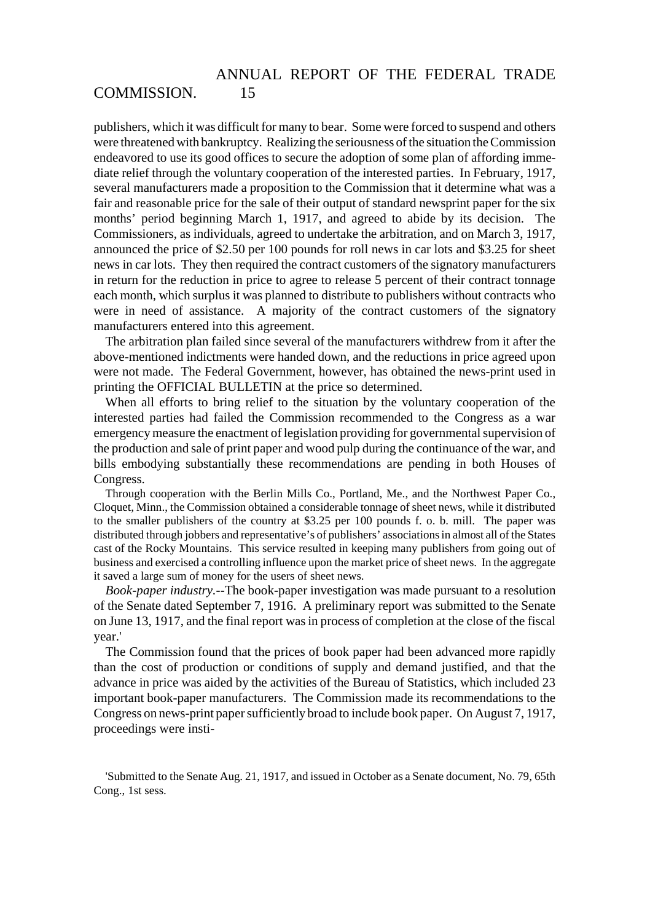publishers, which it was difficult for many to bear. Some were forced to suspend and others were threatened with bankruptcy. Realizing the seriousness of the situation the Commission endeavored to use its good offices to secure the adoption of some plan of affording immediate relief through the voluntary cooperation of the interested parties. In February, 1917, several manufacturers made a proposition to the Commission that it determine what was a fair and reasonable price for the sale of their output of standard newsprint paper for the six months' period beginning March 1, 1917, and agreed to abide by its decision. The Commissioners, as individuals, agreed to undertake the arbitration, and on March 3, 1917, announced the price of \$2.50 per 100 pounds for roll news in car lots and \$3.25 for sheet news in car lots. They then required the contract customers of the signatory manufacturers in return for the reduction in price to agree to release 5 percent of their contract tonnage each month, which surplus it was planned to distribute to publishers without contracts who were in need of assistance. A majority of the contract customers of the signatory manufacturers entered into this agreement.

The arbitration plan failed since several of the manufacturers withdrew from it after the above-mentioned indictments were handed down, and the reductions in price agreed upon were not made. The Federal Government, however, has obtained the news-print used in printing the OFFICIAL BULLETIN at the price so determined.

When all efforts to bring relief to the situation by the voluntary cooperation of the interested parties had failed the Commission recommended to the Congress as a war emergency measure the enactment of legislation providing for governmental supervision of the production and sale of print paper and wood pulp during the continuance ofthe war, and bills embodying substantially these recommendations are pending in both Houses of Congress.

Through cooperation with the Berlin Mills Co., Portland, Me., and the Northwest Paper Co., Cloquet, Minn., the Commission obtained a considerable tonnage ofsheet news, while it distributed to the smaller publishers of the country at \$3.25 per 100 pounds f. o. b. mill. The paper was distributed through jobbers and representative's of publishers' associationsin almost all ofthe States cast of the Rocky Mountains. This service resulted in keeping many publishers from going out of business and exercised a controlling influence upon the market price of sheet news. In the aggregate it saved a large sum of money for the users of sheet news.

*Book-paper industry.--*The book-paper investigation was made pursuant to a resolution of the Senate dated September 7, 1916. A preliminary report was submitted to the Senate on June 13, 1917, and the final report wasin process of completion at the close of the fiscal year.'

The Commission found that the prices of book paper had been advanced more rapidly than the cost of production or conditions of supply and demand justified, and that the advance in price was aided by the activities of the Bureau of Statistics, which included 23 important book-paper manufacturers. The Commission made its recommendations to the Congress on news-print papersufficiently broad to include book paper. On August 7, 1917, proceedings were insti-

'Submitted to the Senate Aug. 21, 1917, and issued in October as a Senate document, No. 79, 65th Cong., 1st sess.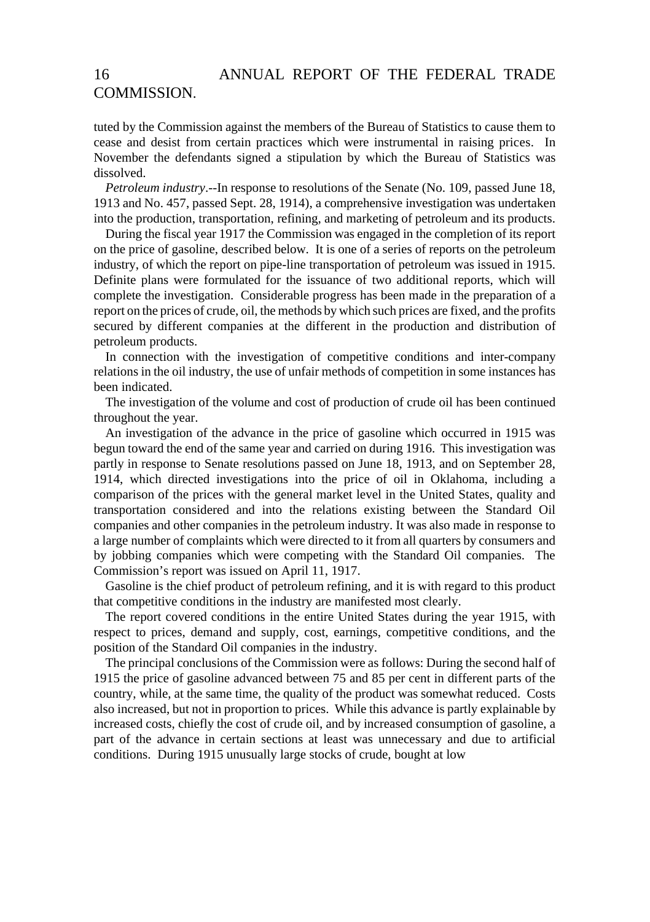tuted by the Commission against the members of the Bureau of Statistics to cause them to cease and desist from certain practices which were instrumental in raising prices. In November the defendants signed a stipulation by which the Bureau of Statistics was dissolved.

*Petroleum industry*.--In response to resolutions of the Senate (No. 109, passed June 18, 1913 and No. 457, passed Sept. 28, 1914), a comprehensive investigation was undertaken into the production, transportation, refining, and marketing of petroleum and its products.

During the fiscal year 1917 the Commission was engaged in the completion of its report on the price of gasoline, described below. It is one of a series of reports on the petroleum industry, of which the report on pipe-line transportation of petroleum was issued in 1915. Definite plans were formulated for the issuance of two additional reports, which will complete the investigation. Considerable progress has been made in the preparation of a report on the prices of crude, oil, the methods by which such prices are fixed, and the profits secured by different companies at the different in the production and distribution of petroleum products.

In connection with the investigation of competitive conditions and inter-company relations in the oil industry, the use of unfair methods of competition in some instances has been indicated.

The investigation of the volume and cost of production of crude oil has been continued throughout the year.

An investigation of the advance in the price of gasoline which occurred in 1915 was begun toward the end of the same year and carried on during 1916. This investigation was partly in response to Senate resolutions passed on June 18, 1913, and on September 28, 1914, which directed investigations into the price of oil in Oklahoma, including a comparison of the prices with the general market level in the United States, quality and transportation considered and into the relations existing between the Standard Oil companies and other companies in the petroleum industry. It was also made in response to a large number of complaints which were directed to it from all quarters by consumers and by jobbing companies which were competing with the Standard Oil companies. The Commission's report was issued on April 11, 1917.

Gasoline is the chief product of petroleum refining, and it is with regard to this product that competitive conditions in the industry are manifested most clearly.

The report covered conditions in the entire United States during the year 1915, with respect to prices, demand and supply, cost, earnings, competitive conditions, and the position of the Standard Oil companies in the industry.

The principal conclusions of the Commission were as follows: During the second half of 1915 the price of gasoline advanced between 75 and 85 per cent in different parts of the country, while, at the same time, the quality of the product was somewhat reduced. Costs also increased, but not in proportion to prices. While this advance is partly explainable by increased costs, chiefly the cost of crude oil, and by increased consumption of gasoline, a part of the advance in certain sections at least was unnecessary and due to artificial conditions. During 1915 unusually large stocks of crude, bought at low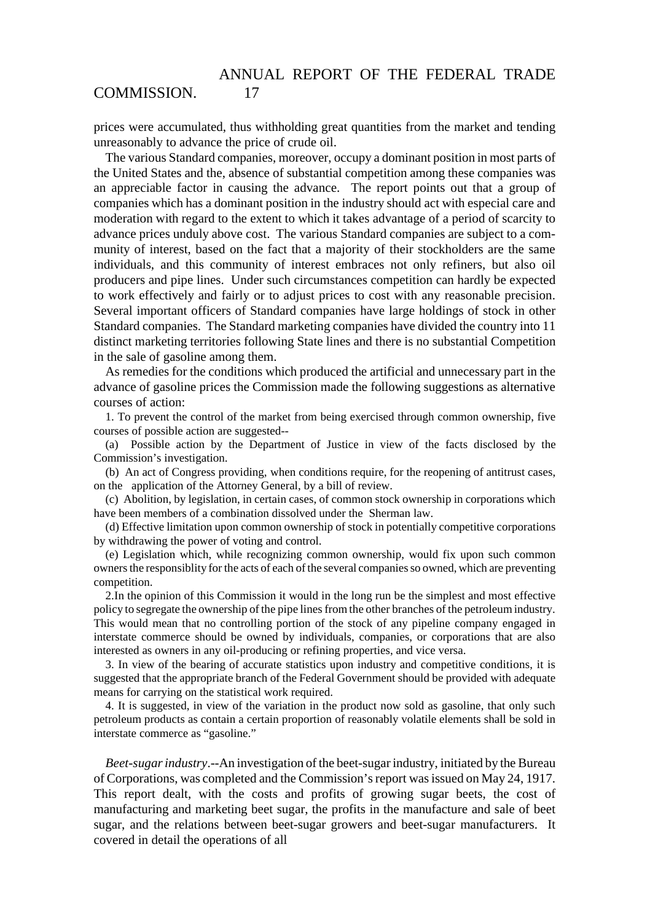prices were accumulated, thus withholding great quantities from the market and tending unreasonably to advance the price of crude oil.

The various Standard companies, moreover, occupy a dominant position in most parts of the United States and the, absence of substantial competition among these companies was an appreciable factor in causing the advance. The report points out that a group of companies which has a dominant position in the industry should act with especial care and moderation with regard to the extent to which it takes advantage of a period of scarcity to advance prices unduly above cost. The various Standard companies are subject to a community of interest, based on the fact that a majority of their stockholders are the same individuals, and this community of interest embraces not only refiners, but also oil producers and pipe lines. Under such circumstances competition can hardly be expected to work effectively and fairly or to adjust prices to cost with any reasonable precision. Several important officers of Standard companies have large holdings of stock in other Standard companies. The Standard marketing companies have divided the country into 11 distinct marketing territories following State lines and there is no substantial Competition in the sale of gasoline among them.

As remedies for the conditions which produced the artificial and unnecessary part in the advance of gasoline prices the Commission made the following suggestions as alternative courses of action:

1. To prevent the control of the market from being exercised through common ownership, five courses of possible action are suggested--

(a) Possible action by the Department of Justice in view of the facts disclosed by the Commission's investigation.

(b) An act of Congress providing, when conditions require, for the reopening of antitrust cases, on the application of the Attorney General, by a bill of review.

(c) Abolition, by legislation, in certain cases, of common stock ownership in corporations which have been members of a combination dissolved under the Sherman law.

(d) Effective limitation upon common ownership of stock in potentially competitive corporations by withdrawing the power of voting and control.

(e) Legislation which, while recognizing common ownership, would fix upon such common owners the responsiblity for the acts of each of the several companies so owned, which are preventing competition.

2.In the opinion of this Commission it would in the long run be the simplest and most effective policy to segregate the ownership of the pipe lines from the other branches of the petroleum industry. This would mean that no controlling portion of the stock of any pipeline company engaged in interstate commerce should be owned by individuals, companies, or corporations that are also interested as owners in any oil-producing or refining properties, and vice versa.

3. In view of the bearing of accurate statistics upon industry and competitive conditions, it is suggested that the appropriate branch of the Federal Government should be provided with adequate means for carrying on the statistical work required.

4. It is suggested, in view of the variation in the product now sold as gasoline, that only such petroleum products as contain a certain proportion of reasonably volatile elements shall be sold in interstate commerce as "gasoline."

*Beet-sugarindustry*.--An investigation ofthe beet-sugar industry, initiated by the Bureau of Corporations, was completed and the Commission'sreport wasissued on May 24, 1917. This report dealt, with the costs and profits of growing sugar beets, the cost of manufacturing and marketing beet sugar, the profits in the manufacture and sale of beet sugar, and the relations between beet-sugar growers and beet-sugar manufacturers. It covered in detail the operations of all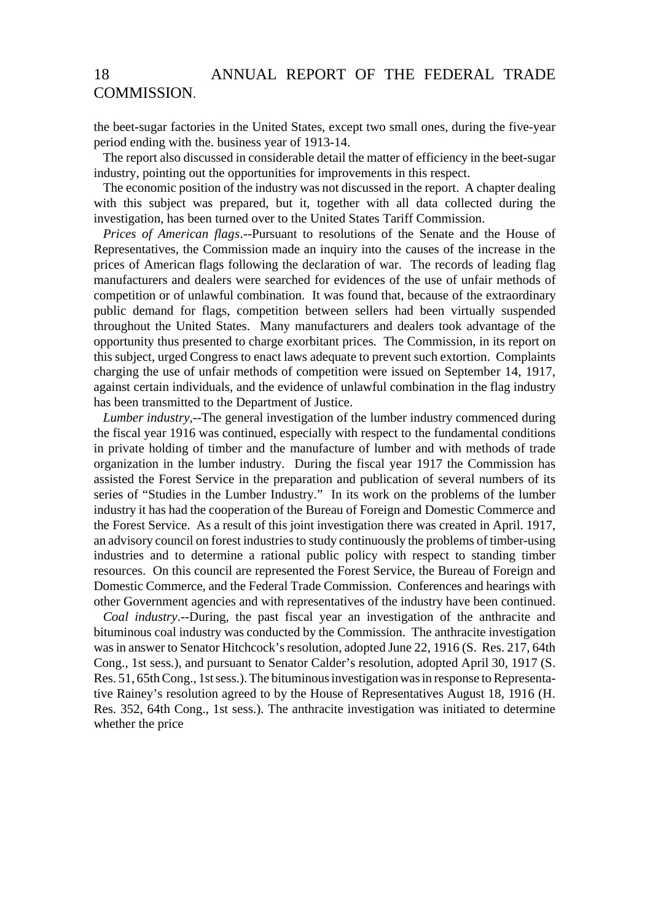the beet-sugar factories in the United States, except two small ones, during the five-year period ending with the. business year of 1913-14.

The report also discussed in considerable detail the matter of efficiency in the beet-sugar industry, pointing out the opportunities for improvements in this respect.

The economic position of the industry was not discussed in the report. A chapter dealing with this subject was prepared, but it, together with all data collected during the investigation, has been turned over to the United States Tariff Commission.

*Prices of American flags*.--Pursuant to resolutions of the Senate and the House of Representatives, the Commission made an inquiry into the causes of the increase in the prices of American flags following the declaration of war. The records of leading flag manufacturers and dealers were searched for evidences of the use of unfair methods of competition or of unlawful combination. It was found that, because of the extraordinary public demand for flags, competition between sellers had been virtually suspended throughout the United States. Many manufacturers and dealers took advantage of the opportunity thus presented to charge exorbitant prices. The Commission, in its report on this subject, urged Congress to enact laws adequate to prevent such extortion. Complaints charging the use of unfair methods of competition were issued on September 14, 1917, against certain individuals, and the evidence of unlawful combination in the flag industry has been transmitted to the Department of Justice.

*Lumber industry,*--The general investigation of the lumber industry commenced during the fiscal year 1916 was continued, especially with respect to the fundamental conditions in private holding of timber and the manufacture of lumber and with methods of trade organization in the lumber industry. During the fiscal year 1917 the Commission has assisted the Forest Service in the preparation and publication of several numbers of its series of "Studies in the Lumber Industry." In its work on the problems of the lumber industry it has had the cooperation of the Bureau of Foreign and Domestic Commerce and the Forest Service. As a result of this joint investigation there was created in April. 1917, an advisory council on forest industries to study continuously the problems of timber-using industries and to determine a rational public policy with respect to standing timber resources. On this council are represented the Forest Service, the Bureau of Foreign and Domestic Commerce, and the Federal Trade Commission. Conferences and hearings with other Government agencies and with representatives of the industry have been continued.

*Coal industry*.--During, the past fiscal year an investigation of the anthracite and bituminous coal industry was conducted by the Commission. The anthracite investigation was in answer to Senator Hitchcock's resolution, adopted June 22, 1916 (S. Res. 217, 64th Cong., 1st sess.), and pursuant to Senator Calder's resolution, adopted April 30, 1917 (S. Res. 51, 65th Cong., 1st sess.). The bituminous investigation was in response to Representative Rainey's resolution agreed to by the House of Representatives August 18, 1916 (H. Res. 352, 64th Cong., 1st sess.). The anthracite investigation was initiated to determine whether the price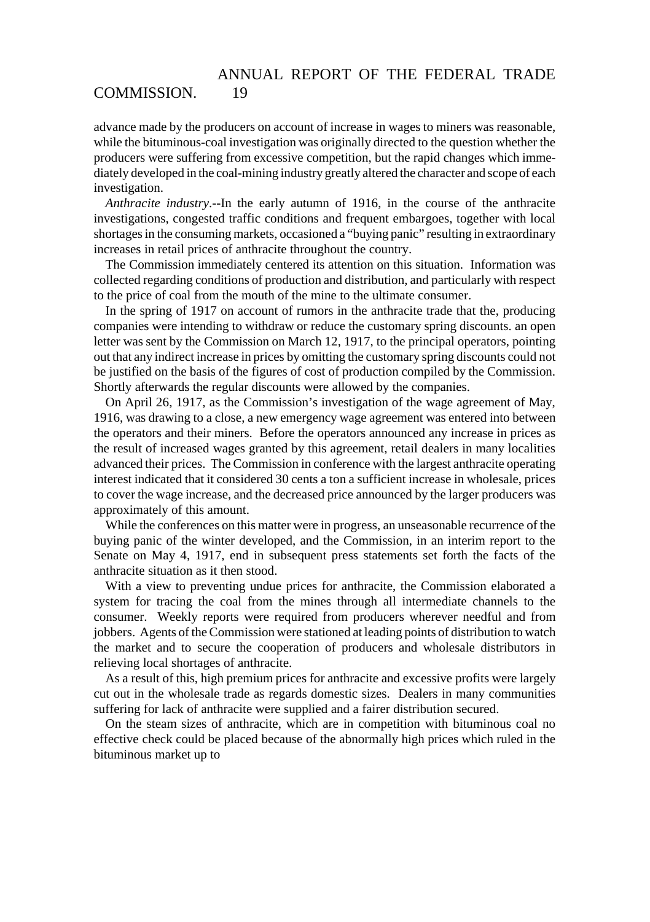advance made by the producers on account of increase in wages to miners was reasonable, while the bituminous-coal investigation was originally directed to the question whether the producers were suffering from excessive competition, but the rapid changes which immediately developed in the coal-mining industry greatly altered the character and scope of each investigation.

*Anthracite industry*.--In the early autumn of 1916, in the course of the anthracite investigations, congested traffic conditions and frequent embargoes, together with local shortages in the consuming markets, occasioned a "buying panic" resulting in extraordinary increases in retail prices of anthracite throughout the country.

The Commission immediately centered its attention on this situation. Information was collected regarding conditions of production and distribution, and particularly with respect to the price of coal from the mouth of the mine to the ultimate consumer.

In the spring of 1917 on account of rumors in the anthracite trade that the, producing companies were intending to withdraw or reduce the customary spring discounts. an open letter was sent by the Commission on March 12, 1917, to the principal operators, pointing out that any indirect increase in prices by omitting the customary spring discounts could not be justified on the basis of the figures of cost of production compiled by the Commission. Shortly afterwards the regular discounts were allowed by the companies.

On April 26, 1917, as the Commission's investigation of the wage agreement of May, 1916, was drawing to a close, a new emergency wage agreement was entered into between the operators and their miners. Before the operators announced any increase in prices as the result of increased wages granted by this agreement, retail dealers in many localities advanced their prices. The Commission in conference with the largest anthracite operating interest indicated that it considered 30 cents a ton a sufficient increase in wholesale, prices to cover the wage increase, and the decreased price announced by the larger producers was approximately of this amount.

While the conferences on this matter were in progress, an unseasonable recurrence of the buying panic of the winter developed, and the Commission, in an interim report to the Senate on May 4, 1917, end in subsequent press statements set forth the facts of the anthracite situation as it then stood.

With a view to preventing undue prices for anthracite, the Commission elaborated a system for tracing the coal from the mines through all intermediate channels to the consumer. Weekly reports were required from producers wherever needful and from jobbers. Agents of the Commission were stationed at leading points of distribution to watch the market and to secure the cooperation of producers and wholesale distributors in relieving local shortages of anthracite.

As a result of this, high premium prices for anthracite and excessive profits were largely cut out in the wholesale trade as regards domestic sizes. Dealers in many communities suffering for lack of anthracite were supplied and a fairer distribution secured.

On the steam sizes of anthracite, which are in competition with bituminous coal no effective check could be placed because of the abnormally high prices which ruled in the bituminous market up to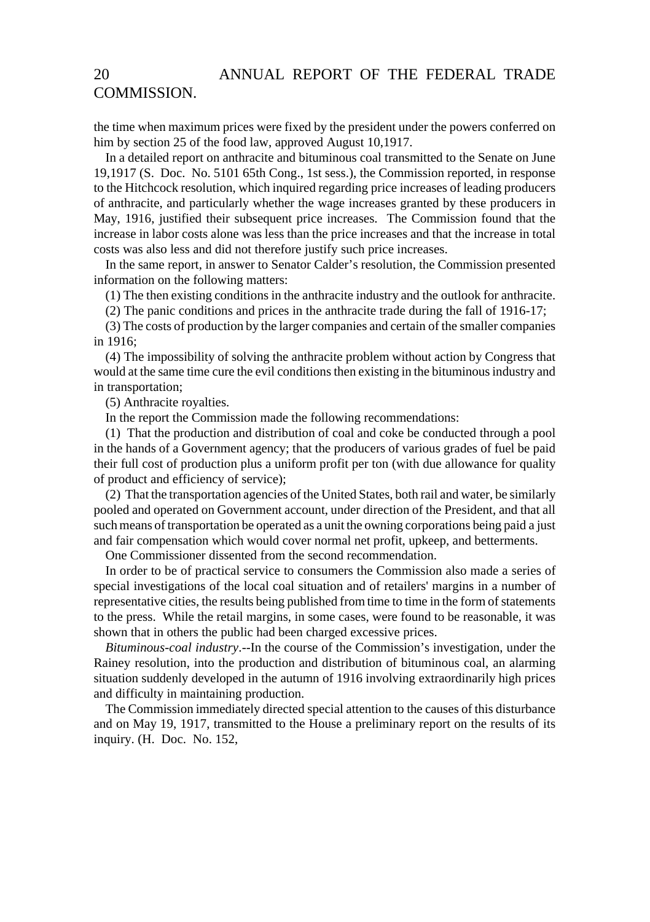the time when maximum prices were fixed by the president under the powers conferred on him by section 25 of the food law, approved August 10,1917.

In a detailed report on anthracite and bituminous coal transmitted to the Senate on June 19,1917 (S. Doc. No. 5101 65th Cong., 1st sess.), the Commission reported, in response to the Hitchcock resolution, which inquired regarding price increases of leading producers of anthracite, and particularly whether the wage increases granted by these producers in May, 1916, justified their subsequent price increases. The Commission found that the increase in labor costs alone was less than the price increases and that the increase in total costs was also less and did not therefore justify such price increases.

In the same report, in answer to Senator Calder's resolution, the Commission presented information on the following matters:

(1) The then existing conditions in the anthracite industry and the outlook for anthracite.

(2) The panic conditions and prices in the anthracite trade during the fall of 1916-17;

(3) The costs of production by the larger companies and certain of the smaller companies in 1916;

(4) The impossibility of solving the anthracite problem without action by Congress that would at the same time cure the evil conditionsthen existing in the bituminousindustry and in transportation;

(5) Anthracite royalties.

In the report the Commission made the following recommendations:

(1) That the production and distribution of coal and coke be conducted through a pool in the hands of a Government agency; that the producers of various grades of fuel be paid their full cost of production plus a uniform profit per ton (with due allowance for quality of product and efficiency of service);

(2) That the transportation agencies of the United States, both rail and water, be similarly pooled and operated on Government account, under direction of the President, and that all such means oftransportation be operated as a unit the owning corporations being paid a just and fair compensation which would cover normal net profit, upkeep, and betterments.

One Commissioner dissented from the second recommendation.

In order to be of practical service to consumers the Commission also made a series of special investigations of the local coal situation and of retailers' margins in a number of representative cities, the results being published from time to time in the form of statements to the press. While the retail margins, in some cases, were found to be reasonable, it was shown that in others the public had been charged excessive prices.

*Bituminous-coal industry*.--In the course of the Commission's investigation, under the Rainey resolution, into the production and distribution of bituminous coal, an alarming situation suddenly developed in the autumn of 1916 involving extraordinarily high prices and difficulty in maintaining production.

The Commission immediately directed special attention to the causes of this disturbance and on May 19, 1917, transmitted to the House a preliminary report on the results of its inquiry. (H. Doc. No. 152,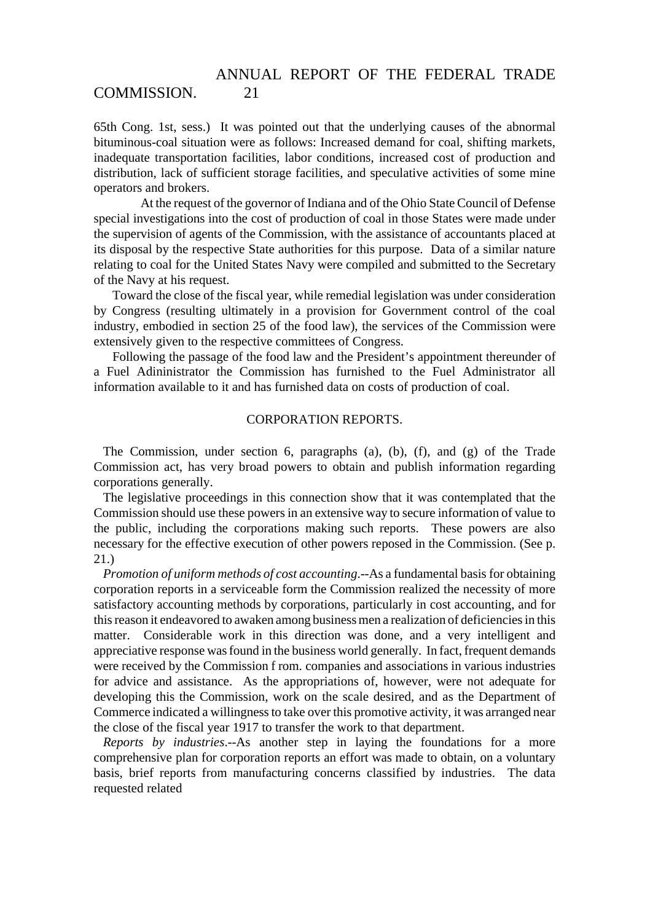65th Cong. 1st, sess.) It was pointed out that the underlying causes of the abnormal bituminous-coal situation were as follows: Increased demand for coal, shifting markets, inadequate transportation facilities, labor conditions, increased cost of production and distribution, lack of sufficient storage facilities, and speculative activities of some mine operators and brokers.

At the request of the governor of Indiana and of the Ohio State Council of Defense special investigations into the cost of production of coal in those States were made under the supervision of agents of the Commission, with the assistance of accountants placed at its disposal by the respective State authorities for this purpose. Data of a similar nature relating to coal for the United States Navy were compiled and submitted to the Secretary of the Navy at his request.

Toward the close of the fiscal year, while remedial legislation was under consideration by Congress (resulting ultimately in a provision for Government control of the coal industry, embodied in section 25 of the food law), the services of the Commission were extensively given to the respective committees of Congress.

Following the passage of the food law and the President's appointment thereunder of a Fuel Adininistrator the Commission has furnished to the Fuel Administrator all information available to it and has furnished data on costs of production of coal.

#### CORPORATION REPORTS.

The Commission, under section 6, paragraphs (a), (b), (f), and (g) of the Trade Commission act, has very broad powers to obtain and publish information regarding corporations generally.

The legislative proceedings in this connection show that it was contemplated that the Commission should use these powersin an extensive way to secure information of value to the public, including the corporations making such reports. These powers are also necessary for the effective execution of other powers reposed in the Commission. (See p. 21.)

*Promotion of uniform methods of cost accounting*.--As a fundamental basisfor obtaining corporation reports in a serviceable form the Commission realized the necessity of more satisfactory accounting methods by corporations, particularly in cost accounting, and for this reason it endeavored to awaken among business men a realization of deficiencies in this matter. Considerable work in this direction was done, and a very intelligent and appreciative response wasfound in the business world generally. In fact, frequent demands were received by the Commission f rom. companies and associations in various industries for advice and assistance. As the appropriations of, however, were not adequate for developing this the Commission, work on the scale desired, and as the Department of Commerce indicated a willingnessto take over this promotive activity, it was arranged near the close of the fiscal year 1917 to transfer the work to that department.

*Reports by industries*.--As another step in laying the foundations for a more comprehensive plan for corporation reports an effort was made to obtain, on a voluntary basis, brief reports from manufacturing concerns classified by industries. The data requested related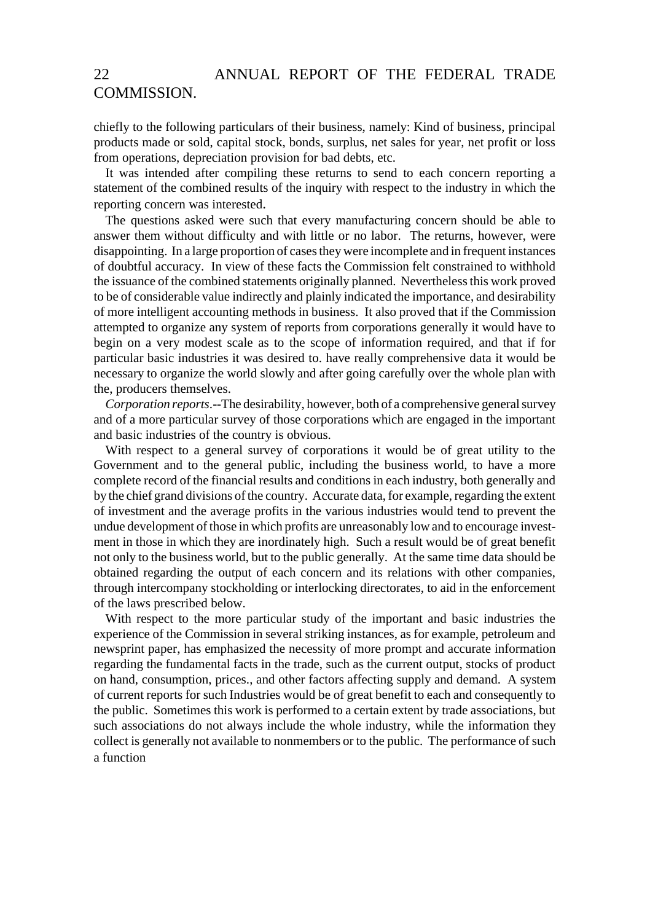chiefly to the following particulars of their business, namely: Kind of business, principal products made or sold, capital stock, bonds, surplus, net sales for year, net profit or loss from operations, depreciation provision for bad debts, etc.

It was intended after compiling these returns to send to each concern reporting a statement of the combined results of the inquiry with respect to the industry in which the reporting concern was interested.

The questions asked were such that every manufacturing concern should be able to answer them without difficulty and with little or no labor. The returns, however, were disappointing. In a large proportion of cases they were incomplete and in frequent instances of doubtful accuracy. In view of these facts the Commission felt constrained to withhold the issuance of the combined statements originally planned. Nevertheless this work proved to be of considerable value indirectly and plainly indicated the importance, and desirability of more intelligent accounting methods in business. It also proved that if the Commission attempted to organize any system of reports from corporations generally it would have to begin on a very modest scale as to the scope of information required, and that if for particular basic industries it was desired to. have really comprehensive data it would be necessary to organize the world slowly and after going carefully over the whole plan with the, producers themselves.

*Corporation reports*.--The desirability, however, both of a comprehensive general survey and of a more particular survey of those corporations which are engaged in the important and basic industries of the country is obvious.

With respect to a general survey of corporations it would be of great utility to the Government and to the general public, including the business world, to have a more complete record of the financial results and conditions in each industry, both generally and by the chief grand divisions of the country. Accurate data, for example, regarding the extent of investment and the average profits in the various industries would tend to prevent the undue development of those in which profits are unreasonably low and to encourage investment in those in which they are inordinately high. Such a result would be of great benefit not only to the business world, but to the public generally. At the same time data should be obtained regarding the output of each concern and its relations with other companies, through intercompany stockholding or interlocking directorates, to aid in the enforcement of the laws prescribed below.

With respect to the more particular study of the important and basic industries the experience of the Commission in several striking instances, as for example, petroleum and newsprint paper, has emphasized the necessity of more prompt and accurate information regarding the fundamental facts in the trade, such as the current output, stocks of product on hand, consumption, prices., and other factors affecting supply and demand. A system of current reports for such Industries would be of great benefit to each and consequently to the public. Sometimes this work is performed to a certain extent by trade associations, but such associations do not always include the whole industry, while the information they collect is generally not available to nonmembers or to the public. The performance of such a function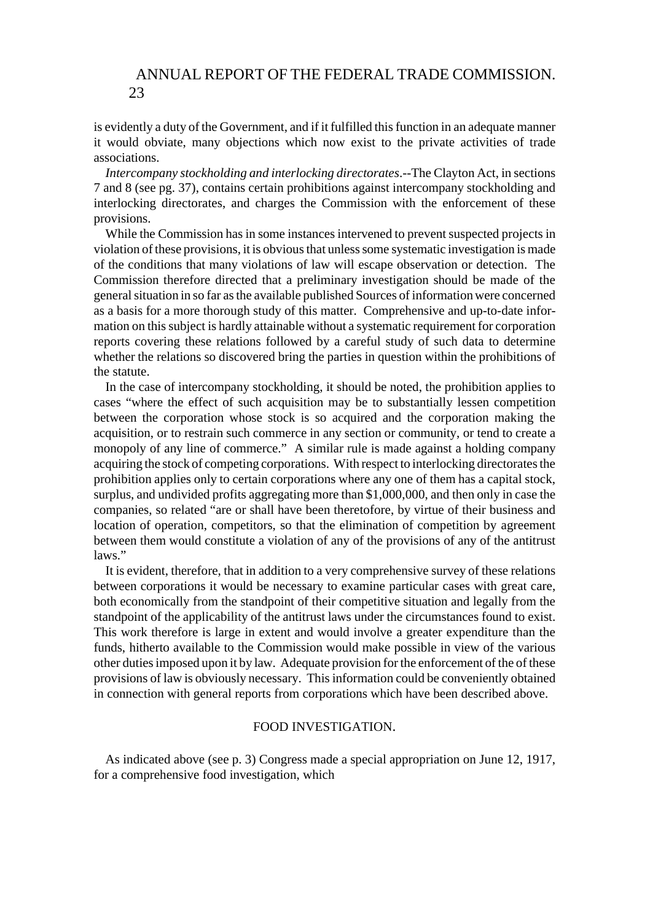is evidently a duty of the Government, and if it fulfilled this function in an adequate manner it would obviate, many objections which now exist to the private activities of trade associations.

*Intercompany stockholding and interlocking directorates*.--The Clayton Act, in sections 7 and 8 (see pg. 37), contains certain prohibitions against intercompany stockholding and interlocking directorates, and charges the Commission with the enforcement of these provisions.

While the Commission has in some instances intervened to prevent suspected projects in violation ofthese provisions, it is obviousthat unlesssome systematic investigation is made of the conditions that many violations of law will escape observation or detection. The Commission therefore directed that a preliminary investigation should be made of the generalsituation in so far asthe available published Sources ofinformationwere concerned as a basis for a more thorough study of this matter. Comprehensive and up-to-date information on thissubject is hardly attainable without a systematic requirement for corporation reports covering these relations followed by a careful study of such data to determine whether the relations so discovered bring the parties in question within the prohibitions of the statute.

In the case of intercompany stockholding, it should be noted, the prohibition applies to cases "where the effect of such acquisition may be to substantially lessen competition between the corporation whose stock is so acquired and the corporation making the acquisition, or to restrain such commerce in any section or community, or tend to create a monopoly of any line of commerce." A similar rule is made against a holding company acquiring the stock of competing corporations. With respect to interlocking directorates the prohibition applies only to certain corporations where any one of them has a capital stock, surplus, and undivided profits aggregating more than \$1,000,000, and then only in case the companies, so related "are or shall have been theretofore, by virtue of their business and location of operation, competitors, so that the elimination of competition by agreement between them would constitute a violation of any of the provisions of any of the antitrust laws."

It is evident, therefore, that in addition to a very comprehensive survey of these relations between corporations it would be necessary to examine particular cases with great care, both economically from the standpoint of their competitive situation and legally from the standpoint of the applicability of the antitrust laws under the circumstances found to exist. This work therefore is large in extent and would involve a greater expenditure than the funds, hitherto available to the Commission would make possible in view of the various other dutiesimposed upon it by law. Adequate provision for the enforcement of the of these provisions of law is obviously necessary. This information could be conveniently obtained in connection with general reports from corporations which have been described above.

#### FOOD INVESTIGATION.

As indicated above (see p. 3) Congress made a special appropriation on June 12, 1917, for a comprehensive food investigation, which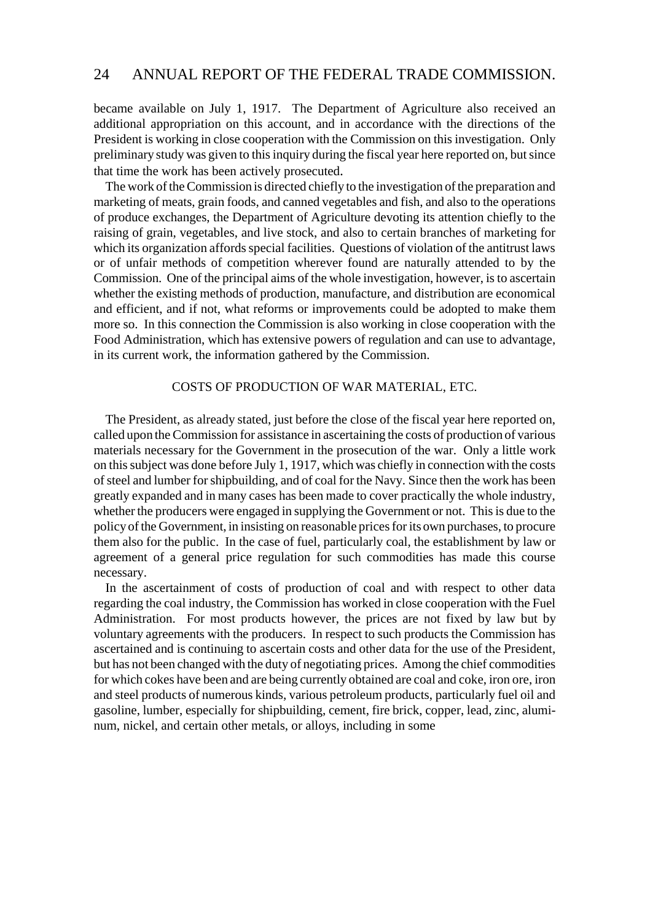became available on July 1, 1917. The Department of Agriculture also received an additional appropriation on this account, and in accordance with the directions of the President is working in close cooperation with the Commission on this investigation. Only preliminary study was given to thisinquiry during the fiscal year here reported on, butsince that time the work has been actively prosecuted.

The work of the Commission is directed chiefly to the investigation of the preparation and marketing of meats, grain foods, and canned vegetables and fish, and also to the operations of produce exchanges, the Department of Agriculture devoting its attention chiefly to the raising of grain, vegetables, and live stock, and also to certain branches of marketing for which its organization affords special facilities. Questions of violation of the antitrust laws or of unfair methods of competition wherever found are naturally attended to by the Commission. One of the principal aims of the whole investigation, however, is to ascertain whether the existing methods of production, manufacture, and distribution are economical and efficient, and if not, what reforms or improvements could be adopted to make them more so. In this connection the Commission is also working in close cooperation with the Food Administration, which has extensive powers of regulation and can use to advantage, in its current work, the information gathered by the Commission.

#### COSTS OF PRODUCTION OF WAR MATERIAL, ETC.

The President, as already stated, just before the close of the fiscal year here reported on, called upon the Commission for assistance in ascertaining the costs of production of various materials necessary for the Government in the prosecution of the war. Only a little work on thissubject was done before July 1, 1917, which was chiefly in connection with the costs ofsteel and lumber forshipbuilding, and of coal for the Navy. Since then the work has been greatly expanded and in many cases has been made to cover practically the whole industry, whether the producers were engaged in supplying the Government or not. This is due to the policy ofthe Government, in insisting on reasonable pricesforits own purchases, to procure them also for the public. In the case of fuel, particularly coal, the establishment by law or agreement of a general price regulation for such commodities has made this course necessary.

In the ascertainment of costs of production of coal and with respect to other data regarding the coal industry, the Commission has worked in close cooperation with the Fuel Administration. For most products however, the prices are not fixed by law but by voluntary agreements with the producers. In respect to such products the Commission has ascertained and is continuing to ascertain costs and other data for the use of the President, but has not been changed with the duty of negotiating prices. Among the chief commodities for which cokes have been and are being currently obtained are coal and coke, iron ore, iron and steel products of numerous kinds, various petroleum products, particularly fuel oil and gasoline, lumber, especially for shipbuilding, cement, fire brick, copper, lead, zinc, aluminum, nickel, and certain other metals, or alloys, including in some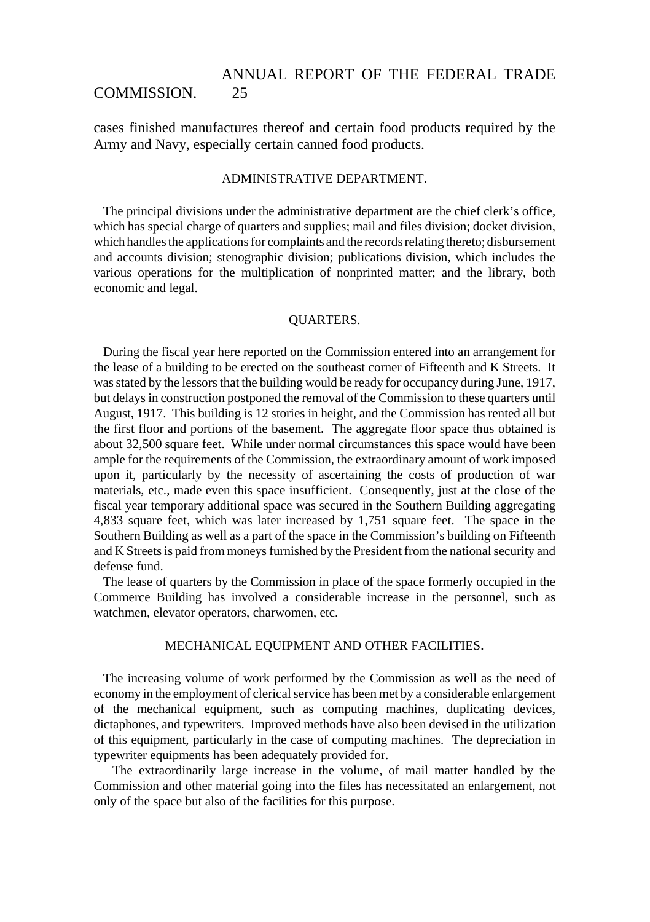cases finished manufactures thereof and certain food products required by the Army and Navy, especially certain canned food products.

#### ADMINISTRATIVE DEPARTMENT.

The principal divisions under the administrative department are the chief clerk's office, which has special charge of quarters and supplies; mail and files division; docket division, which handles the applications for complaints and the records relating thereto; disbursement and accounts division; stenographic division; publications division, which includes the various operations for the multiplication of nonprinted matter; and the library, both economic and legal.

#### QUARTERS.

During the fiscal year here reported on the Commission entered into an arrangement for the lease of a building to be erected on the southeast corner of Fifteenth and K Streets. It was stated by the lessors that the building would be ready for occupancy during June, 1917, but delays in construction postponed the removal of the Commission to these quarters until August, 1917. This building is 12 stories in height, and the Commission has rented all but the first floor and portions of the basement. The aggregate floor space thus obtained is about 32,500 square feet. While under normal circumstances this space would have been ample for the requirements of the Commission, the extraordinary amount of work imposed upon it, particularly by the necessity of ascertaining the costs of production of war materials, etc., made even this space insufficient. Consequently, just at the close of the fiscal year temporary additional space was secured in the Southern Building aggregating 4,833 square feet, which was later increased by 1,751 square feet. The space in the Southern Building as well as a part of the space in the Commission's building on Fifteenth and K Streets is paid from moneys furnished by the President from the national security and defense fund.

The lease of quarters by the Commission in place of the space formerly occupied in the Commerce Building has involved a considerable increase in the personnel, such as watchmen, elevator operators, charwomen, etc.

#### MECHANICAL EQUIPMENT AND OTHER FACILITIES.

The increasing volume of work performed by the Commission as well as the need of economy in the employment of clerical service has been met by a considerable enlargement of the mechanical equipment, such as computing machines, duplicating devices, dictaphones, and typewriters. Improved methods have also been devised in the utilization of this equipment, particularly in the case of computing machines. The depreciation in typewriter equipments has been adequately provided for.

The extraordinarily large increase in the volume, of mail matter handled by the Commission and other material going into the files has necessitated an enlargement, not only of the space but also of the facilities for this purpose.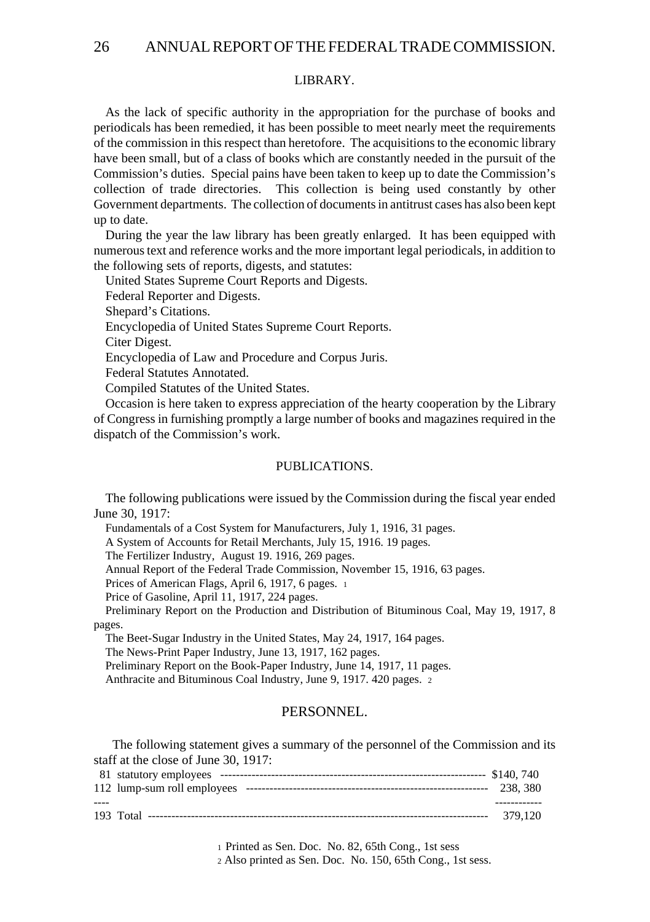#### LIBRARY.

As the lack of specific authority in the appropriation for the purchase of books and periodicals has been remedied, it has been possible to meet nearly meet the requirements of the commission in this respect than heretofore. The acquisitions to the economic library have been small, but of a class of books which are constantly needed in the pursuit of the Commission's duties. Special pains have been taken to keep up to date the Commission's collection of trade directories. This collection is being used constantly by other Government departments. The collection of documents in antitrust cases has also been kept up to date.

During the year the law library has been greatly enlarged. It has been equipped with numeroustext and reference works and the more important legal periodicals, in addition to the following sets of reports, digests, and statutes:

United States Supreme Court Reports and Digests.

Federal Reporter and Digests.

Shepard's Citations.

Encyclopedia of United States Supreme Court Reports.

Citer Digest.

Encyclopedia of Law and Procedure and Corpus Juris.

Federal Statutes Annotated.

Compiled Statutes of the United States.

Occasion is here taken to express appreciation of the hearty cooperation by the Library of Congress in furnishing promptly a large number of books and magazines required in the dispatch of the Commission's work.

#### PUBLICATIONS.

The following publications were issued by the Commission during the fiscal year ended June 30, 1917:

Fundamentals of a Cost System for Manufacturers, July 1, 1916, 31 pages.

A System of Accounts for Retail Merchants, July 15, 1916. 19 pages.

The Fertilizer Industry, August 19. 1916, 269 pages.

Annual Report of the Federal Trade Commission, November 15, 1916, 63 pages.

Prices of American Flags, April 6, 1917, 6 pages. <sup>1</sup>

Price of Gasoline, April 11, 1917, 224 pages.

Preliminary Report on the Production and Distribution of Bituminous Coal, May 19, 1917, 8 pages.

The Beet-Sugar Industry in the United States, May 24, 1917, 164 pages.

The News-Print Paper Industry, June 13, 1917, 162 pages.

Preliminary Report on the Book-Paper Industry, June 14, 1917, 11 pages.

Anthracite and Bituminous Coal Industry, June 9, 1917. 420 pages. <sup>2</sup>

#### PERSONNEL.

The following statement gives a summary of the personnel of the Commission and its staff at the close of June 30, 1917:

| 112 lump-sum roll employees | 238, 380 |
|-----------------------------|----------|
|                             |          |
|                             | 379.120  |

<sup>1</sup>Printed as Sen. Doc. No. 82, 65th Cong., 1st sess

2 Also printed as Sen. Doc. No. 150, 65th Cong., 1st sess.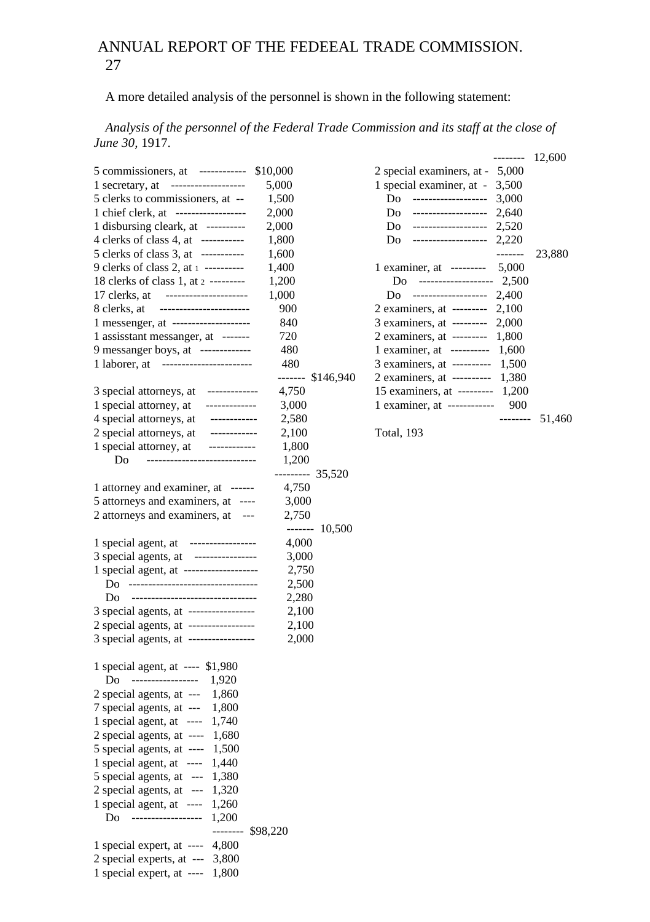A more detailed analysis of the personnel is shown in the following statement:

*Analysis of the personnel of the Federal Trade Commission and its staff at the close of June 30,* 1917.

|                                                                          |                   |                                       | -------- | 12,600 |
|--------------------------------------------------------------------------|-------------------|---------------------------------------|----------|--------|
| 5 commissioners, at ------------                                         | \$10,000          | 2 special examiners, at -             | 5,000    |        |
| 1 secretary, at<br>-------------------                                   | 5,000             | 1 special examiner, at -              | 3,500    |        |
| 5 clerks to commissioners, at --                                         | 1,500             | -------------------<br>D <sub>o</sub> | 3,000    |        |
| 1 chief clerk, at ------------------                                     | 2,000             | -------------------<br>Do             | 2,640    |        |
| 1 disbursing cleark, at ----------                                       | 2,000             | -------------------<br>Do             | 2,520    |        |
| 4 clerks of class 4, at -----------                                      | 1,800             | -------------------<br>Do             | 2,220    |        |
| 5 clerks of class 3, at -----------                                      | 1,600             |                                       | -------  | 23,880 |
| 9 clerks of class 2, at 1 ----------                                     | 1,400             | 1 examiner, at ---------              | 5,000    |        |
| 18 clerks of class 1, at 2 ---------                                     | 1,200             | -------------------- 2,500<br>Do.     |          |        |
| 17 clerks, at<br>---------------------                                   | 1,000             | -------------------<br>Do.            | 2,400    |        |
| -----------------------<br>8 clerks, at                                  | 900               | 2 examiners, at --------- 2,100       |          |        |
| 1 messenger, at --------------------                                     | 840               | 3 examiners, at --------- 2,000       |          |        |
| 1 assisstant messanger, at ------                                        | 720               | 2 examiners, at ---------             | 1,800    |        |
| 9 messanger boys, at -------------                                       | 480               | 1 examiner, at ----------             | 1,600    |        |
| 1 laborer, at -----------------------                                    | 480               | 3 examiners, at ----------            | 1,500    |        |
|                                                                          | ------- \$146,940 | 2 examiners, at ---------- 1,380      |          |        |
| 3 special attorneys, at<br>-------------                                 | 4,750             | 15 examiners, at --------- 1,200      |          |        |
| 1 special attorney, at<br>-------------                                  | 3,000             | 1 examiner, at ------------           | 900      |        |
| 4 special attorneys, at<br>------------                                  | 2,580             |                                       | -------- | 51,460 |
| 2 special attorneys, at<br>------------                                  | 2,100             | Total, 193                            |          |        |
| 1 special attorney, at<br>------------                                   | 1,800             |                                       |          |        |
| Do<br>----------------------------                                       | 1,200             |                                       |          |        |
|                                                                          | --------- 35,520  |                                       |          |        |
| 1 attorney and examiner, at ------                                       | 4,750             |                                       |          |        |
| 5 attorneys and examiners, at ----                                       | 3,000             |                                       |          |        |
| 2 attorneys and examiners, at ---                                        | 2,750             |                                       |          |        |
|                                                                          | $--- 10,500$      |                                       |          |        |
| 1 special agent, at -----------------                                    | 4,000             |                                       |          |        |
| 3 special agents, at ----------------                                    | 3,000             |                                       |          |        |
| 1 special agent, at --------------------                                 | 2,750             |                                       |          |        |
| D <sub>0</sub> -----------------------------------                       | 2,500             |                                       |          |        |
| --------------------------------<br>Do.                                  | 2,280             |                                       |          |        |
| 3 special agents, at -----------------                                   | 2,100             |                                       |          |        |
| 2 special agents, at -----------------                                   | 2,100             |                                       |          |        |
| 3 special agents, at -----------------                                   |                   |                                       |          |        |
|                                                                          | 2,000             |                                       |          |        |
| 1 special agent, at $---$ \$1,980                                        |                   |                                       |          |        |
| Do ------------------<br>1,920                                           |                   |                                       |          |        |
| 2 special agents, at ---<br>1,860                                        |                   |                                       |          |        |
| 7 special agents, at ---<br>1,800                                        |                   |                                       |          |        |
| 1 special agent, at ----<br>1,740                                        |                   |                                       |          |        |
| 2 special agents, at ---- $1,680$                                        |                   |                                       |          |        |
| 5 special agents, at $--- 1,500$                                         |                   |                                       |          |        |
| 1 special agent, at $--- 1,440$                                          |                   |                                       |          |        |
| 5 special agents, at --- 1,380                                           |                   |                                       |          |        |
| 2 special agents, at ---<br>1,320                                        |                   |                                       |          |        |
| 1 special agent, at ----<br>1,260                                        |                   |                                       |          |        |
| 1,200<br>------------------<br>Do.                                       |                   |                                       |          |        |
| -------- \$98,220                                                        |                   |                                       |          |        |
| 1 special expert, at ----<br>4,800                                       |                   |                                       |          |        |
|                                                                          |                   |                                       |          |        |
| 2 special experts, at ---<br>3,800<br>1 special expert, at ----<br>1,800 |                   |                                       |          |        |
|                                                                          |                   |                                       |          |        |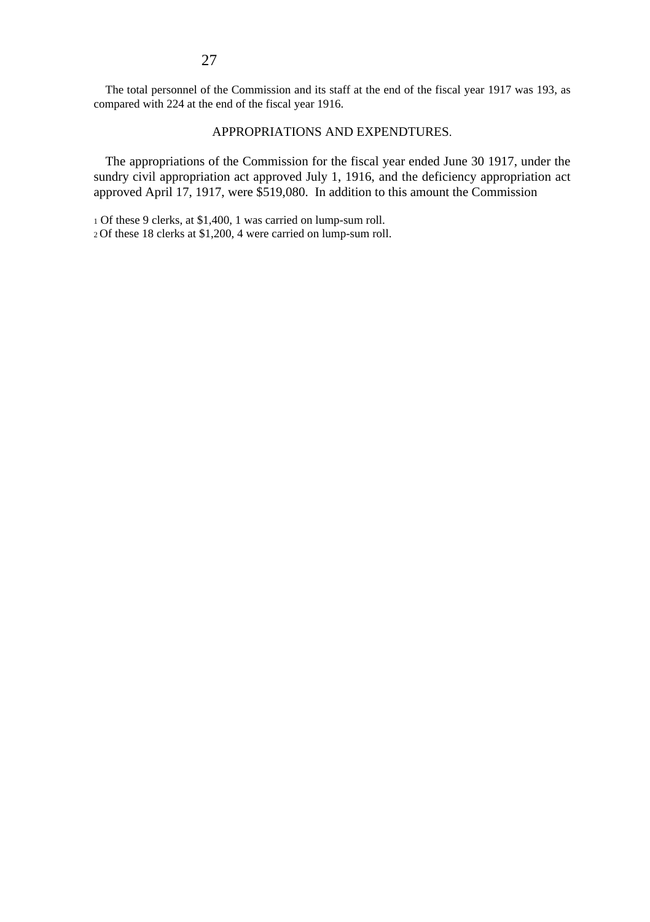The total personnel of the Commission and its staff at the end of the fiscal year 1917 was 193, as compared with 224 at the end of the fiscal year 1916.

#### APPROPRIATIONS AND EXPENDTURES.

The appropriations of the Commission for the fiscal year ended June 30 1917, under the sundry civil appropriation act approved July 1, 1916, and the deficiency appropriation act approved April 17, 1917, were \$519,080. In addition to this amount the Commission

<sup>1</sup> Of these 9 clerks, at \$1,400, 1 was carried on lump-sum roll.

2 Of these 18 clerks at \$1,200, 4 were carried on lump-sum roll.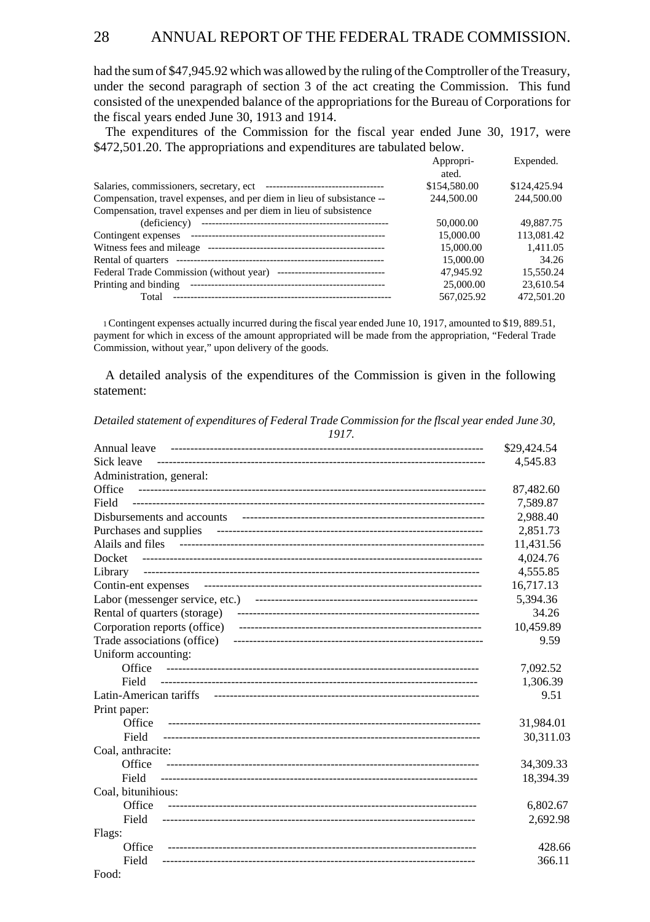had the sum of \$47,945.92 which was allowed by the ruling of the Comptroller of the Treasury, under the second paragraph of section 3 of the act creating the Commission. This fund consisted of the unexpended balance of the appropriations for the Bureau of Corporations for the fiscal years ended June 30, 1913 and 1914.

The expenditures of the Commission for the fiscal year ended June 30, 1917, were \$472,501.20. The appropriations and expenditures are tabulated below.

| Appropri-    | Expended.    |
|--------------|--------------|
| ated.        |              |
| \$154,580.00 | \$124,425.94 |
| 244,500.00   | 244,500.00   |
|              |              |
| 50,000,00    | 49,887.75    |
| 15,000.00    | 113,081.42   |
| 15,000.00    | 1,411.05     |
| 15,000.00    | 34.26        |
| 47.945.92    | 15.550.24    |
| 25,000.00    | 23.610.54    |
| 567,025.92   | 472,501.20   |
|              |              |

1Contingent expenses actually incurred during the fiscal year ended June 10, 1917, amounted to \$19, 889.51, payment for which in excess of the amount appropriated will be made from the appropriation, "Federal Trade Commission, without year," upon delivery of the goods.

A detailed analysis of the expenditures of the Commission is given in the following statement:

*Detailed statement of expenditures of Federal Trade Commission for the flscal year ended June 30,*

| 1917.                           |             |
|---------------------------------|-------------|
| Annual leave                    | \$29,424.54 |
| Sick leave                      | 4,545.83    |
| Administration, general:        |             |
| Office                          | 87,482.60   |
| Field                           | 7,589.87    |
| Disbursements and accounts      | 2,988.40    |
| Purchases and supplies          | 2,851.73    |
| Alails and files                | 11,431.56   |
| <b>Docket</b>                   | 4,024.76    |
| Library                         | 4,555.85    |
| Contin-ent expenses             | 16,717.13   |
| Labor (messenger service, etc.) | 5,394.36    |
| Rental of quarters (storage)    | 34.26       |
| Corporation reports (office)    | 10,459.89   |
| Trade associations (office)     | 9.59        |
| Uniform accounting:             |             |
| Office                          | 7,092.52    |
| Field                           | 1,306.39    |
| Latin-American tariffs          | 9.51        |
| Print paper:                    |             |
| Office                          | 31,984.01   |
| Field                           | 30,311.03   |
| Coal, anthracite:               |             |
| Office                          | 34,309.33   |
| Field                           | 18,394.39   |
| Coal, bitunihious:              |             |
| Office                          | 6,802.67    |
| Field                           | 2,692.98    |
| Flags:                          |             |
| Office                          | 428.66      |
| Field                           | 366.11      |
| Food:                           |             |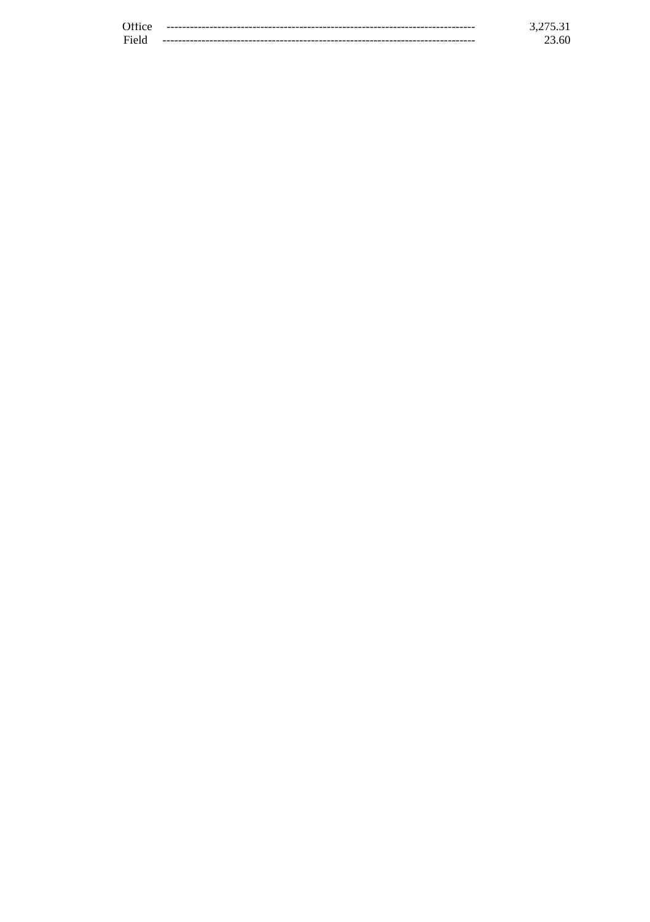| Office | ---     | 3.275.31 |
|--------|---------|----------|
| Field  | $- - -$ | 23.60    |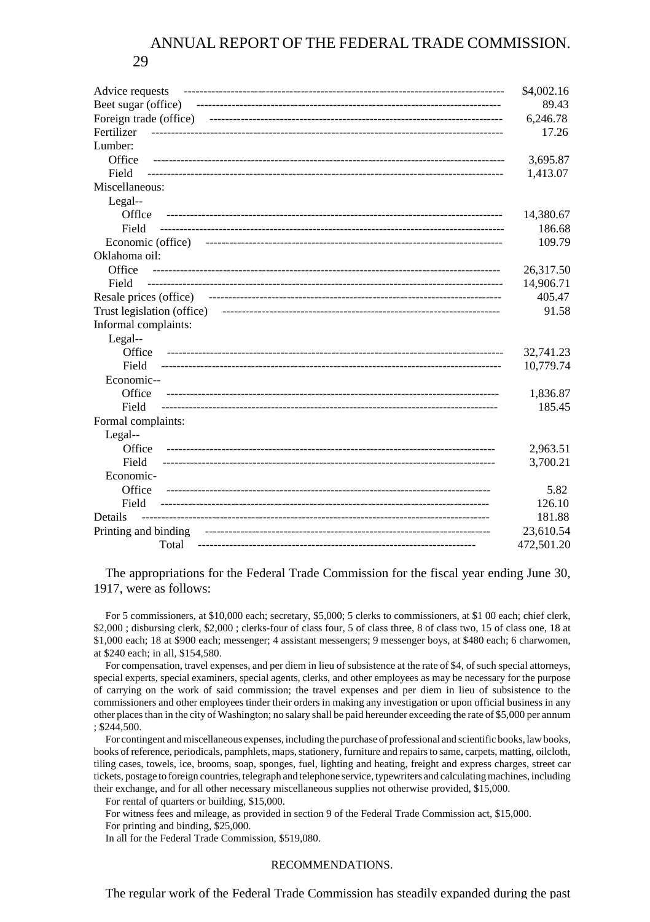| 89.43<br>6,246.78<br>Fertilizer<br>17.26<br>Lumber:<br>Office<br>3,695.87<br>Field<br>1,413.07<br>Miscellaneous:<br>Legal--<br>14,380.67<br>Offlce<br>Field<br>186.68<br>109.79<br>Oklahoma oil:<br>Office<br>26,317.50<br>Field<br>14,906.71<br>405.47<br>91.58<br>Informal complaints:<br>Legal--<br>Office<br>32,741.23<br>Field<br>10,779.74<br>Economic--<br>Office<br>1,836.87<br>Field<br>185.45<br>Formal complaints:<br>Legal--<br>Office<br>2,963.51<br>3,700.21<br>Field<br>Economic-<br>Office<br>5.82<br>Field<br>126.10<br>181.88<br>Details<br>Printing and binding<br>23,610.54<br>472,501.20<br>Total | Advice requests |  |
|------------------------------------------------------------------------------------------------------------------------------------------------------------------------------------------------------------------------------------------------------------------------------------------------------------------------------------------------------------------------------------------------------------------------------------------------------------------------------------------------------------------------------------------------------------------------------------------------------------------------|-----------------|--|
|                                                                                                                                                                                                                                                                                                                                                                                                                                                                                                                                                                                                                        |                 |  |
|                                                                                                                                                                                                                                                                                                                                                                                                                                                                                                                                                                                                                        |                 |  |
|                                                                                                                                                                                                                                                                                                                                                                                                                                                                                                                                                                                                                        |                 |  |
|                                                                                                                                                                                                                                                                                                                                                                                                                                                                                                                                                                                                                        |                 |  |
|                                                                                                                                                                                                                                                                                                                                                                                                                                                                                                                                                                                                                        |                 |  |
|                                                                                                                                                                                                                                                                                                                                                                                                                                                                                                                                                                                                                        |                 |  |
|                                                                                                                                                                                                                                                                                                                                                                                                                                                                                                                                                                                                                        |                 |  |
|                                                                                                                                                                                                                                                                                                                                                                                                                                                                                                                                                                                                                        |                 |  |
|                                                                                                                                                                                                                                                                                                                                                                                                                                                                                                                                                                                                                        |                 |  |
|                                                                                                                                                                                                                                                                                                                                                                                                                                                                                                                                                                                                                        |                 |  |
|                                                                                                                                                                                                                                                                                                                                                                                                                                                                                                                                                                                                                        |                 |  |
|                                                                                                                                                                                                                                                                                                                                                                                                                                                                                                                                                                                                                        |                 |  |
|                                                                                                                                                                                                                                                                                                                                                                                                                                                                                                                                                                                                                        |                 |  |
|                                                                                                                                                                                                                                                                                                                                                                                                                                                                                                                                                                                                                        |                 |  |
|                                                                                                                                                                                                                                                                                                                                                                                                                                                                                                                                                                                                                        |                 |  |
|                                                                                                                                                                                                                                                                                                                                                                                                                                                                                                                                                                                                                        |                 |  |
|                                                                                                                                                                                                                                                                                                                                                                                                                                                                                                                                                                                                                        |                 |  |
|                                                                                                                                                                                                                                                                                                                                                                                                                                                                                                                                                                                                                        |                 |  |
|                                                                                                                                                                                                                                                                                                                                                                                                                                                                                                                                                                                                                        |                 |  |
|                                                                                                                                                                                                                                                                                                                                                                                                                                                                                                                                                                                                                        |                 |  |
|                                                                                                                                                                                                                                                                                                                                                                                                                                                                                                                                                                                                                        |                 |  |
|                                                                                                                                                                                                                                                                                                                                                                                                                                                                                                                                                                                                                        |                 |  |
|                                                                                                                                                                                                                                                                                                                                                                                                                                                                                                                                                                                                                        |                 |  |
|                                                                                                                                                                                                                                                                                                                                                                                                                                                                                                                                                                                                                        |                 |  |
|                                                                                                                                                                                                                                                                                                                                                                                                                                                                                                                                                                                                                        |                 |  |
|                                                                                                                                                                                                                                                                                                                                                                                                                                                                                                                                                                                                                        |                 |  |
|                                                                                                                                                                                                                                                                                                                                                                                                                                                                                                                                                                                                                        |                 |  |
|                                                                                                                                                                                                                                                                                                                                                                                                                                                                                                                                                                                                                        |                 |  |
|                                                                                                                                                                                                                                                                                                                                                                                                                                                                                                                                                                                                                        |                 |  |
|                                                                                                                                                                                                                                                                                                                                                                                                                                                                                                                                                                                                                        |                 |  |
|                                                                                                                                                                                                                                                                                                                                                                                                                                                                                                                                                                                                                        |                 |  |
|                                                                                                                                                                                                                                                                                                                                                                                                                                                                                                                                                                                                                        |                 |  |
|                                                                                                                                                                                                                                                                                                                                                                                                                                                                                                                                                                                                                        |                 |  |

The appropriations for the Federal Trade Commission for the fiscal year ending June 30, 1917, were as follows:

For 5 commissioners, at \$10,000 each; secretary, \$5,000; 5 clerks to commissioners, at \$1 00 each; chief clerk, \$2,000 ; disbursing clerk, \$2,000 ; clerks-four of class four, 5 of class three, 8 of class two, 15 of class one, 18 at \$1,000 each; 18 at \$900 each; messenger; 4 assistant messengers; 9 messenger boys, at \$480 each; 6 charwomen, at \$240 each; in all, \$154,580.

For compensation, travel expenses, and per diem in lieu of subsistence at the rate of \$4, of such special attorneys, special experts, special examiners, special agents, clerks, and other employees as may be necessary for the purpose of carrying on the work of said commission; the travel expenses and per diem in lieu of subsistence to the commissioners and other employees tinder their orders in making any investigation or upon official business in any other placesthan in the city of Washington; no salary shall be paid hereunder exceeding the rate of \$5,000 per annum ; \$244,500.

For contingent and miscellaneous expenses, including the purchase of professional and scientific books, law books, books of reference, periodicals, pamphlets, maps, stationery, furniture and repairs to same, carpets, matting, oilcloth, tiling cases, towels, ice, brooms, soap, sponges, fuel, lighting and heating, freight and express charges, street car tickets, postage to foreign countries, telegraph and telephone service, typewriters and calculating machines, including their exchange, and for all other necessary miscellaneous supplies not otherwise provided, \$15,000.

For rental of quarters or building, \$15,000.

For witness fees and mileage, as provided in section 9 of the Federal Trade Commission act, \$15,000.

For printing and binding, \$25,000.

In all for the Federal Trade Commission, \$519,080.

#### RECOMMENDATIONS.

The regular work of the Federal Trade Commission has steadily expanded during the past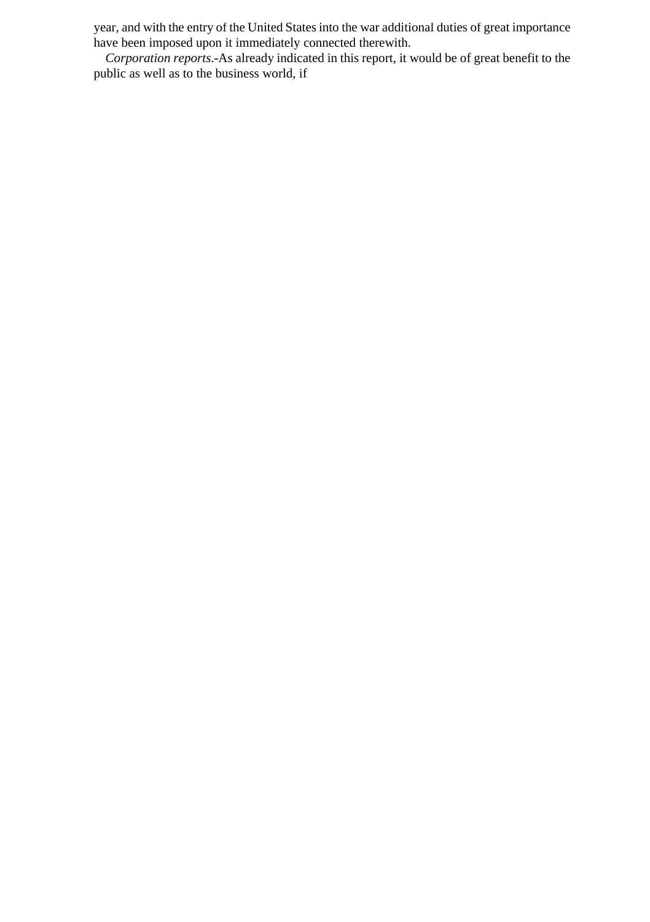year, and with the entry of the United Statesinto the war additional duties of great importance have been imposed upon it immediately connected therewith.

*Corporation reports*.-As already indicated in this report, it would be of great benefit to the public as well as to the business world, if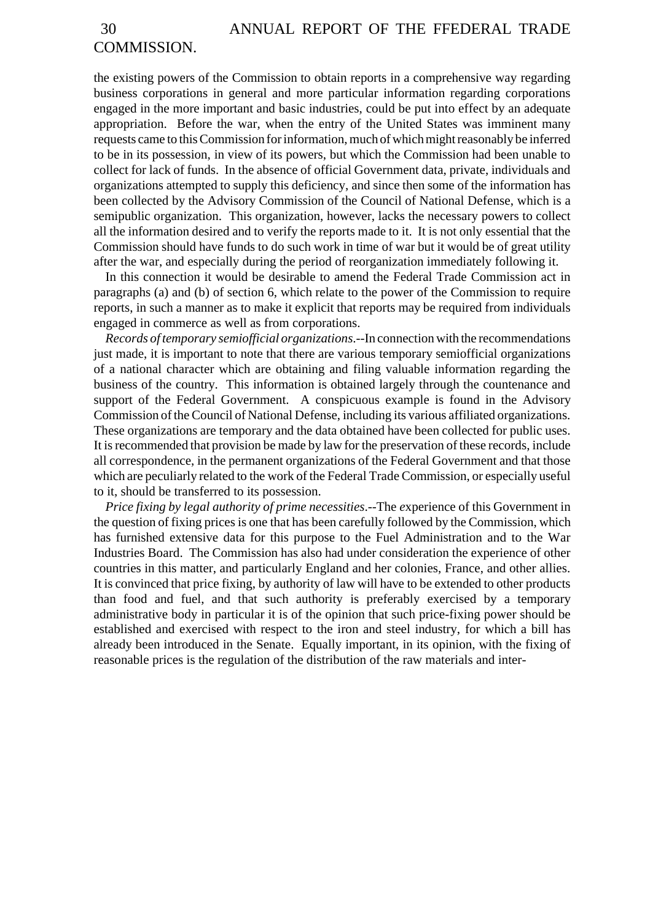## COMMISSION.

the existing powers of the Commission to obtain reports in a comprehensive way regarding business corporations in general and more particular information regarding corporations engaged in the more important and basic industries, could be put into effect by an adequate appropriation. Before the war, when the entry of the United States was imminent many requests came to thisCommission forinformation,much ofwhichmightreasonably be inferred to be in its possession, in view of its powers, but which the Commission had been unable to collect for lack of funds. In the absence of official Government data, private, individuals and organizations attempted to supply this deficiency, and since then some of the information has been collected by the Advisory Commission of the Council of National Defense, which is a semipublic organization. This organization, however, lacks the necessary powers to collect all the information desired and to verify the reports made to it. It is not only essential that the Commission should have funds to do such work in time of war but it would be of great utility after the war, and especially during the period of reorganization immediately following it.

In this connection it would be desirable to amend the Federal Trade Commission act in paragraphs (a) and (b) of section 6, which relate to the power of the Commission to require reports, in such a manner as to make it explicit that reports may be required from individuals engaged in commerce as well as from corporations.

*Records of temporary semiofficial organizations*.--In connection with the recommendations just made, it is important to note that there are various temporary semiofficial organizations of a national character which are obtaining and filing valuable information regarding the business of the country. This information is obtained largely through the countenance and support of the Federal Government. A conspicuous example is found in the Advisory Commission ofthe Council of National Defense, including its various affiliated organizations. These organizations are temporary and the data obtained have been collected for public uses. It isrecommended that provision be made by law for the preservation of these records, include all correspondence, in the permanent organizations of the Federal Government and that those which are peculiarly related to the work of the Federal Trade Commission, or especially useful to it, should be transferred to its possession.

*Price fixing by legal authority of prime necessities*.--The *e*xperience of this Government in the question of fixing pricesis one that has been carefully followed by the Commission, which has furnished extensive data for this purpose to the Fuel Administration and to the War Industries Board. The Commission has also had under consideration the experience of other countries in this matter, and particularly England and her colonies, France, and other allies. It is convinced that price fixing, by authority of law will have to be extended to other products than food and fuel, and that such authority is preferably exercised by a temporary administrative body in particular it is of the opinion that such price-fixing power should be established and exercised with respect to the iron and steel industry, for which a bill has already been introduced in the Senate. Equally important, in its opinion, with the fixing of reasonable prices is the regulation of the distribution of the raw materials and inter-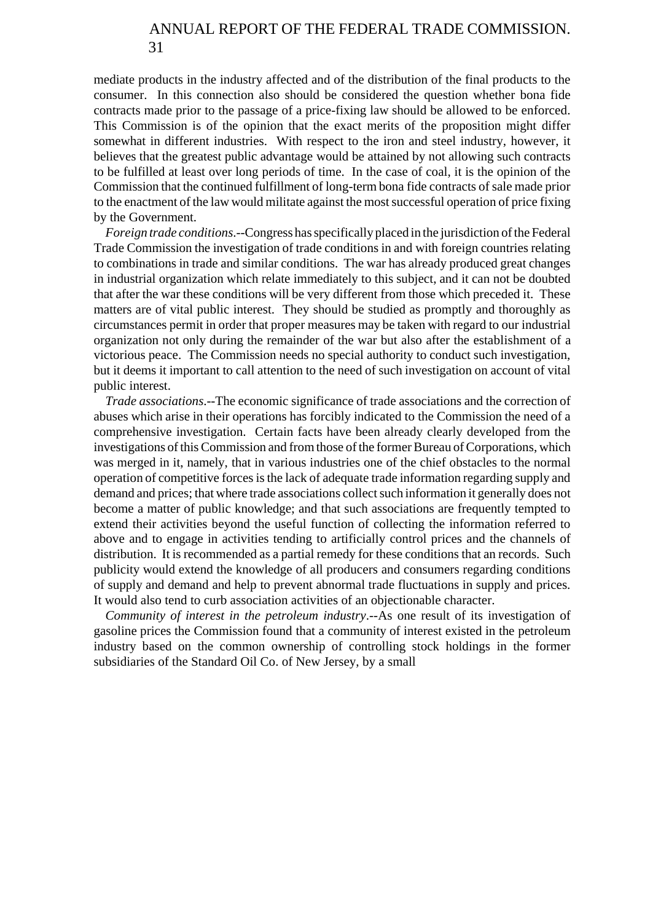mediate products in the industry affected and of the distribution of the final products to the consumer. In this connection also should be considered the question whether bona fide contracts made prior to the passage of a price-fixing law should be allowed to be enforced. This Commission is of the opinion that the exact merits of the proposition might differ somewhat in different industries. With respect to the iron and steel industry, however, it believes that the greatest public advantage would be attained by not allowing such contracts to be fulfilled at least over long periods of time. In the case of coal, it is the opinion of the Commission that the continued fulfillment of long-term bona fide contracts ofsale made prior to the enactment of the law would militate against the most successful operation of price fixing by the Government.

*Foreign trade conditions*.--Congress hasspecifically placed in the jurisdiction of the Federal Trade Commission the investigation of trade conditions in and with foreign countries relating to combinations in trade and similar conditions. The war has already produced great changes in industrial organization which relate immediately to this subject, and it can not be doubted that after the war these conditions will be very different from those which preceded it. These matters are of vital public interest. They should be studied as promptly and thoroughly as circumstances permit in order that proper measures may be taken with regard to our industrial organization not only during the remainder of the war but also after the establishment of a victorious peace. The Commission needs no special authority to conduct such investigation, but it deems it important to call attention to the need of such investigation on account of vital public interest.

*Trade associations*.--The economic significance of trade associations and the correction of abuses which arise in their operations has forcibly indicated to the Commission the need of a comprehensive investigation. Certain facts have been already clearly developed from the investigations of this Commission and from those of the former Bureau of Corporations, which was merged in it, namely, that in various industries one of the chief obstacles to the normal operation of competitive forcesisthe lack of adequate trade information regarding supply and demand and prices; that where trade associations collect such information it generally does not become a matter of public knowledge; and that such associations are frequently tempted to extend their activities beyond the useful function of collecting the information referred to above and to engage in activities tending to artificially control prices and the channels of distribution. It is recommended as a partial remedy for these conditions that an records. Such publicity would extend the knowledge of all producers and consumers regarding conditions of supply and demand and help to prevent abnormal trade fluctuations in supply and prices. It would also tend to curb association activities of an objectionable character.

*Community of interest in the petroleum industry*.--As one result of its investigation of gasoline prices the Commission found that a community of interest existed in the petroleum industry based on the common ownership of controlling stock holdings in the former subsidiaries of the Standard Oil Co. of New Jersey, by a small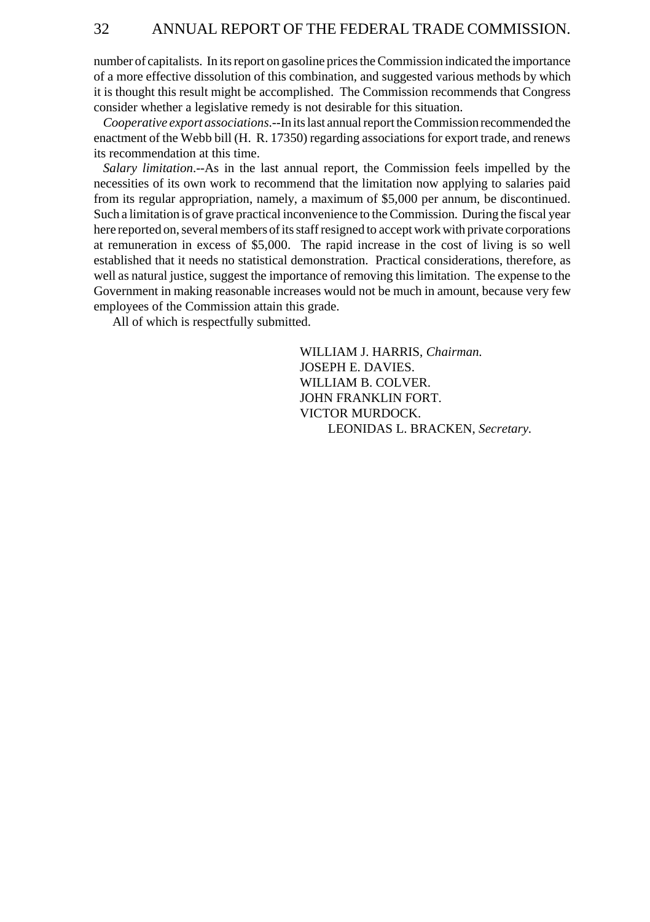number of capitalists. In its report on gasoline prices the Commission indicated the importance of a more effective dissolution of this combination, and suggested various methods by which it is thought this result might be accomplished. The Commission recommends that Congress consider whether a legislative remedy is not desirable for this situation.

*Cooperative export associations*.--In itslast annualreport the Commission recommended the enactment of the Webb bill (H. R. 17350) regarding associations for export trade, and renews its recommendation at this time.

*Salary limitation*.--As in the last annual report, the Commission feels impelled by the necessities of its own work to recommend that the limitation now applying to salaries paid from its regular appropriation, namely, a maximum of \$5,000 per annum, be discontinued. Such a limitation is of grave practical inconvenience to theCommission. During the fiscal year here reported on, several members of its staff resigned to accept work with private corporations at remuneration in excess of \$5,000. The rapid increase in the cost of living is so well established that it needs no statistical demonstration. Practical considerations, therefore, as well as natural justice, suggest the importance of removing this limitation. The expense to the Government in making reasonable increases would not be much in amount, because very few employees of the Commission attain this grade.

All of which is respectfully submitted.

WILLIAM J. HARRIS, *Chairman.* JOSEPH E. DAVIES. WILLIAM B. COLVER. JOHN FRANKLIN FORT. VICTOR MURDOCK. LEONIDAS L. BRACKEN, *Secretary.*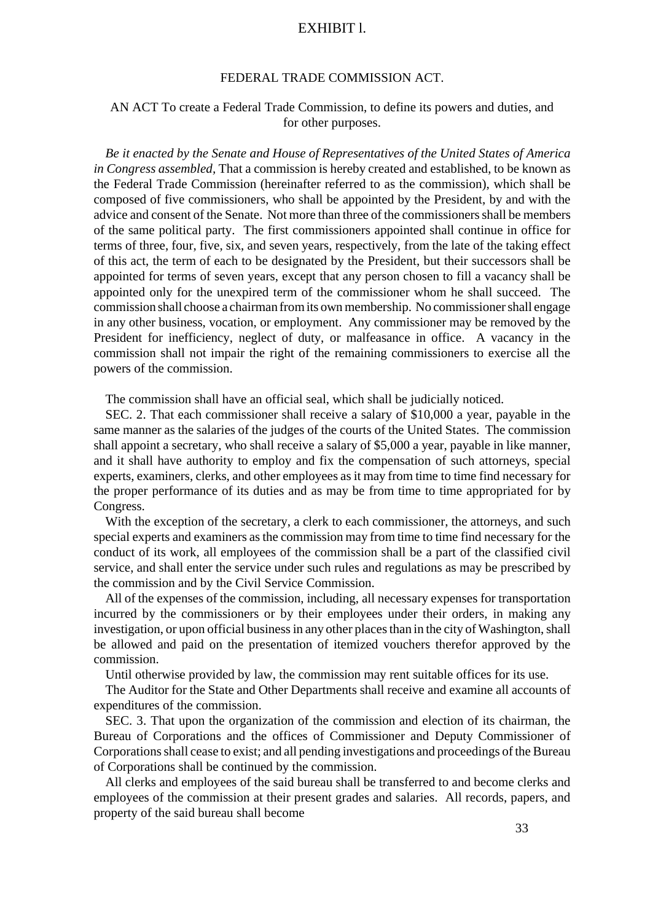#### EXHIBIT l.

#### FEDERAL TRADE COMMISSION ACT.

#### AN ACT To create a Federal Trade Commission, to define its powers and duties, and for other purposes.

*Be it enacted by the Senate and House of Representatives of the United States of America in Congress assembled,* That a commission is hereby created and established, to be known as the Federal Trade Commission (hereinafter referred to as the commission), which shall be composed of five commissioners, who shall be appointed by the President, by and with the advice and consent of the Senate. Not more than three of the commissionersshall be members of the same political party. The first commissioners appointed shall continue in office for terms of three, four, five, six, and seven years, respectively, from the late of the taking effect of this act, the term of each to be designated by the President, but their successors shall be appointed for terms of seven years, except that any person chosen to fill a vacancy shall be appointed only for the unexpired term of the commissioner whom he shall succeed. The commission shall choose a chairman fromits own membership. No commissioner shall engage in any other business, vocation, or employment. Any commissioner may be removed by the President for inefficiency, neglect of duty, or malfeasance in office. A vacancy in the commission shall not impair the right of the remaining commissioners to exercise all the powers of the commission.

The commission shall have an official seal, which shall be judicially noticed.

SEC. 2. That each commissioner shall receive a salary of \$10,000 a year, payable in the same manner as the salaries of the judges of the courts of the United States. The commission shall appoint a secretary, who shall receive a salary of \$5,000 a year, payable in like manner, and it shall have authority to employ and fix the compensation of such attorneys, special experts, examiners, clerks, and other employees asit may from time to time find necessary for the proper performance of its duties and as may be from time to time appropriated for by Congress.

With the exception of the secretary, a clerk to each commissioner, the attorneys, and such special experts and examiners asthe commission may from time to time find necessary for the conduct of its work, all employees of the commission shall be a part of the classified civil service, and shall enter the service under such rules and regulations as may be prescribed by the commission and by the Civil Service Commission.

All of the expenses of the commission, including, all necessary expenses for transportation incurred by the commissioners or by their employees under their orders, in making any investigation, or upon official business in any other places than in the city of Washington, shall be allowed and paid on the presentation of itemized vouchers therefor approved by the commission.

Until otherwise provided by law, the commission may rent suitable offices for its use.

The Auditor for the State and Other Departments shall receive and examine all accounts of expenditures of the commission.

SEC. 3. That upon the organization of the commission and election of its chairman, the Bureau of Corporations and the offices of Commissioner and Deputy Commissioner of Corporationsshall cease to exist; and all pending investigations and proceedings ofthe Bureau of Corporations shall be continued by the commission.

All clerks and employees of the said bureau shall be transferred to and become clerks and employees of the commission at their present grades and salaries. All records, papers, and property of the said bureau shall become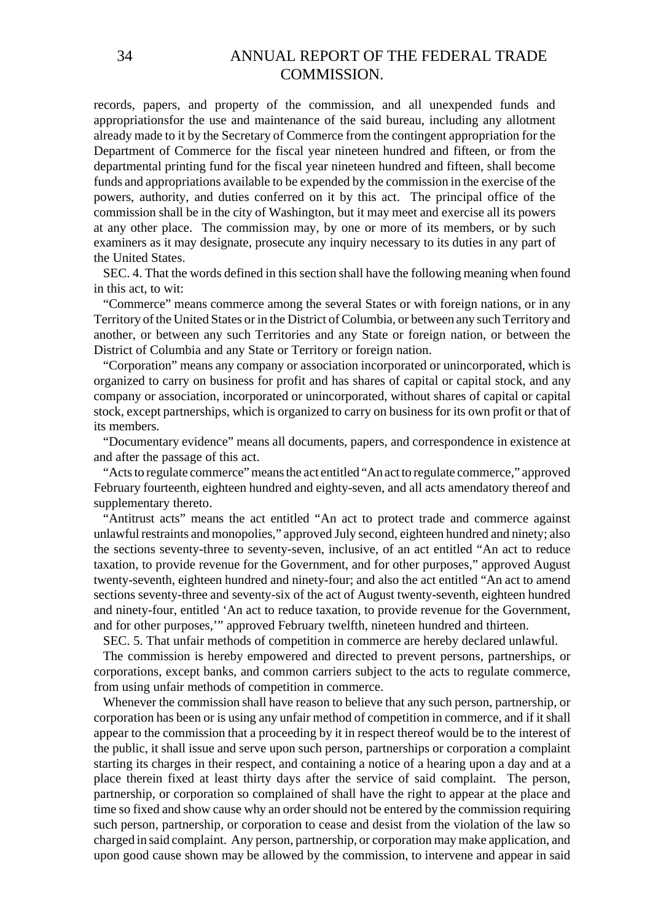records, papers, and property of the commission, and all unexpended funds and appropriationsfor the use and maintenance of the said bureau, including any allotment already made to it by the Secretary of Commerce from the contingent appropriation for the Department of Commerce for the fiscal year nineteen hundred and fifteen, or from the departmental printing fund for the fiscal year nineteen hundred and fifteen, shall become funds and appropriations available to be expended by the commission in the exercise of the powers, authority, and duties conferred on it by this act. The principal office of the commission shall be in the city of Washington, but it may meet and exercise all its powers at any other place. The commission may, by one or more of its members, or by such examiners as it may designate, prosecute any inquiry necessary to its duties in any part of the United States.

SEC. 4. That the words defined in this section shall have the following meaning when found in this act, to wit:

"Commerce" means commerce among the several States or with foreign nations, or in any Territory ofthe United States or in the District ofColumbia, or between any such Territory and another, or between any such Territories and any State or foreign nation, or between the District of Columbia and any State or Territory or foreign nation.

"Corporation" means any company or association incorporated or unincorporated, which is organized to carry on business for profit and has shares of capital or capital stock, and any company or association, incorporated or unincorporated, without shares of capital or capital stock, except partnerships, which is organized to carry on business for its own profit or that of its members.

"Documentary evidence" means all documents, papers, and correspondence in existence at and after the passage of this act.

"Acts to regulate commerce" means the act entitled "An act to regulate commerce," approved February fourteenth, eighteen hundred and eighty-seven, and all acts amendatory thereof and supplementary thereto.

"Antitrust acts" means the act entitled "An act to protect trade and commerce against unlawful restraints and monopolies," approved July second, eighteen hundred and ninety; also the sections seventy-three to seventy-seven, inclusive, of an act entitled "An act to reduce taxation, to provide revenue for the Government, and for other purposes," approved August twenty-seventh, eighteen hundred and ninety-four; and also the act entitled "An act to amend sections seventy-three and seventy-six of the act of August twenty-seventh, eighteen hundred and ninety-four, entitled 'An act to reduce taxation, to provide revenue for the Government, and for other purposes,'" approved February twelfth, nineteen hundred and thirteen.

SEC. 5. That unfair methods of competition in commerce are hereby declared unlawful.

The commission is hereby empowered and directed to prevent persons, partnerships, or corporations, except banks, and common carriers subject to the acts to regulate commerce, from using unfair methods of competition in commerce.

Whenever the commission shall have reason to believe that any such person, partnership, or corporation has been or is using any unfair method of competition in commerce, and if it shall appear to the commission that a proceeding by it in respect thereof would be to the interest of the public, it shall issue and serve upon such person, partnerships or corporation a complaint starting its charges in their respect, and containing a notice of a hearing upon a day and at a place therein fixed at least thirty days after the service of said complaint. The person, partnership, or corporation so complained of shall have the right to appear at the place and time so fixed and show cause why an order should not be entered by the commission requiring such person, partnership, or corporation to cease and desist from the violation of the law so charged in said complaint. Any person, partnership, or corporation may make application, and upon good cause shown may be allowed by the commission, to intervene and appear in said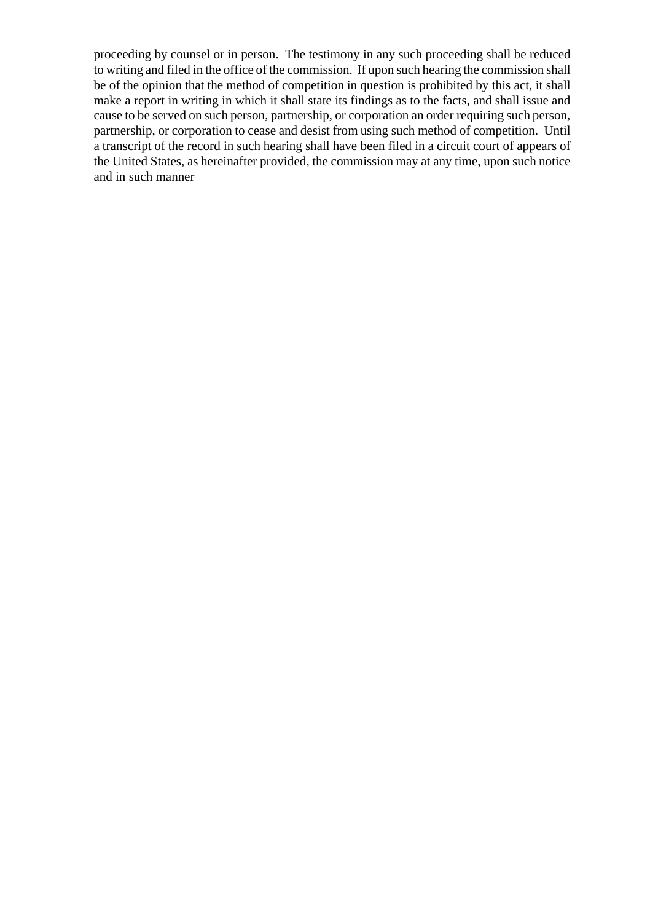proceeding by counsel or in person. The testimony in any such proceeding shall be reduced to writing and filed in the office of the commission. If upon such hearing the commission shall be of the opinion that the method of competition in question is prohibited by this act, it shall make a report in writing in which it shall state its findings as to the facts, and shall issue and cause to be served on such person, partnership, or corporation an order requiring such person, partnership, or corporation to cease and desist from using such method of competition. Until a transcript of the record in such hearing shall have been filed in a circuit court of appears of the United States, as hereinafter provided, the commission may at any time, upon such notice and in such manner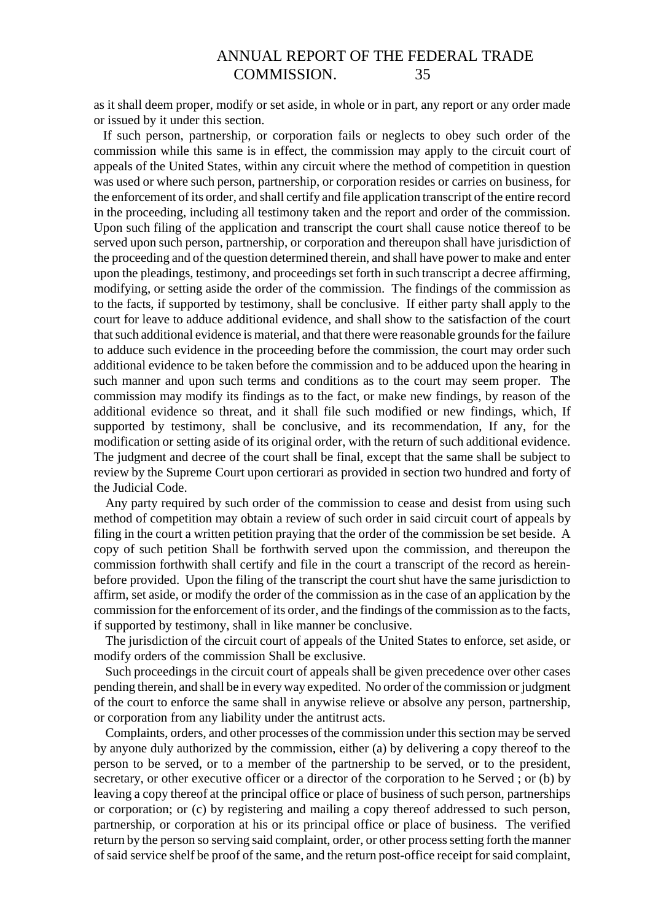### ANNUAL REPORT OF THE FEDERAL TRADE COMMISSION. 35

as it shall deem proper, modify or set aside, in whole or in part, any report or any order made or issued by it under this section.

If such person, partnership, or corporation fails or neglects to obey such order of the commission while this same is in effect, the commission may apply to the circuit court of appeals of the United States, within any circuit where the method of competition in question was used or where such person, partnership, or corporation resides or carries on business, for the enforcement of its order, and shall certify and file application transcript of the entire record in the proceeding, including all testimony taken and the report and order of the commission. Upon such filing of the application and transcript the court shall cause notice thereof to be served upon such person, partnership, or corporation and thereupon shall have jurisdiction of the proceeding and ofthe question determined therein, and shall have power to make and enter upon the pleadings, testimony, and proceedingsset forth in such transcript a decree affirming, modifying, or setting aside the order of the commission. The findings of the commission as to the facts, if supported by testimony, shall be conclusive. If either party shall apply to the court for leave to adduce additional evidence, and shall show to the satisfaction of the court that such additional evidence is material, and that there were reasonable grounds for the failure to adduce such evidence in the proceeding before the commission, the court may order such additional evidence to be taken before the commission and to be adduced upon the hearing in such manner and upon such terms and conditions as to the court may seem proper. The commission may modify its findings as to the fact, or make new findings, by reason of the additional evidence so threat, and it shall file such modified or new findings, which, If supported by testimony, shall be conclusive, and its recommendation, If any, for the modification or setting aside of its original order, with the return of such additional evidence. The judgment and decree of the court shall be final, except that the same shall be subject to review by the Supreme Court upon certiorari as provided in section two hundred and forty of the Judicial Code.

Any party required by such order of the commission to cease and desist from using such method of competition may obtain a review of such order in said circuit court of appeals by filing in the court a written petition praying that the order of the commission be set beside. A copy of such petition Shall be forthwith served upon the commission, and thereupon the commission forthwith shall certify and file in the court a transcript of the record as hereinbefore provided. Upon the filing of the transcript the court shut have the same jurisdiction to affirm, set aside, or modify the order of the commission as in the case of an application by the commission for the enforcement of its order, and the findings of the commission as to the facts, if supported by testimony, shall in like manner be conclusive.

The jurisdiction of the circuit court of appeals of the United States to enforce, set aside, or modify orders of the commission Shall be exclusive.

Such proceedings in the circuit court of appeals shall be given precedence over other cases pending therein, and shall be in every way expedited. No order of the commission or judgment of the court to enforce the same shall in anywise relieve or absolve any person, partnership, or corporation from any liability under the antitrust acts.

Complaints, orders, and other processes of the commission under this section may be served by anyone duly authorized by the commission, either (a) by delivering a copy thereof to the person to be served, or to a member of the partnership to be served, or to the president, secretary, or other executive officer or a director of the corporation to he Served ; or (b) by leaving a copy thereof at the principal office or place of business of such person, partnerships or corporation; or (c) by registering and mailing a copy thereof addressed to such person, partnership, or corporation at his or its principal office or place of business. The verified return by the person so serving said complaint, order, or other processsetting forth the manner ofsaid service shelf be proof of the same, and the return post-office receipt forsaid complaint,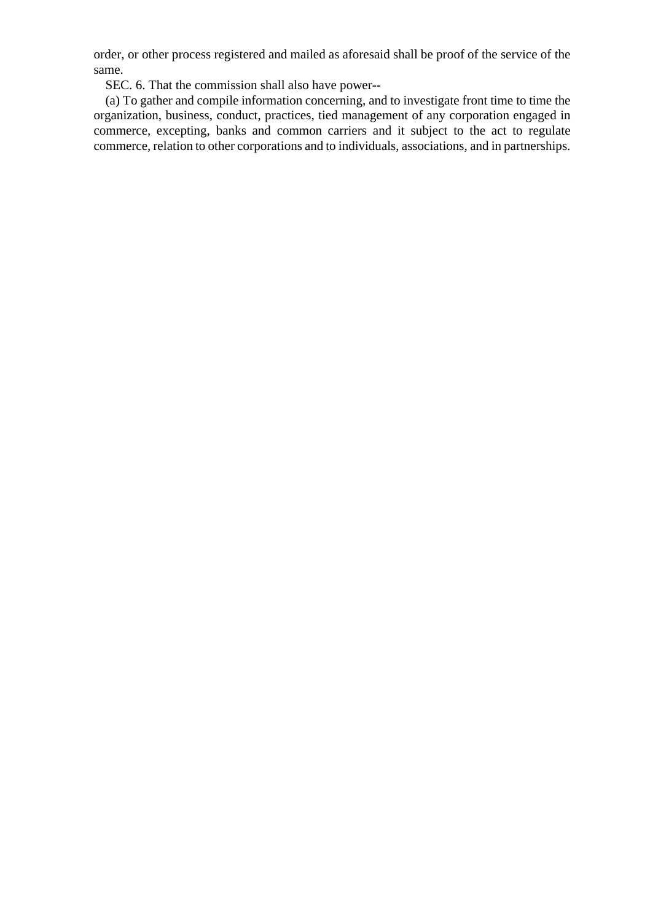order, or other process registered and mailed as aforesaid shall be proof of the service of the same.

SEC. 6. That the commission shall also have power--

(a) To gather and compile information concerning, and to investigate front time to time the organization, business, conduct, practices, tied management of any corporation engaged in commerce, excepting, banks and common carriers and it subject to the act to regulate commerce, relation to other corporations and to individuals, associations, and in partnerships.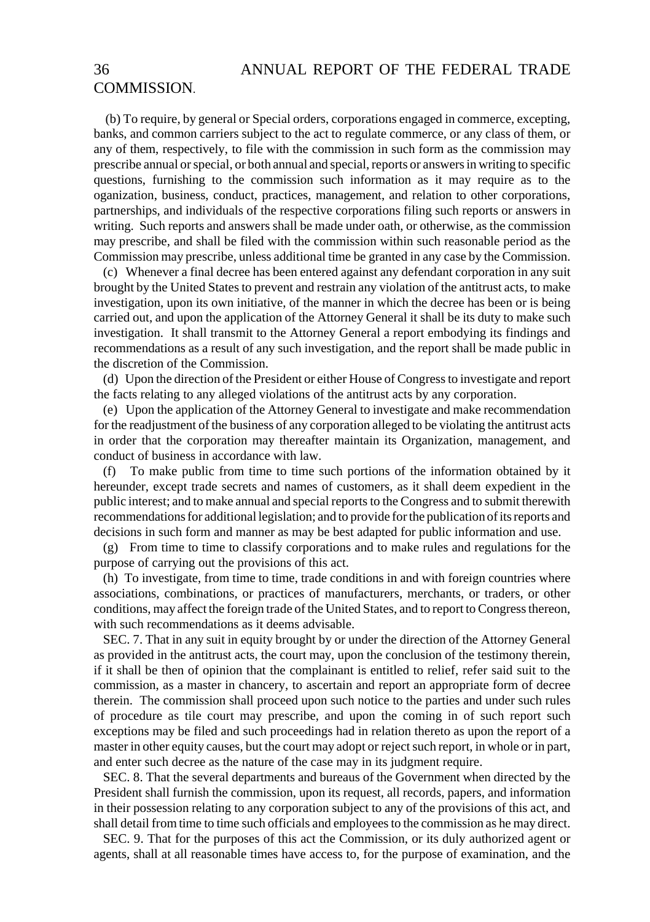(b) To require, by general or Special orders, corporations engaged in commerce, excepting, banks, and common carriers subject to the act to regulate commerce, or any class of them, or any of them, respectively, to file with the commission in such form as the commission may prescribe annual orspecial, or both annual and special,reports or answersin writing to specific questions, furnishing to the commission such information as it may require as to the oganization, business, conduct, practices, management, and relation to other corporations, partnerships, and individuals of the respective corporations filing such reports or answers in writing. Such reports and answers shall be made under oath, or otherwise, as the commission may prescribe, and shall be filed with the commission within such reasonable period as the Commission may prescribe, unless additional time be granted in any case by the Commission.

(c) Whenever a final decree has been entered against any defendant corporation in any suit brought by the United States to prevent and restrain any violation of the antitrust acts, to make investigation, upon its own initiative, of the manner in which the decree has been or is being carried out, and upon the application of the Attorney General it shall be its duty to make such investigation. It shall transmit to the Attorney General a report embodying its findings and recommendations as a result of any such investigation, and the report shall be made public in the discretion of the Commission.

(d) Upon the direction of the President or either House of Congress to investigate and report the facts relating to any alleged violations of the antitrust acts by any corporation.

(e) Upon the application of the Attorney General to investigate and make recommendation for the readjustment of the business of any corporation alleged to be violating the antitrust acts in order that the corporation may thereafter maintain its Organization, management, and conduct of business in accordance with law.

(f) To make public from time to time such portions of the information obtained by it hereunder, except trade secrets and names of customers, as it shall deem expedient in the public interest; and to make annual and special reportsto the Congress and to submit therewith recommendationsfor additional legislation; and to provide forthe publication ofitsreports and decisions in such form and manner as may be best adapted for public information and use.

(g) From time to time to classify corporations and to make rules and regulations for the purpose of carrying out the provisions of this act.

(h) To investigate, from time to time, trade conditions in and with foreign countries where associations, combinations, or practices of manufacturers, merchants, or traders, or other conditions, may affect the foreign trade ofthe United States, and to report to Congressthereon, with such recommendations as it deems advisable.

SEC. 7. That in any suit in equity brought by or under the direction of the Attorney General as provided in the antitrust acts, the court may, upon the conclusion of the testimony therein, if it shall be then of opinion that the complainant is entitled to relief, refer said suit to the commission, as a master in chancery, to ascertain and report an appropriate form of decree therein. The commission shall proceed upon such notice to the parties and under such rules of procedure as tile court may prescribe, and upon the coming in of such report such exceptions may be filed and such proceedings had in relation thereto as upon the report of a master in other equity causes, but the court may adopt or rejectsuch report, in whole or in part, and enter such decree as the nature of the case may in its judgment require.

SEC. 8. That the several departments and bureaus of the Government when directed by the President shall furnish the commission, upon its request, all records, papers, and information in their possession relating to any corporation subject to any of the provisions of this act, and shall detail from time to time such officials and employeesto the commission as he may direct.

SEC. 9. That for the purposes of this act the Commission, or its duly authorized agent or agents, shall at all reasonable times have access to, for the purpose of examination, and the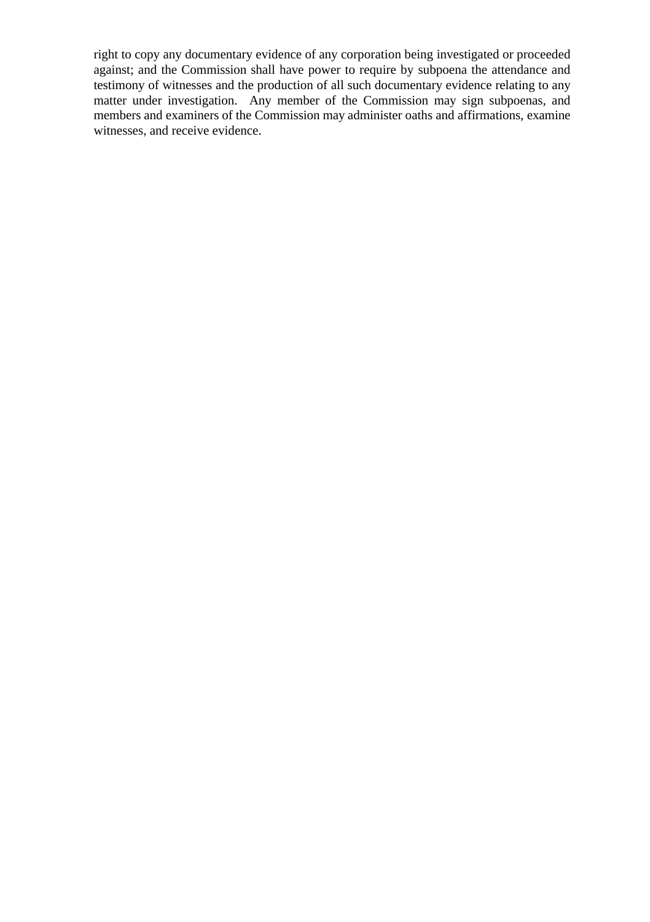right to copy any documentary evidence of any corporation being investigated or proceeded against; and the Commission shall have power to require by subpoena the attendance and testimony of witnesses and the production of all such documentary evidence relating to any matter under investigation. Any member of the Commission may sign subpoenas, and members and examiners of the Commission may administer oaths and affirmations, examine witnesses, and receive evidence.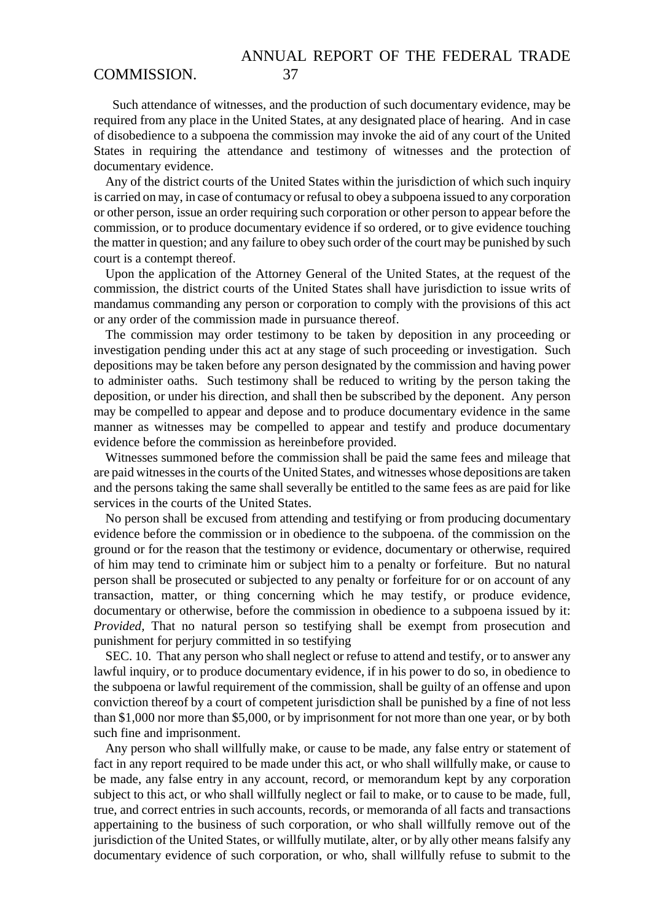Such attendance of witnesses, and the production of such documentary evidence, may be required from any place in the United States, at any designated place of hearing. And in case of disobedience to a subpoena the commission may invoke the aid of any court of the United States in requiring the attendance and testimony of witnesses and the protection of documentary evidence.

Any of the district courts of the United States within the jurisdiction of which such inquiry is carried on may, in case of contumacy or refusal to obey a subpoena issued to any corporation or other person, issue an order requiring such corporation or other person to appear before the commission, or to produce documentary evidence if so ordered, or to give evidence touching the matter in question; and any failure to obey such order of the court may be punished by such court is a contempt thereof.

Upon the application of the Attorney General of the United States, at the request of the commission, the district courts of the United States shall have jurisdiction to issue writs of mandamus commanding any person or corporation to comply with the provisions of this act or any order of the commission made in pursuance thereof.

The commission may order testimony to be taken by deposition in any proceeding or investigation pending under this act at any stage of such proceeding or investigation. Such depositions may be taken before any person designated by the commission and having power to administer oaths. Such testimony shall be reduced to writing by the person taking the deposition, or under his direction, and shall then be subscribed by the deponent. Any person may be compelled to appear and depose and to produce documentary evidence in the same manner as witnesses may be compelled to appear and testify and produce documentary evidence before the commission as hereinbefore provided.

Witnesses summoned before the commission shall be paid the same fees and mileage that are paid witnesses in the courts of the United States, and witnesses whose depositions are taken and the persons taking the same shall severally be entitled to the same fees as are paid for like services in the courts of the United States.

No person shall be excused from attending and testifying or from producing documentary evidence before the commission or in obedience to the subpoena. of the commission on the ground or for the reason that the testimony or evidence, documentary or otherwise, required of him may tend to criminate him or subject him to a penalty or forfeiture. But no natural person shall be prosecuted or subjected to any penalty or forfeiture for or on account of any transaction, matter, or thing concerning which he may testify, or produce evidence, documentary or otherwise, before the commission in obedience to a subpoena issued by it: *Provided,* That no natural person so testifying shall be exempt from prosecution and punishment for perjury committed in so testifying

SEC. 10. That any person who shall neglect or refuse to attend and testify, or to answer any lawful inquiry, or to produce documentary evidence, if in his power to do so, in obedience to the subpoena or lawful requirement of the commission, shall be guilty of an offense and upon conviction thereof by a court of competent jurisdiction shall be punished by a fine of not less than \$1,000 nor more than \$5,000, or by imprisonment for not more than one year, or by both such fine and imprisonment.

Any person who shall willfully make, or cause to be made, any false entry or statement of fact in any report required to be made under this act, or who shall willfully make, or cause to be made, any false entry in any account, record, or memorandum kept by any corporation subject to this act, or who shall willfully neglect or fail to make, or to cause to be made, full, true, and correct entries in such accounts, records, or memoranda of all facts and transactions appertaining to the business of such corporation, or who shall willfully remove out of the jurisdiction of the United States, or willfully mutilate, alter, or by ally other means falsify any documentary evidence of such corporation, or who, shall willfully refuse to submit to the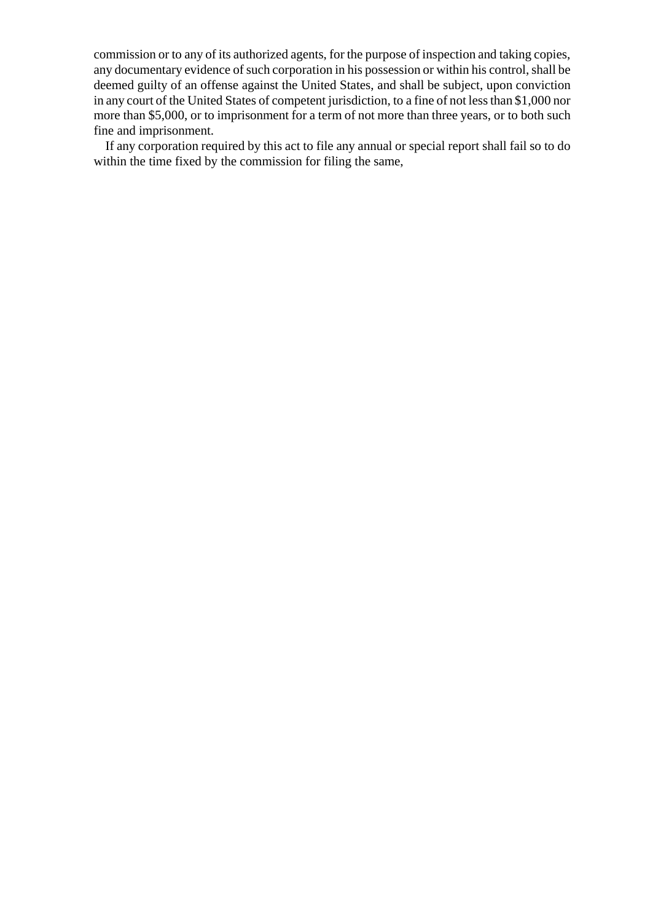commission or to any of its authorized agents, for the purpose of inspection and taking copies, any documentary evidence of such corporation in his possession or within his control, shall be deemed guilty of an offense against the United States, and shall be subject, upon conviction in any court of the United States of competent jurisdiction, to a fine of not lessthan \$1,000 nor more than \$5,000, or to imprisonment for a term of not more than three years, or to both such fine and imprisonment.

If any corporation required by this act to file any annual or special report shall fail so to do within the time fixed by the commission for filing the same,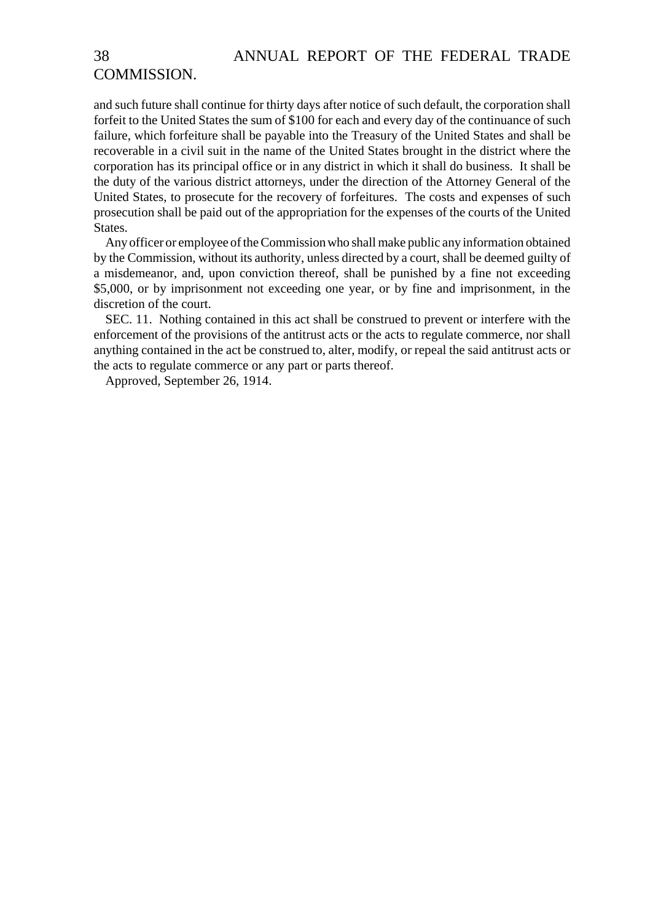and such future shall continue for thirty days after notice of such default, the corporation shall forfeit to the United States the sum of \$100 for each and every day of the continuance of such failure, which forfeiture shall be payable into the Treasury of the United States and shall be recoverable in a civil suit in the name of the United States brought in the district where the corporation has its principal office or in any district in which it shall do business. It shall be the duty of the various district attorneys, under the direction of the Attorney General of the United States, to prosecute for the recovery of forfeitures. The costs and expenses of such prosecution shall be paid out of the appropriation for the expenses of the courts of the United States.

Any officer or employee of the Commission who shall make public any information obtained by the Commission, without its authority, unless directed by a court, shall be deemed guilty of a misdemeanor, and, upon conviction thereof, shall be punished by a fine not exceeding \$5,000, or by imprisonment not exceeding one year, or by fine and imprisonment, in the discretion of the court.

SEC. 11. Nothing contained in this act shall be construed to prevent or interfere with the enforcement of the provisions of the antitrust acts or the acts to regulate commerce, nor shall anything contained in the act be construed to, alter, modify, or repeal the said antitrust acts or the acts to regulate commerce or any part or parts thereof.

Approved, September 26, 1914.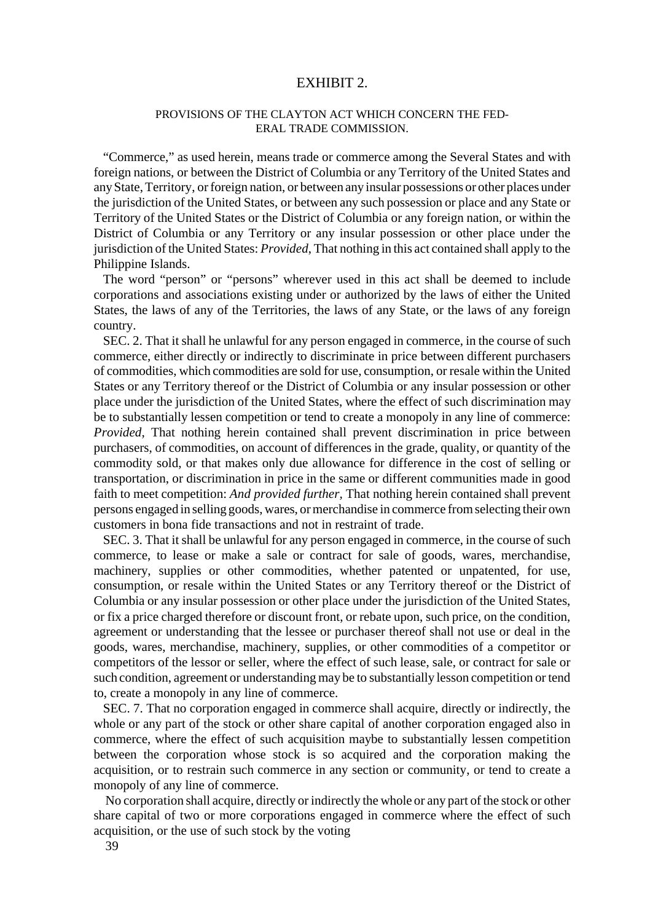#### EXHIBIT 2.

#### PROVISIONS OF THE CLAYTON ACT WHICH CONCERN THE FED-ERAL TRADE COMMISSION.

"Commerce," as used herein, means trade or commerce among the Several States and with foreign nations, or between the District of Columbia or any Territory of the United States and any State, Territory, or foreign nation, or between any insular possessions or other places under the jurisdiction of the United States, or between any such possession or place and any State or Territory of the United States or the District of Columbia or any foreign nation, or within the District of Columbia or any Territory or any insular possession or other place under the jurisdiction of the United States: *Provided*, That nothing in this act contained shall apply to the Philippine Islands.

The word "person" or "persons" wherever used in this act shall be deemed to include corporations and associations existing under or authorized by the laws of either the United States, the laws of any of the Territories, the laws of any State, or the laws of any foreign country.

SEC. 2. That it shall he unlawful for any person engaged in commerce, in the course of such commerce, either directly or indirectly to discriminate in price between different purchasers of commodities, which commodities are sold for use, consumption, or resale within the United States or any Territory thereof or the District of Columbia or any insular possession or other place under the jurisdiction of the United States, where the effect of such discrimination may be to substantially lessen competition or tend to create a monopoly in any line of commerce: *Provided*, That nothing herein contained shall prevent discrimination in price between purchasers, of commodities, on account of differences in the grade, quality, or quantity of the commodity sold, or that makes only due allowance for difference in the cost of selling or transportation, or discrimination in price in the same or different communities made in good faith to meet competition: *And provided further,* That nothing herein contained shall prevent persons engaged in selling goods, wares, or merchandise in commerce from selecting their own customers in bona fide transactions and not in restraint of trade.

SEC. 3. That it shall be unlawful for any person engaged in commerce, in the course of such commerce, to lease or make a sale or contract for sale of goods, wares, merchandise, machinery, supplies or other commodities, whether patented or unpatented, for use, consumption, or resale within the United States or any Territory thereof or the District of Columbia or any insular possession or other place under the jurisdiction of the United States, or fix a price charged therefore or discount front, or rebate upon, such price, on the condition, agreement or understanding that the lessee or purchaser thereof shall not use or deal in the goods, wares, merchandise, machinery, supplies, or other commodities of a competitor or competitors of the lessor or seller, where the effect of such lease, sale, or contract for sale or such condition, agreement or understanding may be to substantially lesson competition or tend to, create a monopoly in any line of commerce.

SEC. 7. That no corporation engaged in commerce shall acquire, directly or indirectly, the whole or any part of the stock or other share capital of another corporation engaged also in commerce, where the effect of such acquisition maybe to substantially lessen competition between the corporation whose stock is so acquired and the corporation making the acquisition, or to restrain such commerce in any section or community, or tend to create a monopoly of any line of commerce.

No corporation shall acquire, directly or indirectly the whole or any part ofthe stock or other share capital of two or more corporations engaged in commerce where the effect of such acquisition, or the use of such stock by the voting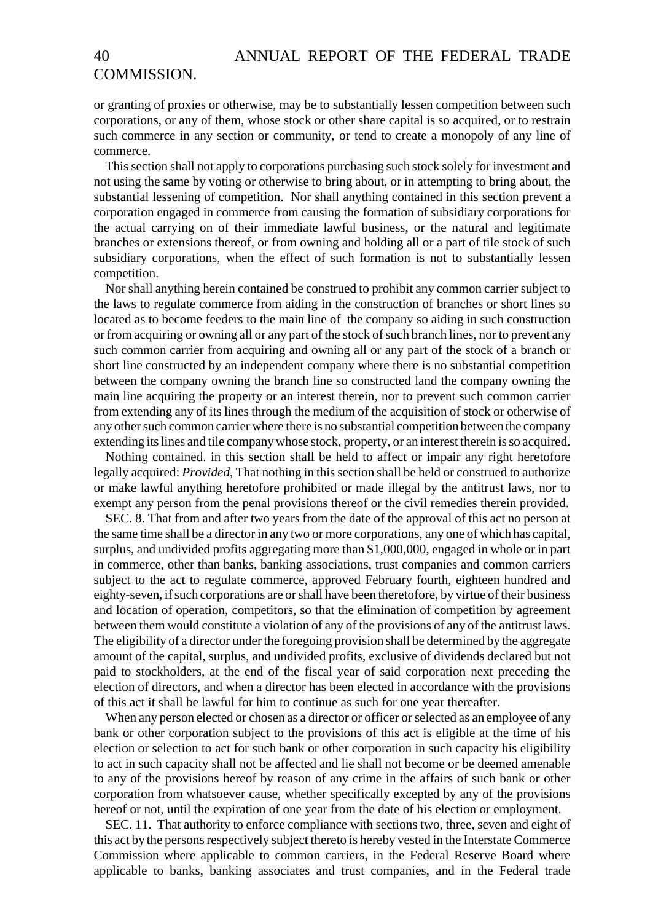or granting of proxies or otherwise, may be to substantially lessen competition between such corporations, or any of them, whose stock or other share capital is so acquired, or to restrain such commerce in any section or community, or tend to create a monopoly of any line of commerce.

Thissection shall not apply to corporations purchasing such stock solely for investment and not using the same by voting or otherwise to bring about, or in attempting to bring about, the substantial lessening of competition. Nor shall anything contained in this section prevent a corporation engaged in commerce from causing the formation of subsidiary corporations for the actual carrying on of their immediate lawful business, or the natural and legitimate branches or extensions thereof, or from owning and holding all or a part of tile stock of such subsidiary corporations, when the effect of such formation is not to substantially lessen competition.

Nor shall anything herein contained be construed to prohibit any common carrier subject to the laws to regulate commerce from aiding in the construction of branches or short lines so located as to become feeders to the main line of the company so aiding in such construction or from acquiring or owning all or any part of the stock of such branch lines, nor to prevent any such common carrier from acquiring and owning all or any part of the stock of a branch or short line constructed by an independent company where there is no substantial competition between the company owning the branch line so constructed land the company owning the main line acquiring the property or an interest therein, nor to prevent such common carrier from extending any of its lines through the medium of the acquisition of stock or otherwise of any other such common carrier where there is no substantial competition between the company extending itslines and tile companywhose stock, property, or an interest therein isso acquired.

Nothing contained. in this section shall be held to affect or impair any right heretofore legally acquired: *Provided*, That nothing in thissection shall be held or construed to authorize or make lawful anything heretofore prohibited or made illegal by the antitrust laws, nor to exempt any person from the penal provisions thereof or the civil remedies therein provided.

SEC. 8. That from and after two years from the date of the approval of this act no person at the same time shall be a director in any two or more corporations, any one of which has capital, surplus, and undivided profits aggregating more than \$1,000,000, engaged in whole or in part in commerce, other than banks, banking associations, trust companies and common carriers subject to the act to regulate commerce, approved February fourth, eighteen hundred and eighty-seven, if such corporations are or shall have been theretofore, by virtue of their business and location of operation, competitors, so that the elimination of competition by agreement between them would constitute a violation of any of the provisions of any of the antitrust laws. The eligibility of a director under the foregoing provision shall be determined by the aggregate amount of the capital, surplus, and undivided profits, exclusive of dividends declared but not paid to stockholders, at the end of the fiscal year of said corporation next preceding the election of directors, and when a director has been elected in accordance with the provisions of this act it shall be lawful for him to continue as such for one year thereafter.

When any person elected or chosen as a director or officer orselected as an employee of any bank or other corporation subject to the provisions of this act is eligible at the time of his election or selection to act for such bank or other corporation in such capacity his eligibility to act in such capacity shall not be affected and lie shall not become or be deemed amenable to any of the provisions hereof by reason of any crime in the affairs of such bank or other corporation from whatsoever cause, whether specifically excepted by any of the provisions hereof or not, until the expiration of one year from the date of his election or employment.

SEC. 11. That authority to enforce compliance with sections two, three, seven and eight of this act by the persons respectively subject thereto is hereby vested in the Interstate Commerce Commission where applicable to common carriers, in the Federal Reserve Board where applicable to banks, banking associates and trust companies, and in the Federal trade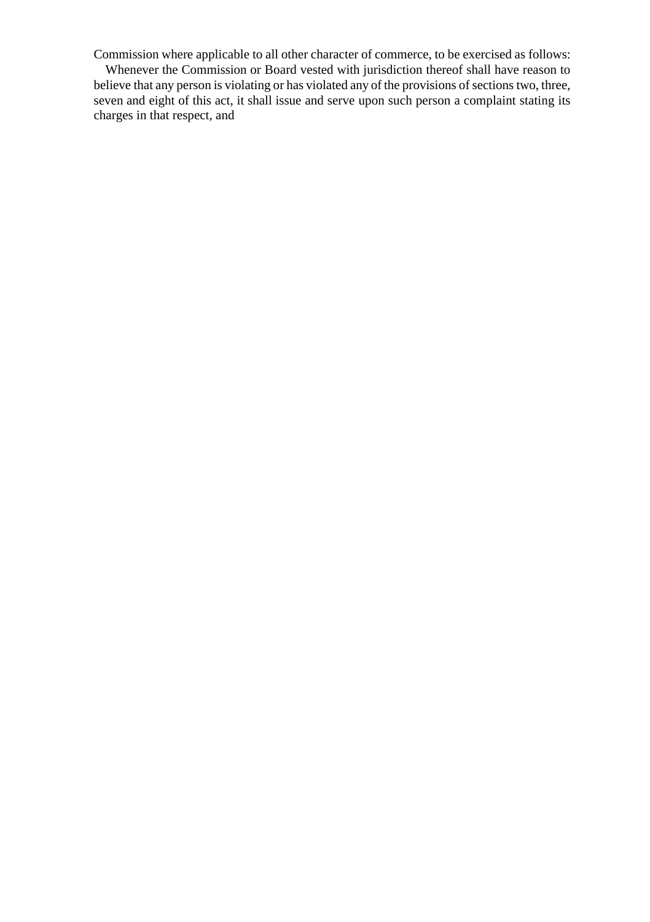Commission where applicable to all other character of commerce, to be exercised as follows:

Whenever the Commission or Board vested with jurisdiction thereof shall have reason to believe that any person is violating or has violated any of the provisions of sections two, three, seven and eight of this act, it shall issue and serve upon such person a complaint stating its charges in that respect, and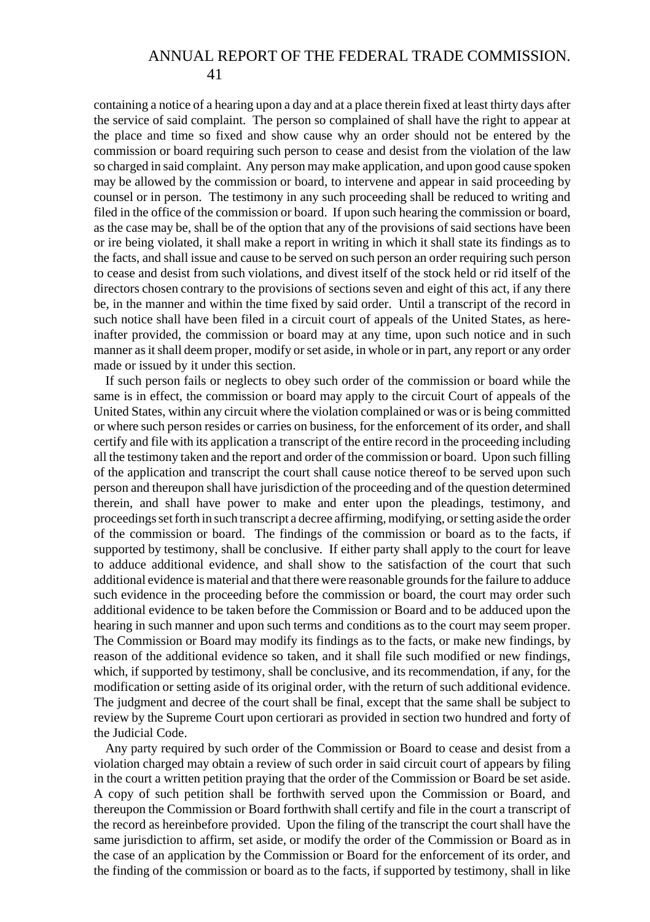## ANNUAL REPORT OF THE FEDERAL TRADE COMMISSION. 41

containing a notice of a hearing upon a day and at a place therein fixed at least thirty days after the service of said complaint. The person so complained of shall have the right to appear at the place and time so fixed and show cause why an order should not be entered by the commission or board requiring such person to cease and desist from the violation of the law so charged in said complaint. Any person may make application, and upon good cause spoken may be allowed by the commission or board, to intervene and appear in said proceeding by counsel or in person. The testimony in any such proceeding shall be reduced to writing and filed in the office of the commission or board. If upon such hearing the commission or board, as the case may be, shall be of the option that any of the provisions of said sections have been or ire being violated, it shall make a report in writing in which it shall state its findings as to the facts, and shall issue and cause to be served on such person an order requiring such person to cease and desist from such violations, and divest itself of the stock held or rid itself of the directors chosen contrary to the provisions of sections seven and eight of this act, if any there be, in the manner and within the time fixed by said order. Until a transcript of the record in such notice shall have been filed in a circuit court of appeals of the United States, as hereinafter provided, the commission or board may at any time, upon such notice and in such manner as it shall deem proper, modify or set aside, in whole or in part, any report or any order made or issued by it under this section.

If such person fails or neglects to obey such order of the commission or board while the same is in effect, the commission or board may apply to the circuit Court of appeals of the United States, within any circuit where the violation complained or was or is being committed or where such person resides or carries on business, for the enforcement of its order, and shall certify and file with its application a transcript of the entire record in the proceeding including all the testimony taken and the report and order of the commission or board. Upon such filling of the application and transcript the court shall cause notice thereof to be served upon such person and thereupon shall have jurisdiction of the proceeding and of the question determined therein, and shall have power to make and enter upon the pleadings, testimony, and proceedings set forth in such transcript a decree affirming, modifying, or setting aside the order of the commission or board. The findings of the commission or board as to the facts, if supported by testimony, shall be conclusive. If either party shall apply to the court for leave to adduce additional evidence, and shall show to the satisfaction of the court that such additional evidence is material and that there were reasonable grounds for the failure to adduce such evidence in the proceeding before the commission or board, the court may order such additional evidence to be taken before the Commission or Board and to be adduced upon the hearing in such manner and upon such terms and conditions as to the court may seem proper. The Commission or Board may modify its findings as to the facts, or make new findings, by reason of the additional evidence so taken, and it shall file such modified or new findings, which, if supported by testimony, shall be conclusive, and its recommendation, if any, for the modification or setting aside of its original order, with the return of such additional evidence. The judgment and decree of the court shall be final, except that the same shall be subject to review by the Supreme Court upon certiorari as provided in section two hundred and forty of the Judicial Code.

Any party required by such order of the Commission or Board to cease and desist from a violation charged may obtain a review of such order in said circuit court of appears by filing in the court a written petition praying that the order of the Commission or Board be set aside. A copy of such petition shall be forthwith served upon the Commission or Board, and thereupon the Commission or Board forthwith shall certify and file in the court a transcript of the record as hereinbefore provided. Upon the filing of the transcript the court shall have the same jurisdiction to affirm, set aside, or modify the order of the Commission or Board as in the case of an application by the Commission or Board for the enforcement of its order, and the finding of the commission or board as to the facts, if supported by testimony, shall in like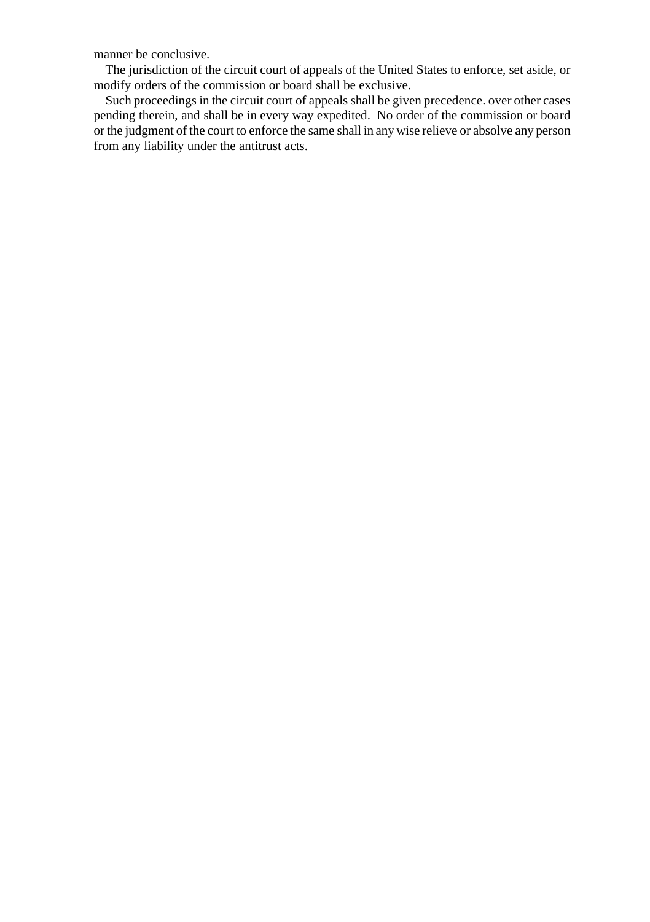manner be conclusive.

The jurisdiction of the circuit court of appeals of the United States to enforce, set aside, or modify orders of the commission or board shall be exclusive.

Such proceedings in the circuit court of appeals shall be given precedence. over other cases pending therein, and shall be in every way expedited. No order of the commission or board or the judgment of the court to enforce the same shall in any wise relieve or absolve any person from any liability under the antitrust acts.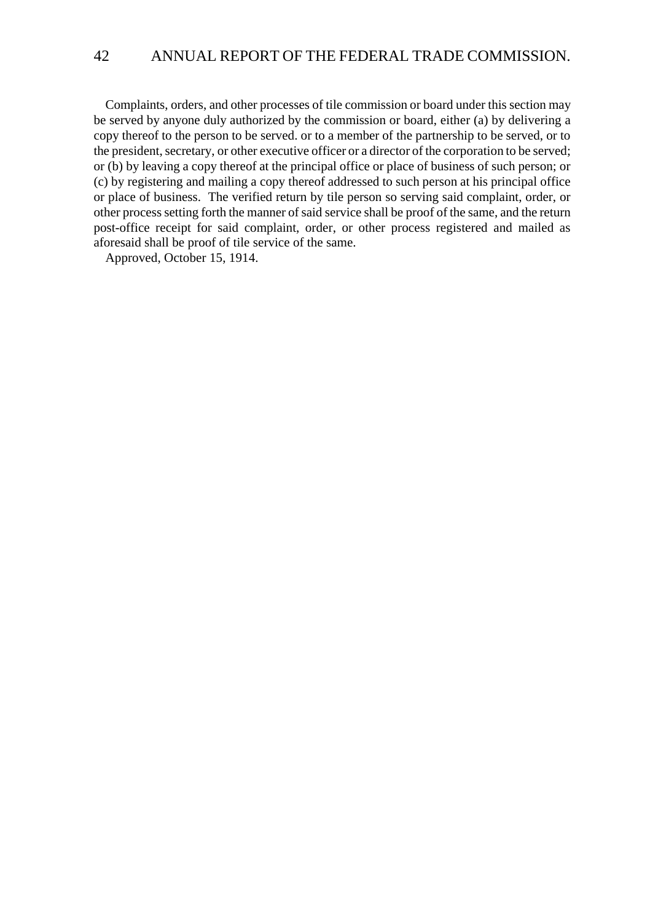#### 42 ANNUAL REPORT OF THE FEDERAL TRADE COMMISSION.

Complaints, orders, and other processes of tile commission or board under this section may be served by anyone duly authorized by the commission or board, either (a) by delivering a copy thereof to the person to be served. or to a member of the partnership to be served, or to the president, secretary, or other executive officer or a director of the corporation to be served; or (b) by leaving a copy thereof at the principal office or place of business of such person; or (c) by registering and mailing a copy thereof addressed to such person at his principal office or place of business. The verified return by tile person so serving said complaint, order, or other process setting forth the manner of said service shall be proof of the same, and the return post-office receipt for said complaint, order, or other process registered and mailed as aforesaid shall be proof of tile service of the same.

Approved, October 15, 1914.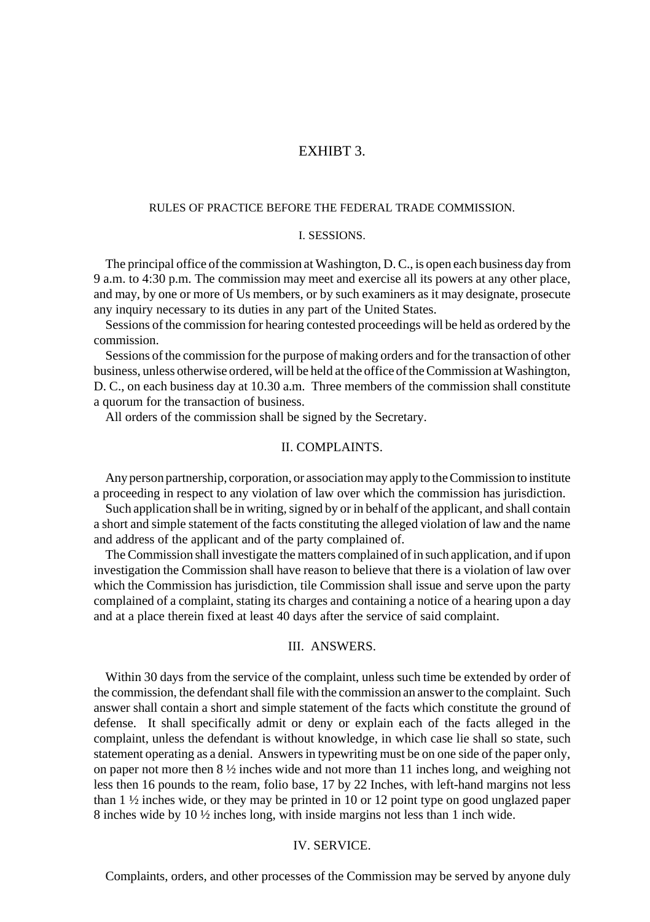#### EXHIBT 3.

#### RULES OF PRACTICE BEFORE THE FEDERAL TRADE COMMISSION.

#### I. SESSIONS.

The principal office of the commission at Washington, D.C., is open each business day from 9 a.m. to 4:30 p.m. The commission may meet and exercise all its powers at any other place, and may, by one or more of Us members, or by such examiners as it may designate, prosecute any inquiry necessary to its duties in any part of the United States.

Sessions of the commission for hearing contested proceedings will be held as ordered by the commission.

Sessions ofthe commission for the purpose of making orders and for the transaction of other business, unless otherwise ordered, will be held at the office oftheCommission atWashington, D. C., on each business day at 10.30 a.m. Three members of the commission shall constitute a quorum for the transaction of business.

All orders of the commission shall be signed by the Secretary.

#### II. COMPLAINTS.

Anyperson partnership, corporation, or association may apply to the Commission to institute a proceeding in respect to any violation of law over which the commission has jurisdiction.

Such application shall be in writing, signed by or in behalf of the applicant, and shall contain a short and simple statement of the facts constituting the alleged violation of law and the name and address of the applicant and of the party complained of.

The Commission shall investigate the matters complained ofin such application, and if upon investigation the Commission shall have reason to believe that there is a violation of law over which the Commission has jurisdiction, tile Commission shall issue and serve upon the party complained of a complaint, stating its charges and containing a notice of a hearing upon a day and at a place therein fixed at least 40 days after the service of said complaint.

#### III. ANSWERS.

Within 30 days from the service of the complaint, unless such time be extended by order of the commission, the defendant shall file with the commission an answer to the complaint. Such answer shall contain a short and simple statement of the facts which constitute the ground of defense. It shall specifically admit or deny or explain each of the facts alleged in the complaint, unless the defendant is without knowledge, in which case lie shall so state, such statement operating as a denial. Answers in typewriting must be on one side of the paper only, on paper not more then 8 ½ inches wide and not more than 11 inches long, and weighing not less then 16 pounds to the ream, folio base, 17 by 22 Inches, with left-hand margins not less than 1 ½ inches wide, or they may be printed in 10 or 12 point type on good unglazed paper 8 inches wide by 10 ½ inches long, with inside margins not less than 1 inch wide.

#### IV. SERVICE.

Complaints, orders, and other processes of the Commission may be served by anyone duly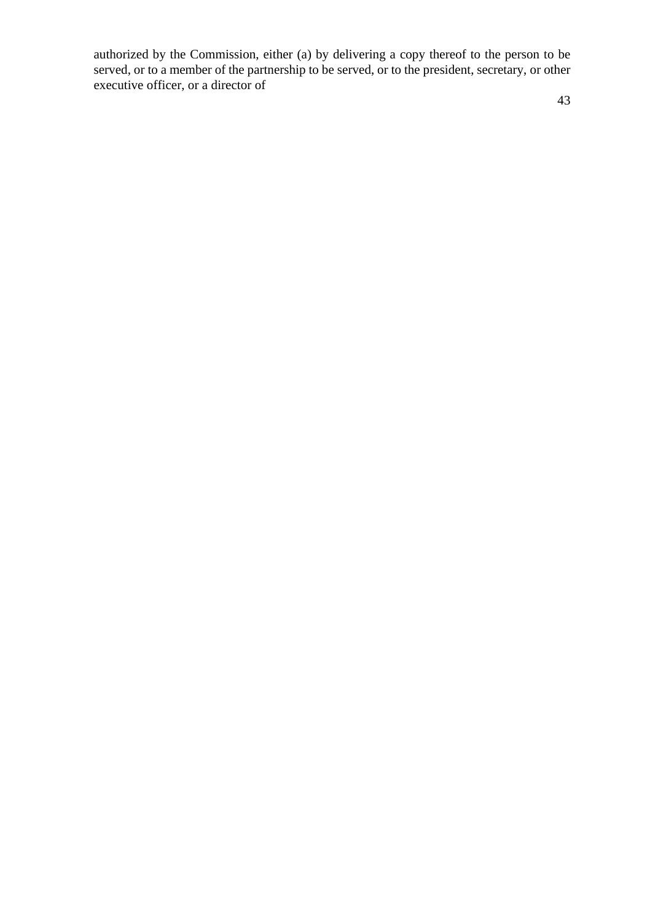authorized by the Commission, either (a) by delivering a copy thereof to the person to be served, or to a member of the partnership to be served, or to the president, secretary, or other executive officer, or a director of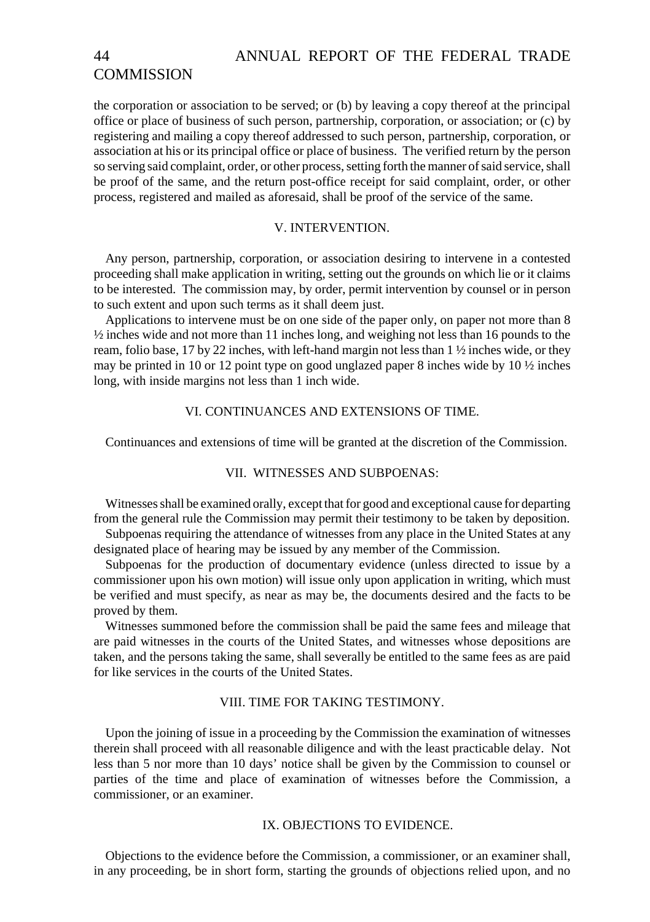the corporation or association to be served; or (b) by leaving a copy thereof at the principal office or place of business of such person, partnership, corporation, or association; or (c) by registering and mailing a copy thereof addressed to such person, partnership, corporation, or association at his or its principal office or place of business. The verified return by the person so serving said complaint, order, or other process, setting forth the manner of said service, shall be proof of the same, and the return post-office receipt for said complaint, order, or other process, registered and mailed as aforesaid, shall be proof of the service of the same.

#### V. INTERVENTION.

Any person, partnership, corporation, or association desiring to intervene in a contested proceeding shall make application in writing, setting out the grounds on which lie or it claims to be interested. The commission may, by order, permit intervention by counsel or in person to such extent and upon such terms as it shall deem just.

Applications to intervene must be on one side of the paper only, on paper not more than 8 ½ inches wide and not more than 11 inches long, and weighing not less than 16 pounds to the ream, folio base, 17 by 22 inches, with left-hand margin not lessthan 1 ½ inches wide, or they may be printed in 10 or 12 point type on good unglazed paper 8 inches wide by 10 ½ inches long, with inside margins not less than 1 inch wide.

#### VI. CONTINUANCES AND EXTENSIONS OF TIME.

Continuances and extensions of time will be granted at the discretion of the Commission.

#### VII. WITNESSES AND SUBPOENAS:

Witnesses shall be examined orally, except that for good and exceptional cause for departing from the general rule the Commission may permit their testimony to be taken by deposition. Subpoenas requiring the attendance of witnesses from any place in the United States at any

designated place of hearing may be issued by any member of the Commission.

Subpoenas for the production of documentary evidence (unless directed to issue by a commissioner upon his own motion) will issue only upon application in writing, which must be verified and must specify, as near as may be, the documents desired and the facts to be proved by them.

Witnesses summoned before the commission shall be paid the same fees and mileage that are paid witnesses in the courts of the United States, and witnesses whose depositions are taken, and the persons taking the same, shall severally be entitled to the same fees as are paid for like services in the courts of the United States.

#### VIII. TIME FOR TAKING TESTIMONY.

Upon the joining of issue in a proceeding by the Commission the examination of witnesses therein shall proceed with all reasonable diligence and with the least practicable delay. Not less than 5 nor more than 10 days' notice shall be given by the Commission to counsel or parties of the time and place of examination of witnesses before the Commission, a commissioner, or an examiner.

#### IX. OBJECTIONS TO EVIDENCE.

Objections to the evidence before the Commission, a commissioner, or an examiner shall, in any proceeding, be in short form, starting the grounds of objections relied upon, and no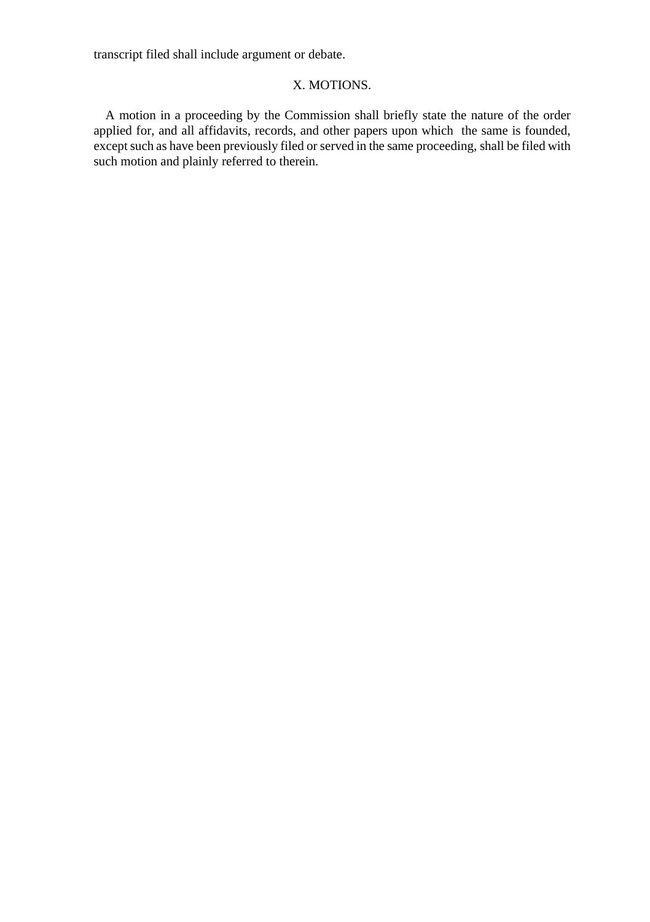transcript filed shall include argument or debate.

#### X. MOTIONS.

A motion in a proceeding by the Commission shall briefly state the nature of the order applied for, and all affidavits, records, and other papers upon which the same is founded, except such as have been previously filed or served in the same proceeding, shall be filed with such motion and plainly referred to therein.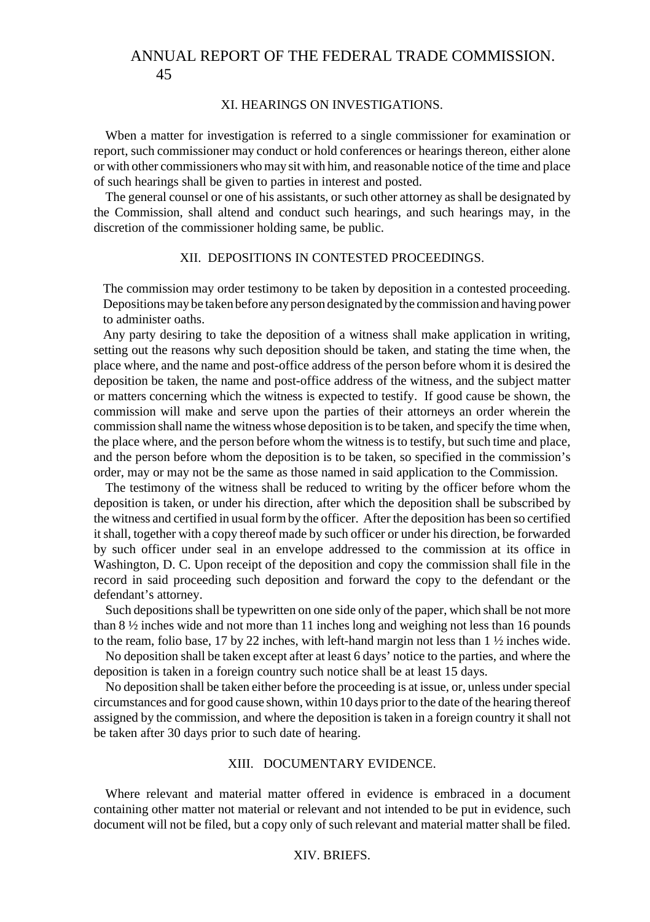## ANNUAL REPORT OF THE FEDERAL TRADE COMMISSION. 45

#### XI. HEARINGS ON INVESTIGATIONS.

Wben a matter for investigation is referred to a single commissioner for examination or report, such commissioner may conduct or hold conferences or hearings thereon, either alone or with other commissioners who may sit with him, and reasonable notice of the time and place of such hearings shall be given to parties in interest and posted.

The general counsel or one of his assistants, or such other attorney asshall be designated by the Commission, shall altend and conduct such hearings, and such hearings may, in the discretion of the commissioner holding same, be public.

#### XII. DEPOSITIONS IN CONTESTED PROCEEDINGS.

The commission may order testimony to be taken by deposition in a contested proceeding. Depositions may be taken before any person designated by the commission and having power to administer oaths.

Any party desiring to take the deposition of a witness shall make application in writing, setting out the reasons why such deposition should be taken, and stating the time when, the place where, and the name and post-office address of the person before whom it is desired the deposition be taken, the name and post-office address of the witness, and the subject matter or matters concerning which the witness is expected to testify. If good cause be shown, the commission will make and serve upon the parties of their attorneys an order wherein the commission shall name the witness whose deposition isto be taken, and specify the time when, the place where, and the person before whom the witnessisto testify, butsuch time and place, and the person before whom the deposition is to be taken, so specified in the commission's order, may or may not be the same as those named in said application to the Commission.

The testimony of the witness shall be reduced to writing by the officer before whom the deposition is taken, or under his direction, after which the deposition shall be subscribed by the witness and certified in usualformby the officer. After the deposition has been so certified itshall, together with a copy thereof made by such officer or under his direction, be forwarded by such officer under seal in an envelope addressed to the commission at its office in Washington, D. C. Upon receipt of the deposition and copy the commission shall file in the record in said proceeding such deposition and forward the copy to the defendant or the defendant's attorney.

Such depositions shall be typewritten on one side only of the paper, which shall be not more than 8 ½ inches wide and not more than 11 inches long and weighing not less than 16 pounds to the ream, folio base, 17 by 22 inches, with left-hand margin not less than 1 ½ inches wide.

No deposition shall be taken except after at least 6 days' notice to the parties, and where the deposition is taken in a foreign country such notice shall be at least 15 days.

No deposition shall be taken either before the proceeding is at issue, or, unless underspecial circumstances and for good cause shown, within 10 days priorto the date ofthe hearing thereof assigned by the commission, and where the deposition istaken in a foreign country itshall not be taken after 30 days prior to such date of hearing.

#### XIII. DOCUMENTARY EVIDENCE.

Where relevant and material matter offered in evidence is embraced in a document containing other matter not material or relevant and not intended to be put in evidence, such document will not be filed, but a copy only of such relevant and material matter shall be filed.

#### XIV. BRIEFS.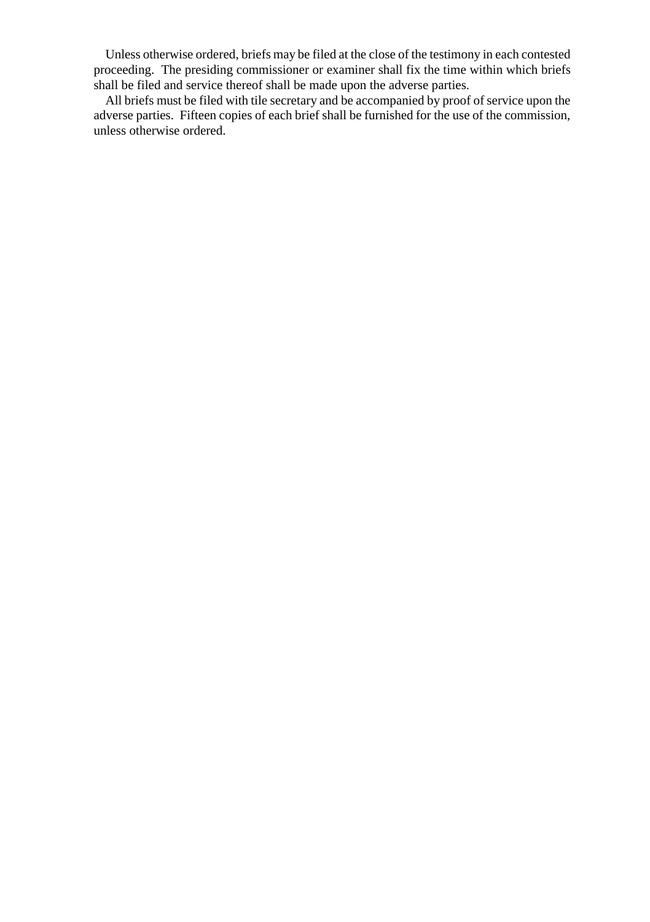Unless otherwise ordered, briefs may be filed at the close of the testimony in each contested proceeding. The presiding commissioner or examiner shall fix the time within which briefs shall be filed and service thereof shall be made upon the adverse parties.

All briefs must be filed with tile secretary and be accompanied by proof of service upon the adverse parties. Fifteen copies of each brief shall be furnished for the use of the commission, unless otherwise ordered.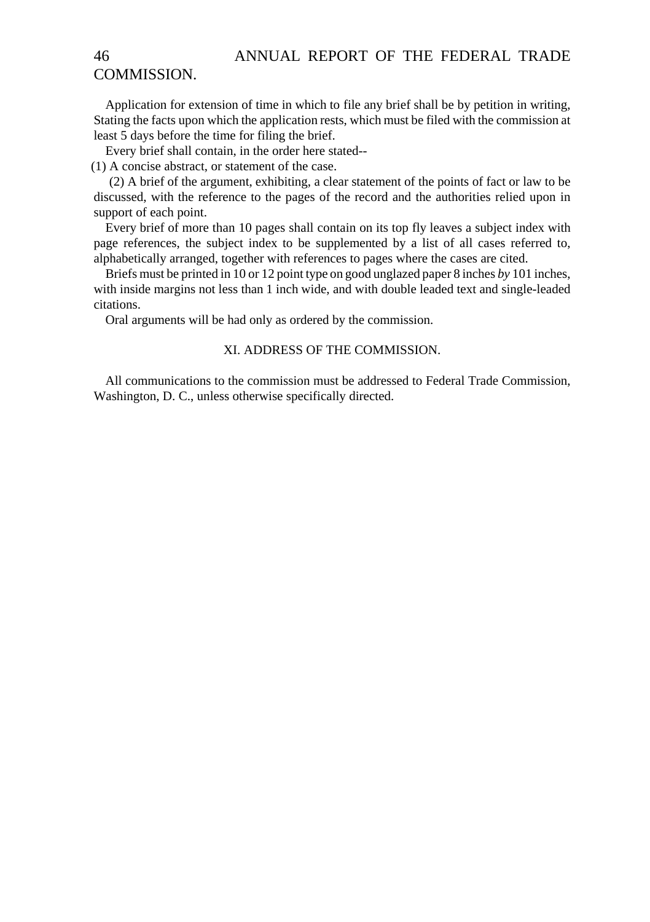Application for extension of time in which to file any brief shall be by petition in writing, Stating the facts upon which the application rests, which must be filed with the commission at least 5 days before the time for filing the brief.

Every brief shall contain, in the order here stated--

(1) A concise abstract, or statement of the case.

 (2) A brief of the argument, exhibiting, a clear statement of the points of fact or law to be discussed, with the reference to the pages of the record and the authorities relied upon in support of each point.

Every brief of more than 10 pages shall contain on its top fly leaves a subject index with page references, the subject index to be supplemented by a list of all cases referred to, alphabetically arranged, together with references to pages where the cases are cited.

Briefs must be printed in 10 or 12 point type on good unglazed paper 8 inches *by* 101 inches, with inside margins not less than 1 inch wide, and with double leaded text and single-leaded citations.

Oral arguments will be had only as ordered by the commission.

#### XI. ADDRESS OF THE COMMISSION.

All communications to the commission must be addressed to Federal Trade Commission, Washington, D. C., unless otherwise specifically directed.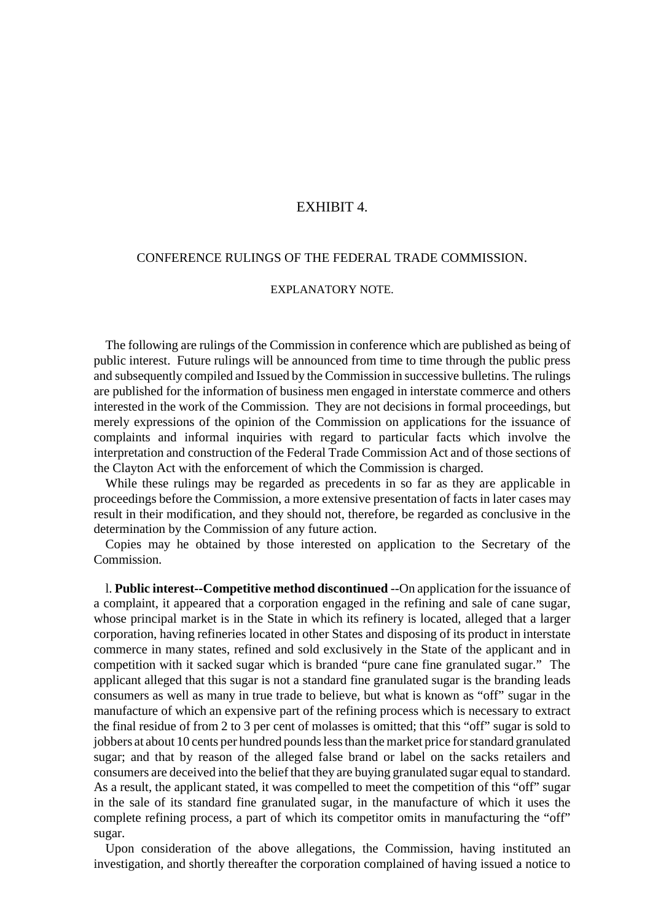#### EXHIBIT 4.

#### CONFERENCE RULINGS OF THE FEDERAL TRADE COMMISSION.

#### EXPLANATORY NOTE.

The following are rulings of the Commission in conference which are published as being of public interest. Future rulings will be announced from time to time through the public press and subsequently compiled and Issued by the Commission in successive bulletins. The rulings are published for the information of business men engaged in interstate commerce and others interested in the work of the Commission. They are not decisions in formal proceedings, but merely expressions of the opinion of the Commission on applications for the issuance of complaints and informal inquiries with regard to particular facts which involve the interpretation and construction of the Federal Trade Commission Act and of those sections of the Clayton Act with the enforcement of which the Commission is charged.

While these rulings may be regarded as precedents in so far as they are applicable in proceedings before the Commission, a more extensive presentation of facts in later cases may result in their modification, and they should not, therefore, be regarded as conclusive in the determination by the Commission of any future action.

Copies may he obtained by those interested on application to the Secretary of the Commission.

l. **Public interest--Competitive method discontinued** --On application for the issuance of a complaint, it appeared that a corporation engaged in the refining and sale of cane sugar, whose principal market is in the State in which its refinery is located, alleged that a larger corporation, having refineries located in other States and disposing of its product in interstate commerce in many states, refined and sold exclusively in the State of the applicant and in competition with it sacked sugar which is branded "pure cane fine granulated sugar." The applicant alleged that this sugar is not a standard fine granulated sugar is the branding leads consumers as well as many in true trade to believe, but what is known as "off" sugar in the manufacture of which an expensive part of the refining process which is necessary to extract the final residue of from 2 to 3 per cent of molasses is omitted; that this "off" sugar is sold to jobbers at about 10 cents per hundred pounds less than the market price for standard granulated sugar; and that by reason of the alleged false brand or label on the sacks retailers and consumers are deceived into the belief that they are buying granulated sugar equal to standard. As a result, the applicant stated, it was compelled to meet the competition of this "off" sugar in the sale of its standard fine granulated sugar, in the manufacture of which it uses the complete refining process, a part of which its competitor omits in manufacturing the "off" sugar.

Upon consideration of the above allegations, the Commission, having instituted an investigation, and shortly thereafter the corporation complained of having issued a notice to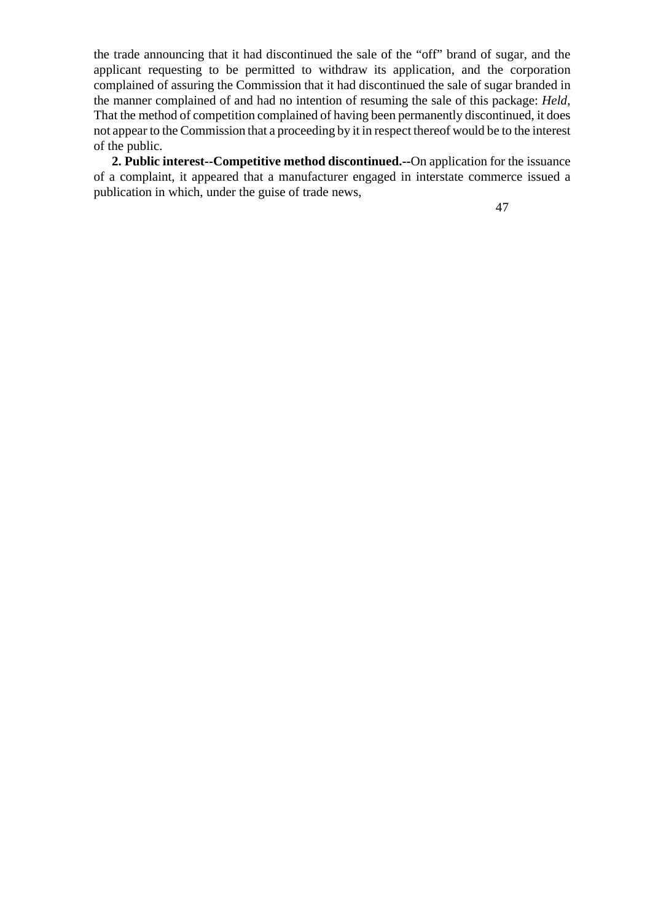the trade announcing that it had discontinued the sale of the "off" brand of sugar, and the applicant requesting to be permitted to withdraw its application, and the corporation complained of assuring the Commission that it had discontinued the sale of sugar branded in the manner complained of and had no intention of resuming the sale of this package: *Held*, That the method of competition complained of having been permanently discontinued, it does not appear to the Commission that a proceeding by it in respect thereof would be to the interest of the public.

**2. Public interest--Competitive method discontinued.--**On application for the issuance of a complaint, it appeared that a manufacturer engaged in interstate commerce issued a publication in which, under the guise of trade news,

47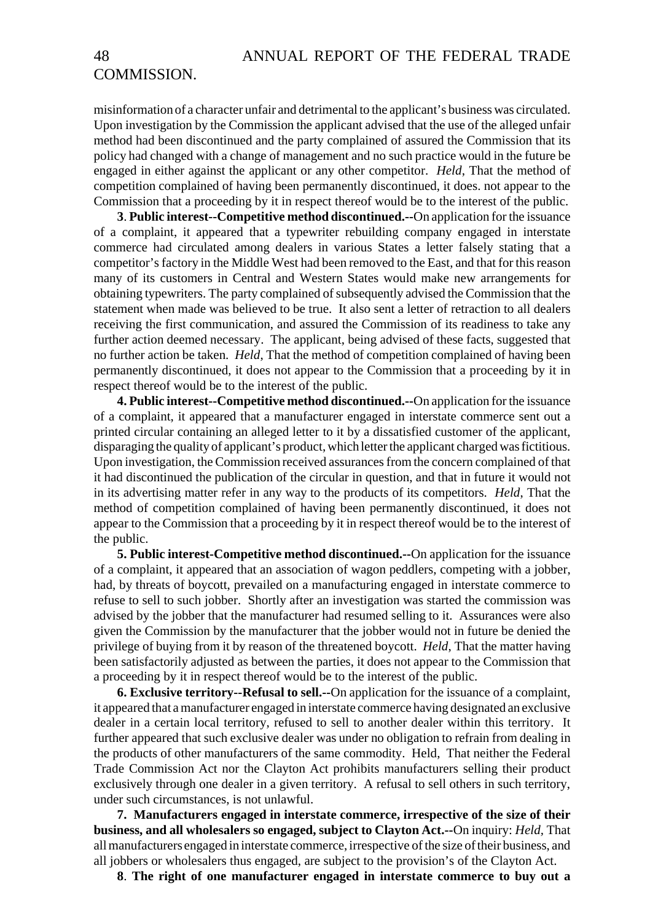misinformation of a character unfair and detrimental to the applicant's business was circulated. Upon investigation by the Commission the applicant advised that the use of the alleged unfair method had been discontinued and the party complained of assured the Commission that its policy had changed with a change of management and no such practice would in the future be engaged in either against the applicant or any other competitor. *Held*, That the method of competition complained of having been permanently discontinued, it does. not appear to the Commission that a proceeding by it in respect thereof would be to the interest of the public.

**3**. **Public interest--Competitive method discontinued.--**On application for the issuance of a complaint, it appeared that a typewriter rebuilding company engaged in interstate commerce had circulated among dealers in various States a letter falsely stating that a competitor'sfactory in the Middle West had been removed to the East, and that for thisreason many of its customers in Central and Western States would make new arrangements for obtaining typewriters. The party complained ofsubsequently advised the Commission that the statement when made was believed to be true. It also sent a letter of retraction to all dealers receiving the first communication, and assured the Commission of its readiness to take any further action deemed necessary. The applicant, being advised of these facts, suggested that no further action be taken. *Held*, That the method of competition complained of having been permanently discontinued, it does not appear to the Commission that a proceeding by it in respect thereof would be to the interest of the public.

**4. Public interest--Competitive method discontinued.--**On application for the issuance of a complaint, it appeared that a manufacturer engaged in interstate commerce sent out a printed circular containing an alleged letter to it by a dissatisfied customer of the applicant, disparaging the quality of applicant's product, which letterthe applicant charged wasfictitious. Upon investigation, the Commission received assurancesfrom the concern complained of that it had discontinued the publication of the circular in question, and that in future it would not in its advertising matter refer in any way to the products of its competitors. *Held*, That the method of competition complained of having been permanently discontinued, it does not appear to the Commission that a proceeding by it in respect thereof would be to the interest of the public.

**5. Public interest-Competitive method discontinued.--**On application for the issuance of a complaint, it appeared that an association of wagon peddlers, competing with a jobber, had, by threats of boycott, prevailed on a manufacturing engaged in interstate commerce to refuse to sell to such jobber. Shortly after an investigation was started the commission was advised by the jobber that the manufacturer had resumed selling to it. Assurances were also given the Commission by the manufacturer that the jobber would not in future be denied the privilege of buying from it by reason of the threatened boycott. *Held*, That the matter having been satisfactorily adjusted as between the parties, it does not appear to the Commission that a proceeding by it in respect thereof would be to the interest of the public.

**6. Exclusive territory--Refusal to sell.--**On application for the issuance of a complaint, it appeared that amanufacturer engaged in interstate commerce having designated an exclusive dealer in a certain local territory, refused to sell to another dealer within this territory. It further appeared that such exclusive dealer was under no obligation to refrain from dealing in the products of other manufacturers of the same commodity. Held, That neither the Federal Trade Commission Act nor the Clayton Act prohibits manufacturers selling their product exclusively through one dealer in a given territory. A refusal to sell others in such territory, under such circumstances, is not unlawful.

**7. Manufacturers engaged in interstate commerce, irrespective of the size of their business, and all wholesalers so engaged, subject to Clayton Act.--**On inquiry: *Held,* That allmanufacturers engaged in interstate commerce, irrespective ofthe size oftheir business, and all jobbers or wholesalers thus engaged, are subject to the provision's of the Clayton Act.

**8**. **The right of one manufacturer engaged in interstate commerce to buy out a**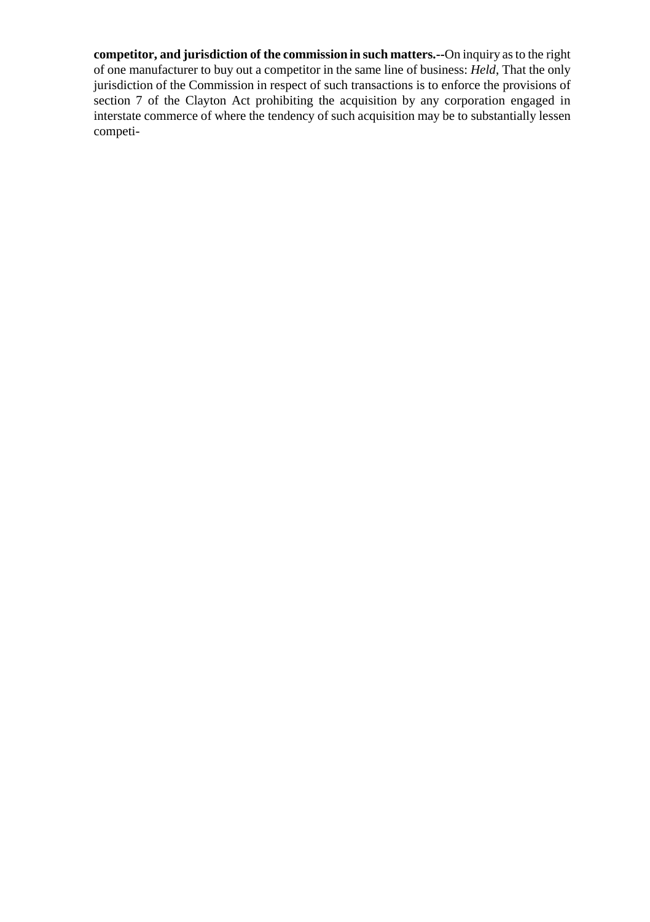**competitor, and jurisdiction of the commission in such matters.--**On inquiry asto the right of one manufacturer to buy out a competitor in the same line of business: *Held*, That the only jurisdiction of the Commission in respect of such transactions is to enforce the provisions of section 7 of the Clayton Act prohibiting the acquisition by any corporation engaged in interstate commerce of where the tendency of such acquisition may be to substantially lessen competi-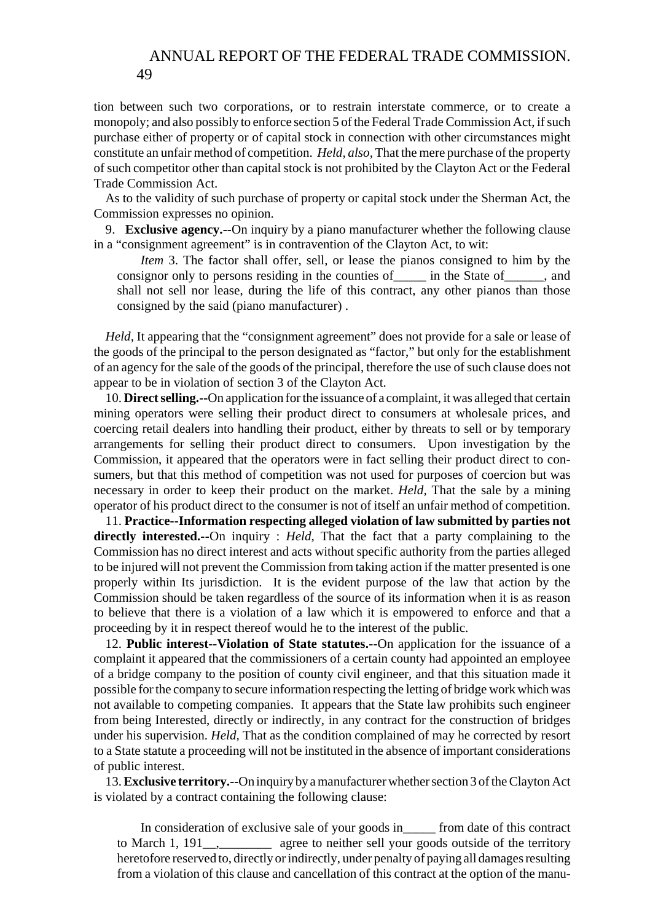### ANNUAL REPORT OF THE FEDERAL TRADE COMMISSION. 49

tion between such two corporations, or to restrain interstate commerce, or to create a monopoly; and also possibly to enforce section 5 of the Federal Trade Commission Act, if such purchase either of property or of capital stock in connection with other circumstances might constitute an unfair method of competition. *Held, also,* That the mere purchase ofthe property of such competitor other than capital stock is not prohibited by the Clayton Act or the Federal Trade Commission Act.

As to the validity of such purchase of property or capital stock under the Sherman Act, the Commission expresses no opinion.

9. **Exclusive agency.--**On inquiry by a piano manufacturer whether the following clause in a "consignment agreement" is in contravention of the Clayton Act, to wit:

*Item* 3. The factor shall offer, sell, or lease the pianos consigned to him by the consignor only to persons residing in the counties of  $\Box$  in the State of  $\Box$ , and shall not sell nor lease, during the life of this contract, any other pianos than those consigned by the said (piano manufacturer) .

*Held,* It appearing that the "consignment agreement" does not provide for a sale or lease of the goods of the principal to the person designated as "factor," but only for the establishment of an agency for the sale of the goods of the principal, therefore the use ofsuch clause does not appear to be in violation of section 3 of the Clayton Act.

10. **Directselling.--**On application forthe issuance of a complaint, it was alleged that certain mining operators were selling their product direct to consumers at wholesale prices, and coercing retail dealers into handling their product, either by threats to sell or by temporary arrangements for selling their product direct to consumers. Upon investigation by the Commission, it appeared that the operators were in fact selling their product direct to consumers, but that this method of competition was not used for purposes of coercion but was necessary in order to keep their product on the market. *Held,* That the sale by a mining operator of his product direct to the consumer is not of itself an unfair method of competition.

11. **Practice--Information respecting alleged violation of law submitted by parties not directly interested.--**On inquiry : *Held,* That the fact that a party complaining to the Commission has no direct interest and acts without specific authority from the parties alleged to be injured will not prevent the Commission from taking action if the matter presented is one properly within Its jurisdiction. It is the evident purpose of the law that action by the Commission should be taken regardless of the source of its information when it is as reason to believe that there is a violation of a law which it is empowered to enforce and that a proceeding by it in respect thereof would he to the interest of the public.

12. **Public interest--Violation of State statutes.--**On application for the issuance of a complaint it appeared that the commissioners of a certain county had appointed an employee of a bridge company to the position of county civil engineer, and that this situation made it possible for the company to secure information respecting the letting of bridge work which was not available to competing companies. It appears that the State law prohibits such engineer from being Interested, directly or indirectly, in any contract for the construction of bridges under his supervision. *Held,* That as the condition complained of may he corrected by resort to a State statute a proceeding will not be instituted in the absence of important considerations of public interest.

13.**Exclusive territory.--**On inquiryby amanufacturerwhethersection 3 oftheClaytonAct is violated by a contract containing the following clause:

In consideration of exclusive sale of your goods in\_\_\_\_\_ from date of this contract to March 1, 191<sub>\_\_</sub>, \_\_\_\_\_\_\_\_\_\_\_ agree to neither sell your goods outside of the territory heretofore reserved to, directly or indirectly, under penalty of paying all damages resulting from a violation of this clause and cancellation of this contract at the option of the manu-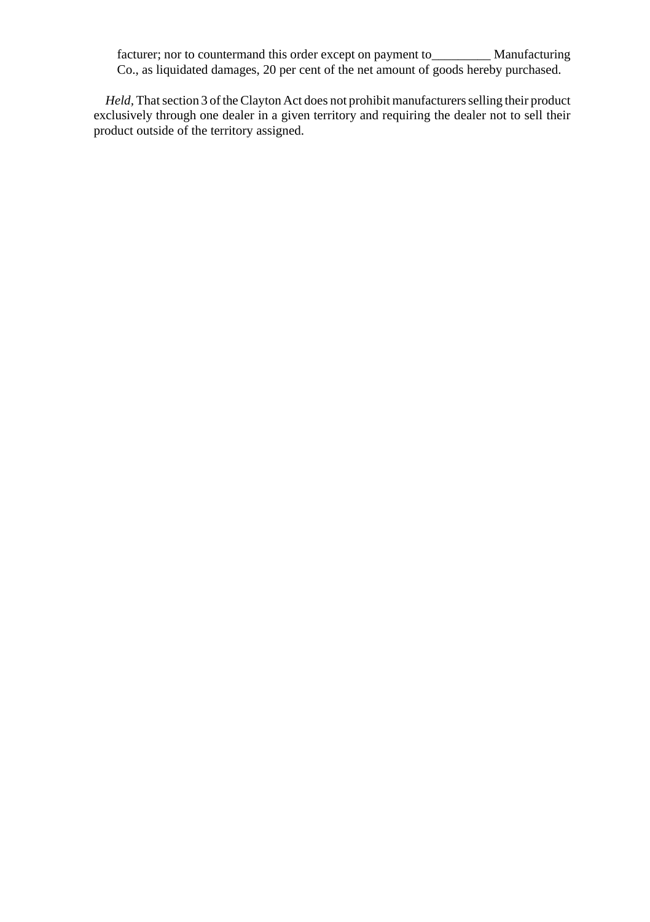facturer; nor to countermand this order except on payment to\_\_\_\_\_\_\_\_\_ Manufacturing Co., as liquidated damages, 20 per cent of the net amount of goods hereby purchased.

Held, That section 3 of the Clayton Act does not prohibit manufacturers selling their product exclusively through one dealer in a given territory and requiring the dealer not to sell their product outside of the territory assigned.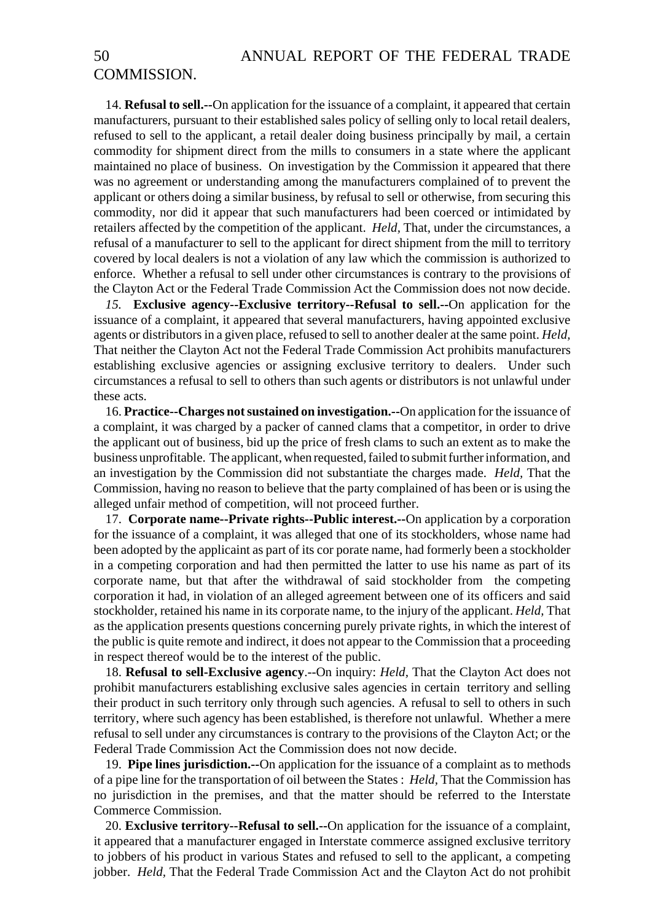14. **Refusal to sell.--**On application for the issuance of a complaint, it appeared that certain manufacturers, pursuant to their established sales policy of selling only to local retail dealers, refused to sell to the applicant, a retail dealer doing business principally by mail, a certain commodity for shipment direct from the mills to consumers in a state where the applicant maintained no place of business. On investigation by the Commission it appeared that there was no agreement or understanding among the manufacturers complained of to prevent the applicant or others doing a similar business, by refusal to sell or otherwise, from securing this commodity, nor did it appear that such manufacturers had been coerced or intimidated by retailers affected by the competition of the applicant. *Held,* That, under the circumstances, a refusal of a manufacturer to sell to the applicant for direct shipment from the mill to territory covered by local dealers is not a violation of any law which the commission is authorized to enforce. Whether a refusal to sell under other circumstances is contrary to the provisions of the Clayton Act or the Federal Trade Commission Act the Commission does not now decide.

*15.* **Exclusive agency--Exclusive territory--Refusal to sell.--**On application for the issuance of a complaint, it appeared that several manufacturers, having appointed exclusive agents or distributorsin a given place, refused to sell to another dealer at the same point. *Held,* That neither the Clayton Act not the Federal Trade Commission Act prohibits manufacturers establishing exclusive agencies or assigning exclusive territory to dealers. Under such circumstances a refusal to sell to others than such agents or distributors is not unlawful under these acts.

16. **Practice--Charges not sustained on <b>investigation.** -- On application for the issuance of a complaint, it was charged by a packer of canned clams that a competitor, in order to drive the applicant out of business, bid up the price of fresh clams to such an extent as to make the business unprofitable. The applicant, when requested, failed to submit further information, and an investigation by the Commission did not substantiate the charges made. *Held,* That the Commission, having no reason to believe that the party complained of has been or is using the alleged unfair method of competition, will not proceed further.

17. **Corporate name--Private rights--Public interest.--**On application by a corporation for the issuance of a complaint, it was alleged that one of its stockholders, whose name had been adopted by the applicaint as part of its cor porate name, had formerly been a stockholder in a competing corporation and had then permitted the latter to use his name as part of its corporate name, but that after the withdrawal of said stockholder from the competing corporation it had, in violation of an alleged agreement between one of its officers and said stockholder, retained his name in its corporate name, to the injury of the applicant. *Held,* That as the application presents questions concerning purely private rights, in which the interest of the public is quite remote and indirect, it does not appear to the Commission that a proceeding in respect thereof would be to the interest of the public.

18. **Refusal to sell-Exclusive agency**.--On inquiry: *Held,* That the Clayton Act does not prohibit manufacturers establishing exclusive sales agencies in certain territory and selling their product in such territory only through such agencies. A refusal to sell to others in such territory, where such agency has been established, is therefore not unlawful. Whether a mere refusal to sell under any circumstances is contrary to the provisions of the Clayton Act; or the Federal Trade Commission Act the Commission does not now decide.

19. **Pipe lines jurisdiction.--**On application for the issuance of a complaint as to methods of a pipe line for the transportation of oil between the States : *Held,* That the Commission has no jurisdiction in the premises, and that the matter should be referred to the Interstate Commerce Commission.

20. **Exclusive territory--Refusal to sell.--**On application for the issuance of a complaint, it appeared that a manufacturer engaged in Interstate commerce assigned exclusive territory to jobbers of his product in various States and refused to sell to the applicant, a competing jobber. *Held,* That the Federal Trade Commission Act and the Clayton Act do not prohibit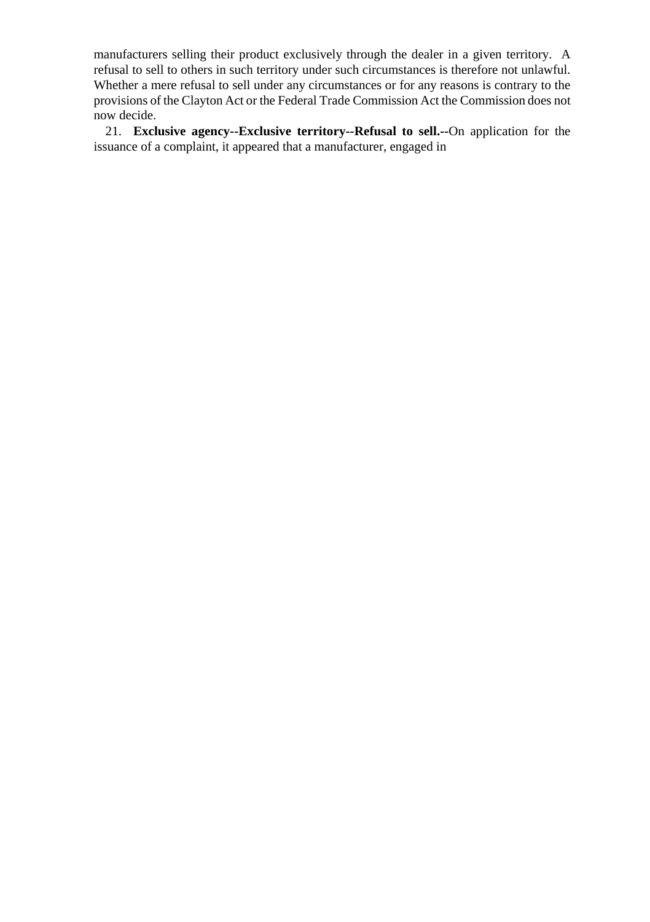manufacturers selling their product exclusively through the dealer in a given territory. A refusal to sell to others in such territory under such circumstances is therefore not unlawful. Whether a mere refusal to sell under any circumstances or for any reasons is contrary to the provisions of the Clayton Act or the Federal Trade Commission Act the Commission does not now decide.

21. **Exclusive agency--Exclusive territory--Refusal to sell.--**On application for the issuance of a complaint, it appeared that a manufacturer, engaged in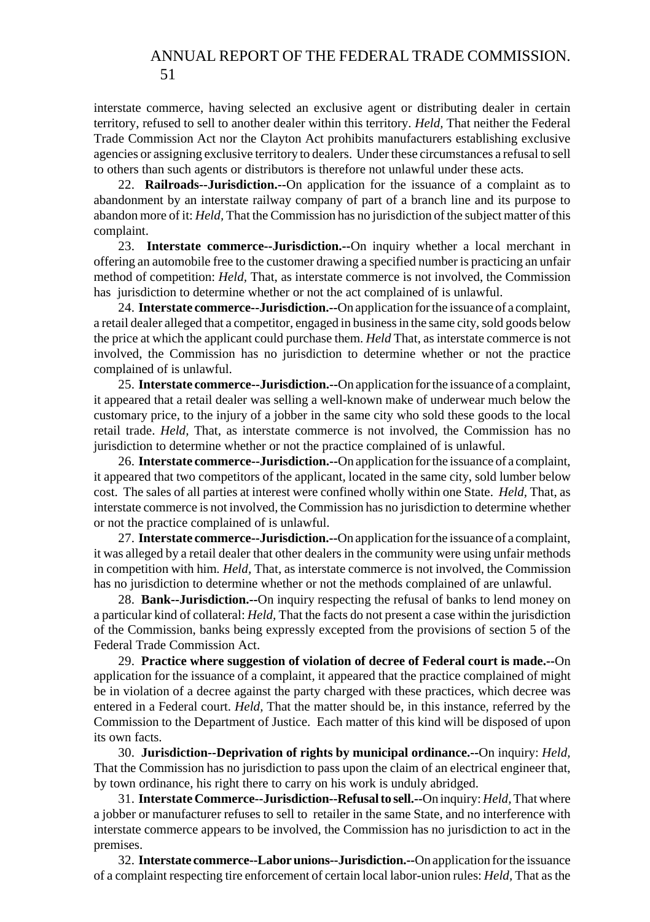## ANNUAL REPORT OF THE FEDERAL TRADE COMMISSION. 51

interstate commerce, having selected an exclusive agent or distributing dealer in certain territory, refused to sell to another dealer within this territory. *Held,* That neither the Federal Trade Commission Act nor the Clayton Act prohibits manufacturers establishing exclusive agencies or assigning exclusive territory to dealers. Under these circumstances a refusal to sell to others than such agents or distributors is therefore not unlawful under these acts.

22. **Railroads--Jurisdiction.--**On application for the issuance of a complaint as to abandonment by an interstate railway company of part of a branch line and its purpose to abandon more of it: *Held*, That the Commission has no jurisdiction of the subject matter of this complaint.

23. **Interstate commerce--Jurisdiction.--**On inquiry whether a local merchant in offering an automobile free to the customer drawing a specified number is practicing an unfair method of competition: *Held,* That, as interstate commerce is not involved, the Commission has jurisdiction to determine whether or not the act complained of is unlawful.

24. **Interstate commerce--Jurisdiction.--**On application forthe issuance of a complaint, a retail dealer alleged that a competitor, engaged in business in the same city, sold goods below the price at which the applicant could purchase them. *Held* That, asinterstate commerce is not involved, the Commission has no jurisdiction to determine whether or not the practice complained of is unlawful.

25. **Interstate commerce--Jurisdiction.--**On application forthe issuance of a complaint, it appeared that a retail dealer was selling a well-known make of underwear much below the customary price, to the injury of a jobber in the same city who sold these goods to the local retail trade. *Held,* That, as interstate commerce is not involved, the Commission has no jurisdiction to determine whether or not the practice complained of is unlawful.

26. **Interstate commerce--Jurisdiction.--**On application for the issuance of a complaint, it appeared that two competitors of the applicant, located in the same city, sold lumber below cost. The sales of all parties at interest were confined wholly within one State. *Held,* That, as interstate commerce is not involved, the Commission has no jurisdiction to determine whether or not the practice complained of is unlawful.

27. **Interstate commerce--Jurisdiction.--**On application forthe issuance of a complaint, it was alleged by a retail dealer that other dealers in the community were using unfair methods in competition with him. *Held,* That, as interstate commerce is not involved, the Commission has no jurisdiction to determine whether or not the methods complained of are unlawful.

28. **Bank--Jurisdiction.--**On inquiry respecting the refusal of banks to lend money on a particular kind of collateral: *Held,* That the facts do not present a case within the jurisdiction of the Commission, banks being expressly excepted from the provisions of section 5 of the Federal Trade Commission Act.

29. **Practice where suggestion of violation of decree of Federal court is made.--**On application for the issuance of a complaint, it appeared that the practice complained of might be in violation of a decree against the party charged with these practices, which decree was entered in a Federal court. *Held,* That the matter should be, in this instance, referred by the Commission to the Department of Justice. Each matter of this kind will be disposed of upon its own facts.

30. **Jurisdiction--Deprivation of rights by municipal ordinance.--**On inquiry: *Held,* That the Commission has no jurisdiction to pass upon the claim of an electrical engineer that, by town ordinance, his right there to carry on his work is unduly abridged.

31. **Interstate Commerce--Jurisdiction--Refusal to sell.--**On inquiry: *Held,*That where a jobber or manufacturer refuses to sell to retailer in the same State, and no interference with interstate commerce appears to be involved, the Commission has no jurisdiction to act in the premises.

32. **Interstate commerce--Labor unions--Jurisdiction.--**On application forthe issuance of a complaint respecting tire enforcement of certain local labor-union rules: *Held,* That asthe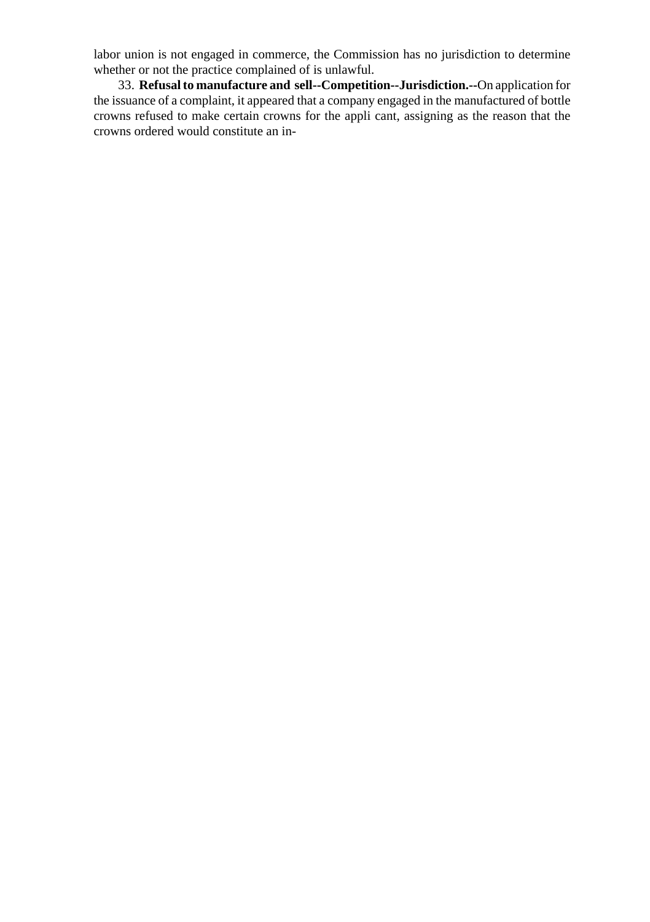labor union is not engaged in commerce, the Commission has no jurisdiction to determine whether or not the practice complained of is unlawful.

33. **Refusalto manufacture and sell--Competition--Jurisdiction.--**On application for the issuance of a complaint, it appeared that a company engaged in the manufactured of bottle crowns refused to make certain crowns for the appli cant, assigning as the reason that the crowns ordered would constitute an in-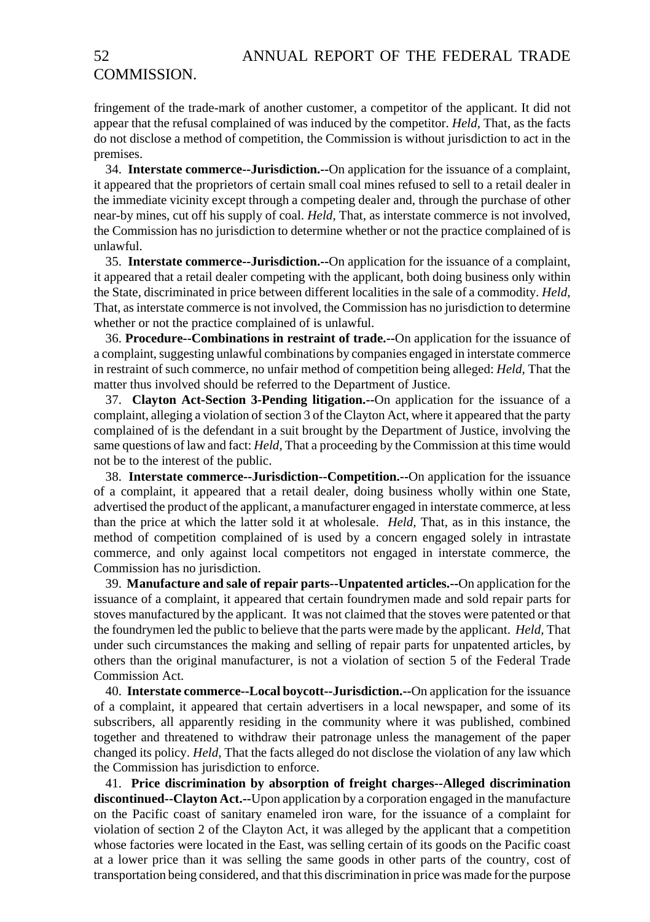fringement of the trade-mark of another customer, a competitor of the applicant. It did not appear that the refusal complained of was induced by the competitor. *Held,* That, as the facts do not disclose a method of competition, the Commission is without jurisdiction to act in the premises.

34. **Interstate commerce--Jurisdiction.--**On application for the issuance of a complaint, it appeared that the proprietors of certain small coal mines refused to sell to a retail dealer in the immediate vicinity except through a competing dealer and, through the purchase of other near-by mines, cut off his supply of coal. *Held,* That, as interstate commerce is not involved, the Commission has no jurisdiction to determine whether or not the practice complained of is unlawful.

35. **Interstate commerce--Jurisdiction.--**On application for the issuance of a complaint, it appeared that a retail dealer competing with the applicant, both doing business only within the State, discriminated in price between different localities in the sale of a commodity. *Held,* That, asinterstate commerce is not involved, the Commission has no jurisdiction to determine whether or not the practice complained of is unlawful.

36. **Procedure--Combinations in restraint of trade.--**On application for the issuance of a complaint, suggesting unlawful combinations by companies engaged in interstate commerce in restraint of such commerce, no unfair method of competition being alleged: *Held,* That the matter thus involved should be referred to the Department of Justice.

37. **Clayton Act-Section 3-Pending litigation.--**On application for the issuance of a complaint, alleging a violation of section 3 of the Clayton Act, where it appeared that the party complained of is the defendant in a suit brought by the Department of Justice, involving the same questions of law and fact: *Held*, That a proceeding by the Commission at this time would not be to the interest of the public.

38. **Interstate commerce--Jurisdiction--Competition.--**On application for the issuance of a complaint, it appeared that a retail dealer, doing business wholly within one State, advertised the product ofthe applicant, a manufacturer engaged in interstate commerce, at less than the price at which the latter sold it at wholesale. *Held,* That, as in this instance, the method of competition complained of is used by a concern engaged solely in intrastate commerce, and only against local competitors not engaged in interstate commerce, the Commission has no jurisdiction.

39. **Manufacture and sale of repair parts--Unpatented articles.--**On application for the issuance of a complaint, it appeared that certain foundrymen made and sold repair parts for stoves manufactured by the applicant. It was not claimed that the stoves were patented or that the foundrymen led the public to believe that the parts were made by the applicant. *Held,* That under such circumstances the making and selling of repair parts for unpatented articles, by others than the original manufacturer, is not a violation of section 5 of the Federal Trade Commission Act.

40. **Interstate commerce--Local boycott--Jurisdiction.--**On application for the issuance of a complaint, it appeared that certain advertisers in a local newspaper, and some of its subscribers, all apparently residing in the community where it was published, combined together and threatened to withdraw their patronage unless the management of the paper changed its policy. *Held,* That the facts alleged do not disclose the violation of any law which the Commission has jurisdiction to enforce.

41. **Price discrimination by absorption of freight charges--Alleged discrimination discontinued--Clayton Act.--**Upon application by a corporation engaged in the manufacture on the Pacific coast of sanitary enameled iron ware, for the issuance of a complaint for violation of section 2 of the Clayton Act, it was alleged by the applicant that a competition whose factories were located in the East, was selling certain of its goods on the Pacific coast at a lower price than it was selling the same goods in other parts of the country, cost of transportation being considered, and that this discrimination in price was made for the purpose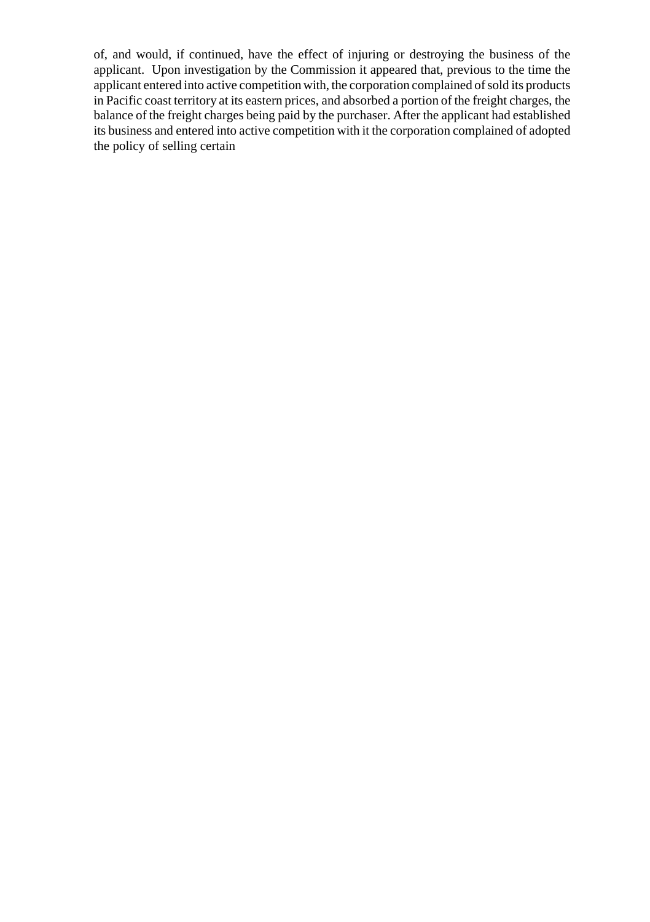of, and would, if continued, have the effect of injuring or destroying the business of the applicant. Upon investigation by the Commission it appeared that, previous to the time the applicant entered into active competition with, the corporation complained of sold its products in Pacific coast territory at its eastern prices, and absorbed a portion of the freight charges, the balance of the freight charges being paid by the purchaser. After the applicant had established its business and entered into active competition with it the corporation complained of adopted the policy of selling certain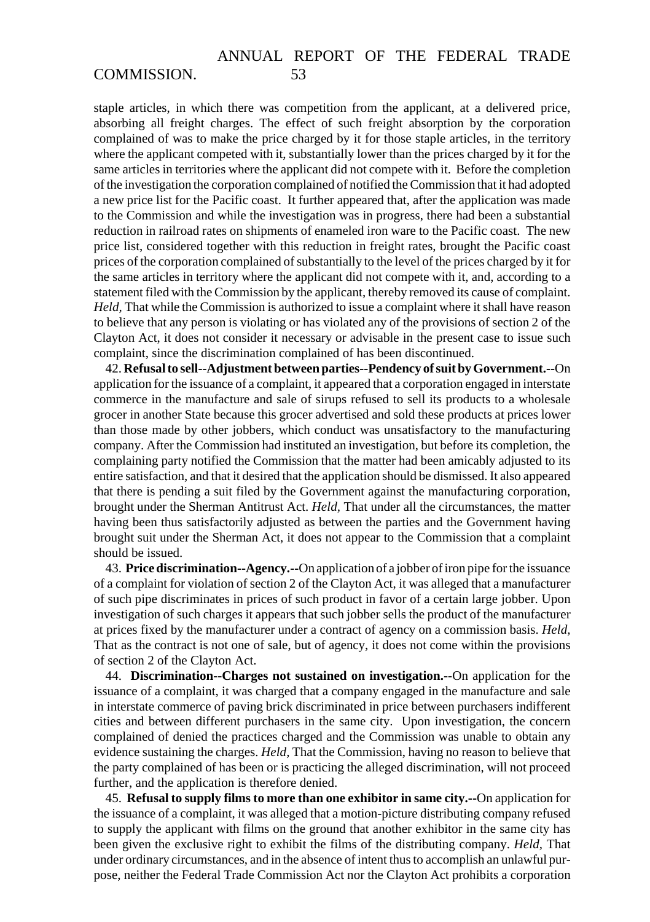# ANNUAL REPORT OF THE FEDERAL TRADE

#### COMMISSION. 53

staple articles, in which there was competition from the applicant, at a delivered price, absorbing all freight charges. The effect of such freight absorption by the corporation complained of was to make the price charged by it for those staple articles, in the territory where the applicant competed with it, substantially lower than the prices charged by it for the same articles in territories where the applicant did not compete with it. Before the completion ofthe investigation the corporation complained of notified the Commission that it had adopted a new price list for the Pacific coast. It further appeared that, after the application was made to the Commission and while the investigation was in progress, there had been a substantial reduction in railroad rates on shipments of enameled iron ware to the Pacific coast. The new price list, considered together with this reduction in freight rates, brought the Pacific coast prices of the corporation complained of substantially to the level of the prices charged by it for the same articles in territory where the applicant did not compete with it, and, according to a statement filed with the Commission by the applicant, thereby removed its cause of complaint. *Held*, That while the Commission is authorized to issue a complaint where it shall have reason to believe that any person is violating or has violated any of the provisions of section 2 of the Clayton Act, it does not consider it necessary or advisable in the present case to issue such complaint, since the discrimination complained of has been discontinued.

42. **Refusalto sell--Adjustment between parties--Pendency of suit by Government.--**On application for the issuance of a complaint, it appeared that a corporation engaged in interstate commerce in the manufacture and sale of sirups refused to sell its products to a wholesale grocer in another State because this grocer advertised and sold these products at prices lower than those made by other jobbers, which conduct was unsatisfactory to the manufacturing company. After the Commission had instituted an investigation, but before its completion, the complaining party notified the Commission that the matter had been amicably adjusted to its entire satisfaction, and that it desired that the application should be dismissed. It also appeared that there is pending a suit filed by the Government against the manufacturing corporation, brought under the Sherman Antitrust Act. *Held,* That under all the circumstances, the matter having been thus satisfactorily adjusted as between the parties and the Government having brought suit under the Sherman Act, it does not appear to the Commission that a complaint should be issued.

43. **Price discrimination--Agency.--**On application of a jobber ofiron pipe forthe issuance of a complaint for violation of section 2 of the Clayton Act, it was alleged that a manufacturer of such pipe discriminates in prices of such product in favor of a certain large jobber. Upon investigation of such charges it appears that such jobber sells the product of the manufacturer at prices fixed by the manufacturer under a contract of agency on a commission basis. *Held,* That as the contract is not one of sale, but of agency, it does not come within the provisions of section 2 of the Clayton Act.

44. **Discrimination--Charges not sustained on investigation.--**On application for the issuance of a complaint, it was charged that a company engaged in the manufacture and sale in interstate commerce of paving brick discriminated in price between purchasers indifferent cities and between different purchasers in the same city. Upon investigation, the concern complained of denied the practices charged and the Commission was unable to obtain any evidence sustaining the charges. *Held,* That the Commission, having no reason to believe that the party complained of has been or is practicing the alleged discrimination, will not proceed further, and the application is therefore denied.

45. **Refusal to supply films to more than one exhibitor in same city.--**On application for the issuance of a complaint, it was alleged that a motion-picture distributing company refused to supply the applicant with films on the ground that another exhibitor in the same city has been given the exclusive right to exhibit the films of the distributing company. *Held,* That under ordinary circumstances, and in the absence of intent thusto accomplish an unlawful purpose, neither the Federal Trade Commission Act nor the Clayton Act prohibits a corporation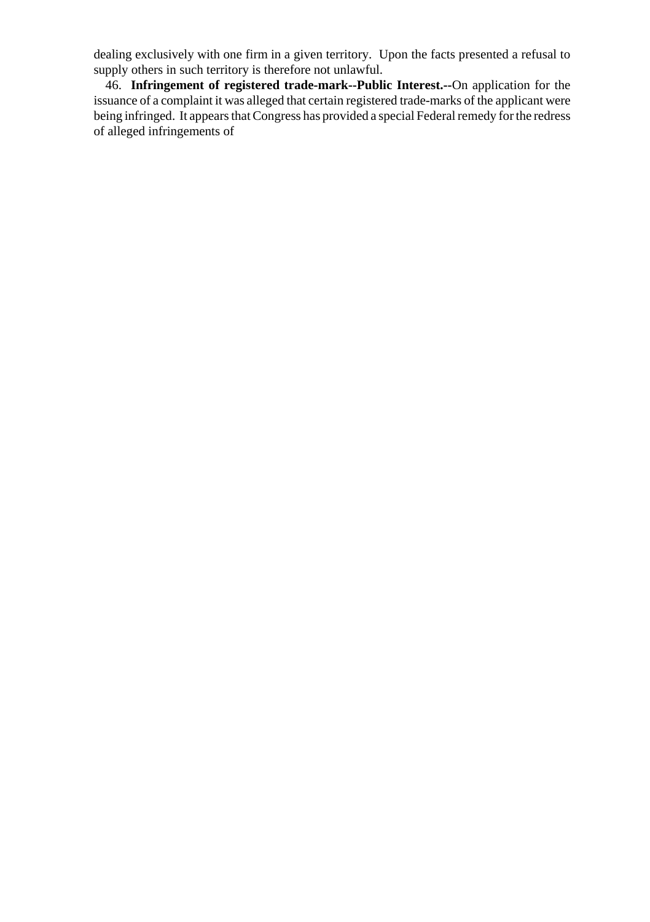dealing exclusively with one firm in a given territory. Upon the facts presented a refusal to supply others in such territory is therefore not unlawful.

46. **Infringement of registered trade-mark--Public Interest.--**On application for the issuance of a complaint it was alleged that certain registered trade-marks of the applicant were being infringed. It appears that Congress has provided a special Federal remedy for the redress of alleged infringements of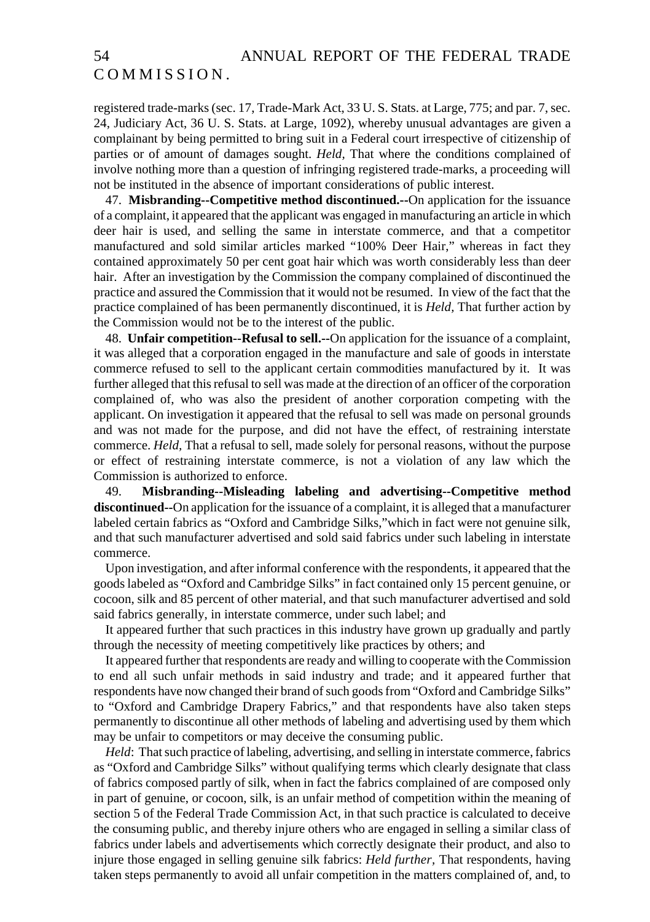# 54 ANNUAL REPORT OF THE FEDERAL TRADE COMMISSION.

registered trade-marks(sec. 17, Trade-Mark Act, 33 U. S. Stats. at Large, 775; and par. 7, sec. 24, Judiciary Act, 36 U. S. Stats. at Large, 1092), whereby unusual advantages are given a complainant by being permitted to bring suit in a Federal court irrespective of citizenship of parties or of amount of damages sought. *Held,* That where the conditions complained of involve nothing more than a question of infringing registered trade-marks, a proceeding will not be instituted in the absence of important considerations of public interest.

47. **Misbranding--Competitive method discontinued.--**On application for the issuance of a complaint, it appeared that the applicant was engaged in manufacturing an article in which deer hair is used, and selling the same in interstate commerce, and that a competitor manufactured and sold similar articles marked "100% Deer Hair," whereas in fact they contained approximately 50 per cent goat hair which was worth considerably less than deer hair. After an investigation by the Commission the company complained of discontinued the practice and assured the Commission that it would not be resumed. In view of the fact that the practice complained of has been permanently discontinued, it is *Held,* That further action by the Commission would not be to the interest of the public.

48. **Unfair competition--Refusal to sell.--**On application for the issuance of a complaint, it was alleged that a corporation engaged in the manufacture and sale of goods in interstate commerce refused to sell to the applicant certain commodities manufactured by it. It was further alleged that this refusal to sell was made at the direction of an officer of the corporation complained of, who was also the president of another corporation competing with the applicant. On investigation it appeared that the refusal to sell was made on personal grounds and was not made for the purpose, and did not have the effect, of restraining interstate commerce. *Held,* That a refusal to sell, made solely for personal reasons, without the purpose or effect of restraining interstate commerce, is not a violation of any law which the Commission is authorized to enforce.

49. **Misbranding--Misleading labeling and advertising--Competitive method discontinued--**On application for the issuance of a complaint, it is alleged that a manufacturer labeled certain fabrics as "Oxford and Cambridge Silks,"which in fact were not genuine silk, and that such manufacturer advertised and sold said fabrics under such labeling in interstate commerce.

Upon investigation, and after informal conference with the respondents, it appeared that the goods labeled as "Oxford and Cambridge Silks" in fact contained only 15 percent genuine, or cocoon, silk and 85 percent of other material, and that such manufacturer advertised and sold said fabrics generally, in interstate commerce, under such label; and

It appeared further that such practices in this industry have grown up gradually and partly through the necessity of meeting competitively like practices by others; and

It appeared further that respondents are ready and willing to cooperate with the Commission to end all such unfair methods in said industry and trade; and it appeared further that respondents have now changed their brand of such goods from "Oxford and Cambridge Silks" to "Oxford and Cambridge Drapery Fabrics," and that respondents have also taken steps permanently to discontinue all other methods of labeling and advertising used by them which may be unfair to competitors or may deceive the consuming public.

*Held*: That such practice of labeling, advertising, and selling in interstate commerce, fabrics as "Oxford and Cambridge Silks" without qualifying terms which clearly designate that class of fabrics composed partly of silk, when in fact the fabrics complained of are composed only in part of genuine, or cocoon, silk, is an unfair method of competition within the meaning of section 5 of the Federal Trade Commission Act, in that such practice is calculated to deceive the consuming public, and thereby injure others who are engaged in selling a similar class of fabrics under labels and advertisements which correctly designate their product, and also to injure those engaged in selling genuine silk fabrics: *Held further,* That respondents, having taken steps permanently to avoid all unfair competition in the matters complained of, and, to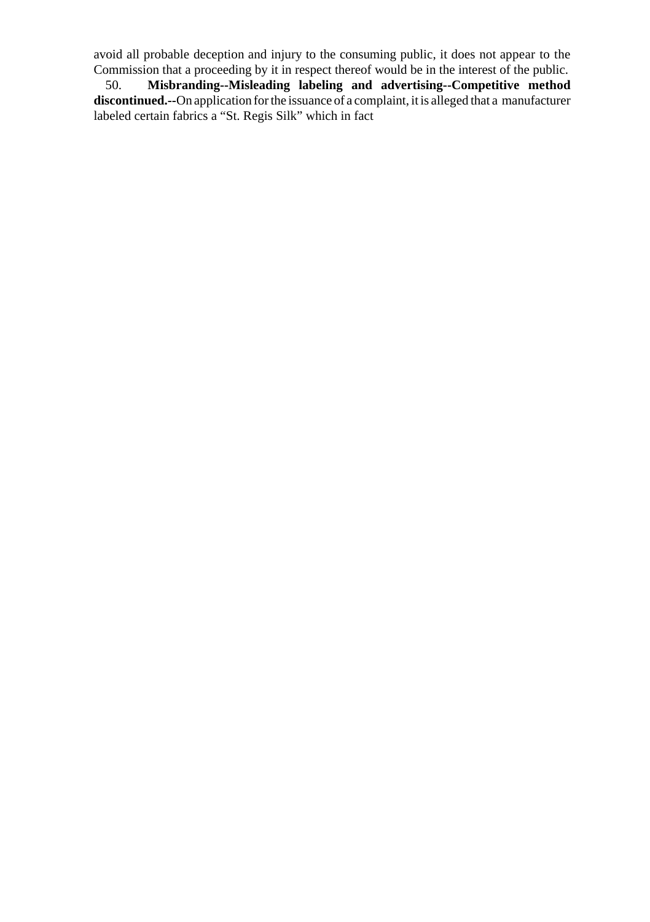avoid all probable deception and injury to the consuming public, it does not appear to the Commission that a proceeding by it in respect thereof would be in the interest of the public.

50. **Misbranding--Misleading labeling and advertising--Competitive method discontinued.--**On application forthe issuance of a complaint, it is alleged that a manufacturer labeled certain fabrics a "St. Regis Silk" which in fact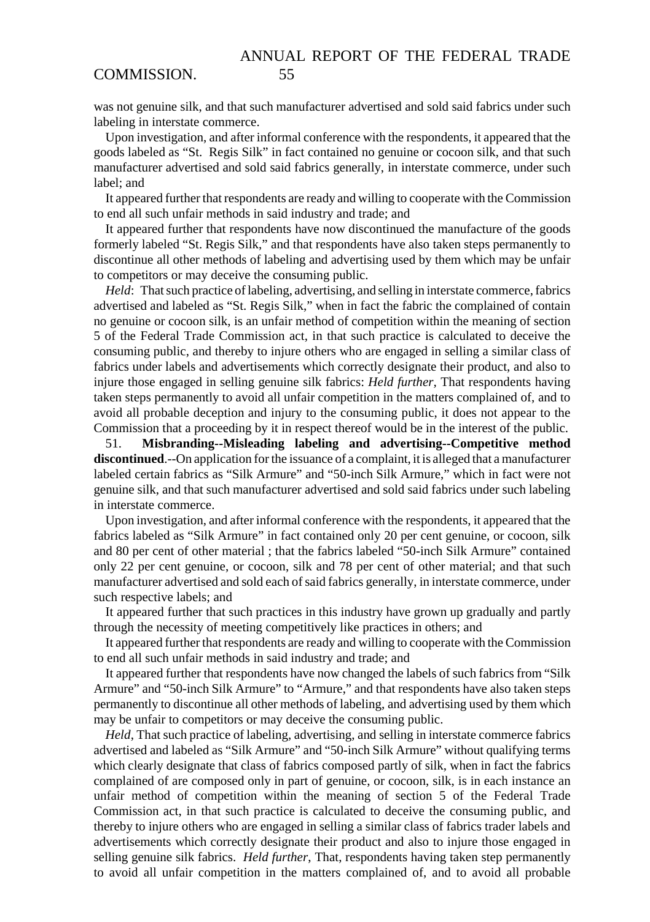was not genuine silk, and that such manufacturer advertised and sold said fabrics under such labeling in interstate commerce.

Upon investigation, and after informal conference with the respondents, it appeared that the goods labeled as "St. Regis Silk" in fact contained no genuine or cocoon silk, and that such manufacturer advertised and sold said fabrics generally, in interstate commerce, under such label; and

It appeared further that respondents are ready and willing to cooperate with the Commission to end all such unfair methods in said industry and trade; and

It appeared further that respondents have now discontinued the manufacture of the goods formerly labeled "St. Regis Silk," and that respondents have also taken steps permanently to discontinue all other methods of labeling and advertising used by them which may be unfair to competitors or may deceive the consuming public.

*Held*: That such practice of labeling, advertising, and selling in interstate commerce, fabrics advertised and labeled as "St. Regis Silk," when in fact the fabric the complained of contain no genuine or cocoon silk, is an unfair method of competition within the meaning of section 5 of the Federal Trade Commission act, in that such practice is calculated to deceive the consuming public, and thereby to injure others who are engaged in selling a similar class of fabrics under labels and advertisements which correctly designate their product, and also to injure those engaged in selling genuine silk fabrics: *Held further,* That respondents having taken steps permanently to avoid all unfair competition in the matters complained of, and to avoid all probable deception and injury to the consuming public, it does not appear to the Commission that a proceeding by it in respect thereof would be in the interest of the public.

51. **Misbranding--Misleading labeling and advertising--Competitive method discontinued**.--On application for the issuance of a complaint, it is alleged that a manufacturer labeled certain fabrics as "Silk Armure" and "50-inch Silk Armure," which in fact were not genuine silk, and that such manufacturer advertised and sold said fabrics under such labeling in interstate commerce.

Upon investigation, and after informal conference with the respondents, it appeared that the fabrics labeled as "Silk Armure" in fact contained only 20 per cent genuine, or cocoon, silk and 80 per cent of other material ; that the fabrics labeled "50-inch Silk Armure" contained only 22 per cent genuine, or cocoon, silk and 78 per cent of other material; and that such manufacturer advertised and sold each of said fabrics generally, in interstate commerce, under such respective labels; and

It appeared further that such practices in this industry have grown up gradually and partly through the necessity of meeting competitively like practices in others; and

It appeared further that respondents are ready and willing to cooperate with the Commission to end all such unfair methods in said industry and trade; and

It appeared further that respondents have now changed the labels of such fabricsfrom "Silk Armure" and "50-inch Silk Armure" to "Armure," and that respondents have also taken steps permanently to discontinue all other methods of labeling, and advertising used by them which may be unfair to competitors or may deceive the consuming public.

*Held*, That such practice of labeling, advertising, and selling in interstate commerce fabrics advertised and labeled as "Silk Armure" and "50-inch Silk Armure" without qualifying terms which clearly designate that class of fabrics composed partly of silk, when in fact the fabrics complained of are composed only in part of genuine, or cocoon, silk, is in each instance an unfair method of competition within the meaning of section 5 of the Federal Trade Commission act, in that such practice is calculated to deceive the consuming public, and thereby to injure others who are engaged in selling a similar class of fabrics trader labels and advertisements which correctly designate their product and also to injure those engaged in selling genuine silk fabrics. *Held further*, That, respondents having taken step permanently to avoid all unfair competition in the matters complained of, and to avoid all probable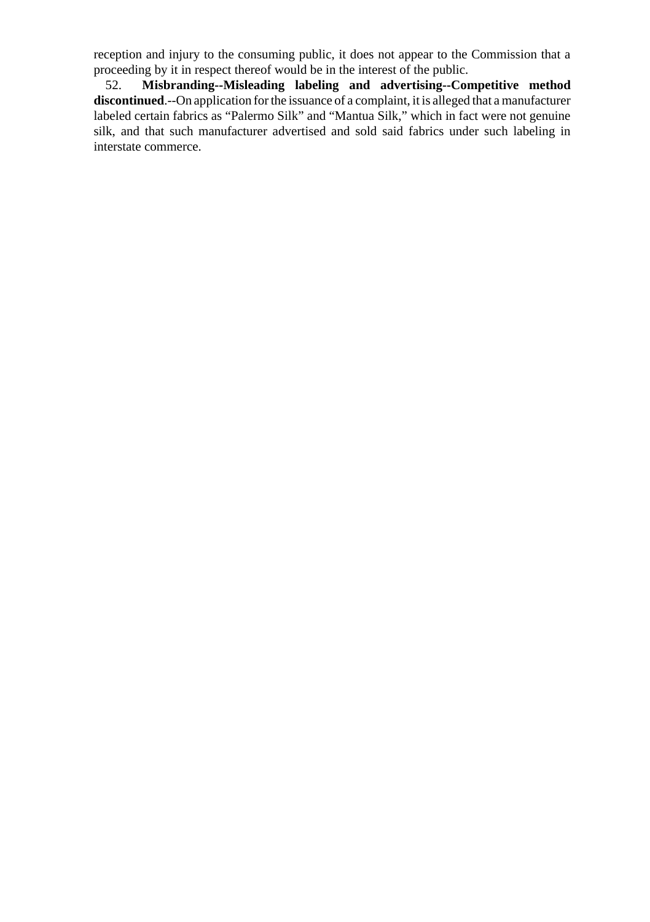reception and injury to the consuming public, it does not appear to the Commission that a proceeding by it in respect thereof would be in the interest of the public.

52. **Misbranding--Misleading labeling and advertising--Competitive method discontinued**.--On application forthe issuance of a complaint, it is alleged that a manufacturer labeled certain fabrics as "Palermo Silk" and "Mantua Silk," which in fact were not genuine silk, and that such manufacturer advertised and sold said fabrics under such labeling in interstate commerce.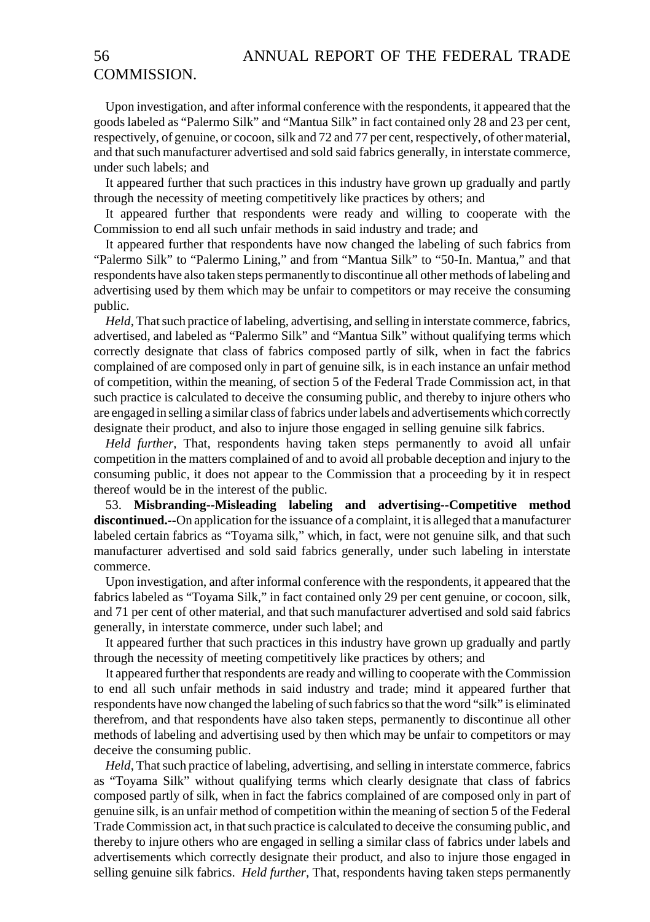Upon investigation, and after informal conference with the respondents, it appeared that the goods labeled as "Palermo Silk" and "Mantua Silk" in fact contained only 28 and 23 per cent, respectively, of genuine, or cocoon, silk and 72 and 77 per cent, respectively, of other material, and thatsuch manufacturer advertised and sold said fabrics generally, in interstate commerce, under such labels; and

It appeared further that such practices in this industry have grown up gradually and partly through the necessity of meeting competitively like practices by others; and

It appeared further that respondents were ready and willing to cooperate with the Commission to end all such unfair methods in said industry and trade; and

It appeared further that respondents have now changed the labeling of such fabrics from "Palermo Silk" to "Palermo Lining," and from "Mantua Silk" to "50-In. Mantua," and that respondents have also taken steps permanently to discontinue all other methods oflabeling and advertising used by them which may be unfair to competitors or may receive the consuming public.

*Held*, That such practice of labeling, advertising, and selling in interstate commerce, fabrics, advertised, and labeled as "Palermo Silk" and "Mantua Silk" without qualifying terms which correctly designate that class of fabrics composed partly of silk, when in fact the fabrics complained of are composed only in part of genuine silk, is in each instance an unfair method of competition, within the meaning, of section 5 of the Federal Trade Commission act, in that such practice is calculated to deceive the consuming public, and thereby to injure others who are engaged in selling a similar class of fabrics under labels and advertisements which correctly designate their product, and also to injure those engaged in selling genuine silk fabrics.

*Held further,* That, respondents having taken steps permanently to avoid all unfair competition in the matters complained of and to avoid all probable deception and injury to the consuming public, it does not appear to the Commission that a proceeding by it in respect thereof would be in the interest of the public.

53. **Misbranding--Misleading labeling and advertising--Competitive method discontinued.--**On application for the issuance of a complaint, it is alleged that a manufacturer labeled certain fabrics as "Toyama silk," which, in fact, were not genuine silk, and that such manufacturer advertised and sold said fabrics generally, under such labeling in interstate commerce.

Upon investigation, and after informal conference with the respondents, it appeared that the fabrics labeled as "Toyama Silk," in fact contained only 29 per cent genuine, or cocoon, silk, and 71 per cent of other material, and that such manufacturer advertised and sold said fabrics generally, in interstate commerce, under such label; and

It appeared further that such practices in this industry have grown up gradually and partly through the necessity of meeting competitively like practices by others; and

It appeared further that respondents are ready and willing to cooperate with the Commission to end all such unfair methods in said industry and trade; mind it appeared further that respondents have now changed the labeling of such fabrics so that the word "silk" is eliminated therefrom, and that respondents have also taken steps, permanently to discontinue all other methods of labeling and advertising used by then which may be unfair to competitors or may deceive the consuming public.

*Held*, That such practice of labeling, advertising, and selling in interstate commerce, fabrics as "Toyama Silk" without qualifying terms which clearly designate that class of fabrics composed partly of silk, when in fact the fabrics complained of are composed only in part of genuine silk, is an unfair method of competition within the meaning ofsection 5 of the Federal Trade Commission act, in that such practice is calculated to deceive the consuming public, and thereby to injure others who are engaged in selling a similar class of fabrics under labels and advertisements which correctly designate their product, and also to injure those engaged in selling genuine silk fabrics. *Held further,* That, respondents having taken steps permanently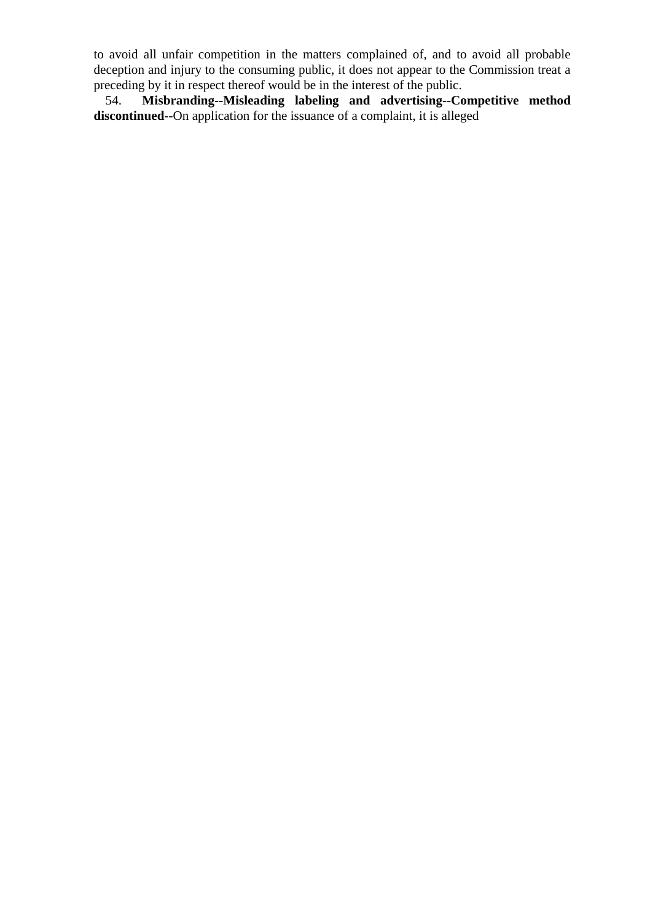to avoid all unfair competition in the matters complained of, and to avoid all probable deception and injury to the consuming public, it does not appear to the Commission treat a preceding by it in respect thereof would be in the interest of the public.

54. **Misbranding--Misleading labeling and advertising--Competitive method discontinued--**On application for the issuance of a complaint, it is alleged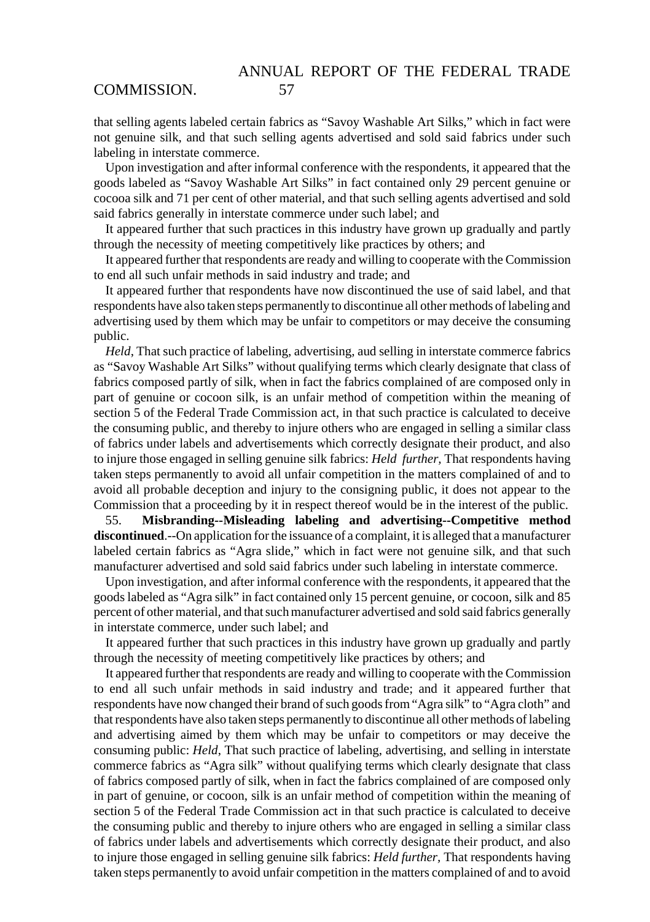that selling agents labeled certain fabrics as "Savoy Washable Art Silks," which in fact were not genuine silk, and that such selling agents advertised and sold said fabrics under such labeling in interstate commerce.

Upon investigation and after informal conference with the respondents, it appeared that the goods labeled as "Savoy Washable Art Silks" in fact contained only 29 percent genuine or cocooa silk and 71 per cent of other material, and that such selling agents advertised and sold said fabrics generally in interstate commerce under such label; and

It appeared further that such practices in this industry have grown up gradually and partly through the necessity of meeting competitively like practices by others; and

It appeared further that respondents are ready and willing to cooperate with the Commission to end all such unfair methods in said industry and trade; and

It appeared further that respondents have now discontinued the use of said label, and that respondents have also taken steps permanently to discontinue all other methods oflabeling and advertising used by them which may be unfair to competitors or may deceive the consuming public.

*Held*, That such practice of labeling, advertising, aud selling in interstate commerce fabrics as "Savoy Washable Art Silks" without qualifying terms which clearly designate that class of fabrics composed partly of silk, when in fact the fabrics complained of are composed only in part of genuine or cocoon silk, is an unfair method of competition within the meaning of section 5 of the Federal Trade Commission act, in that such practice is calculated to deceive the consuming public, and thereby to injure others who are engaged in selling a similar class of fabrics under labels and advertisements which correctly designate their product, and also to injure those engaged in selling genuine silk fabrics: *Held further,* That respondents having taken steps permanently to avoid all unfair competition in the matters complained of and to avoid all probable deception and injury to the consigning public, it does not appear to the Commission that a proceeding by it in respect thereof would be in the interest of the public.

55. **Misbranding--Misleading labeling and advertising--Competitive method discontinued**.--On application forthe issuance of a complaint, it is alleged that a manufacturer labeled certain fabrics as "Agra slide," which in fact were not genuine silk, and that such manufacturer advertised and sold said fabrics under such labeling in interstate commerce.

Upon investigation, and after informal conference with the respondents, it appeared that the goods labeled as "Agra silk" in fact contained only 15 percent genuine, or cocoon, silk and 85 percent of other material, and that such manufacturer advertised and sold said fabrics generally in interstate commerce, under such label; and

It appeared further that such practices in this industry have grown up gradually and partly through the necessity of meeting competitively like practices by others; and

It appeared further that respondents are ready and willing to cooperate with the Commission to end all such unfair methods in said industry and trade; and it appeared further that respondents have now changed their brand of such goods from "Agra silk" to "Agra cloth" and that respondents have also taken steps permanently to discontinue all other methods of labeling and advertising aimed by them which may be unfair to competitors or may deceive the consuming public: *Held*, That such practice of labeling, advertising, and selling in interstate commerce fabrics as "Agra silk" without qualifying terms which clearly designate that class of fabrics composed partly of silk, when in fact the fabrics complained of are composed only in part of genuine, or cocoon, silk is an unfair method of competition within the meaning of section 5 of the Federal Trade Commission act in that such practice is calculated to deceive the consuming public and thereby to injure others who are engaged in selling a similar class of fabrics under labels and advertisements which correctly designate their product, and also to injure those engaged in selling genuine silk fabrics: *Held further,* That respondents having taken steps permanently to avoid unfair competition in the matters complained of and to avoid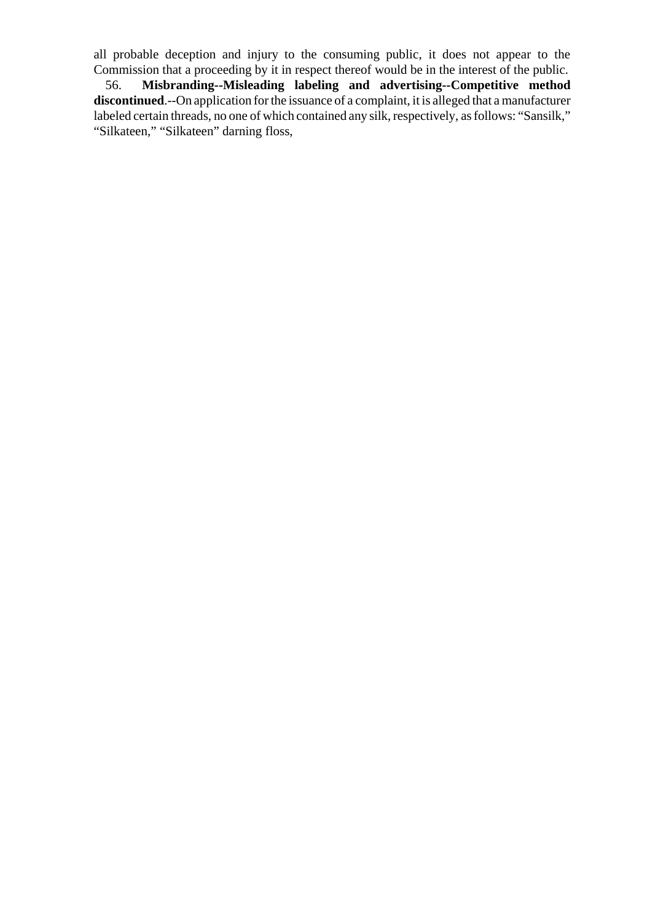all probable deception and injury to the consuming public, it does not appear to the Commission that a proceeding by it in respect thereof would be in the interest of the public.

56. **Misbranding--Misleading labeling and advertising--Competitive method discontinued**.--On application forthe issuance of a complaint, it is alleged that a manufacturer labeled certain threads, no one of which contained any silk, respectively, as follows: "Sansilk," "Silkateen," "Silkateen" darning floss,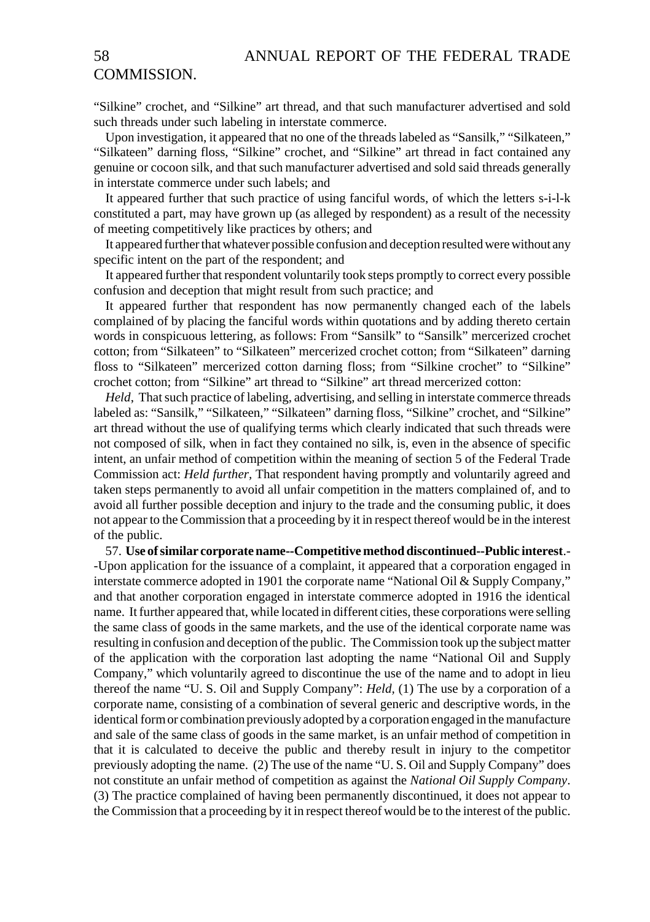"Silkine" crochet, and "Silkine" art thread, and that such manufacturer advertised and sold such threads under such labeling in interstate commerce.

Upon investigation, it appeared that no one of the threadslabeled as "Sansilk," "Silkateen," "Silkateen" darning floss, "Silkine" crochet, and "Silkine" art thread in fact contained any genuine or cocoon silk, and that such manufacturer advertised and sold said threads generally in interstate commerce under such labels; and

It appeared further that such practice of using fanciful words, of which the letters s-i-l-k constituted a part, may have grown up (as alleged by respondent) as a result of the necessity of meeting competitively like practices by others; and

It appeared further that whatever possible confusion and deception resulted were without any specific intent on the part of the respondent; and

It appeared further that respondent voluntarily took steps promptly to correct every possible confusion and deception that might result from such practice; and

It appeared further that respondent has now permanently changed each of the labels complained of by placing the fanciful words within quotations and by adding thereto certain words in conspicuous lettering, as follows: From "Sansilk" to "Sansilk" mercerized crochet cotton; from "Silkateen" to "Silkateen" mercerized crochet cotton; from "Silkateen" darning floss to "Silkateen" mercerized cotton darning floss; from "Silkine crochet" to "Silkine" crochet cotton; from "Silkine" art thread to "Silkine" art thread mercerized cotton:

*Held*, That such practice of labeling, advertising, and selling in interstate commerce threads labeled as: "Sansilk," "Silkateen," "Silkateen" darning floss, "Silkine" crochet, and "Silkine" art thread without the use of qualifying terms which clearly indicated that such threads were not composed of silk, when in fact they contained no silk, is, even in the absence of specific intent, an unfair method of competition within the meaning of section 5 of the Federal Trade Commission act: *Held further,* That respondent having promptly and voluntarily agreed and taken steps permanently to avoid all unfair competition in the matters complained of, and to avoid all further possible deception and injury to the trade and the consuming public, it does not appear to the Commission that a proceeding by it in respect thereof would be in the interest of the public.

57. **Use of similar corporate name--Competitive method discontinued--Public interest**.- -Upon application for the issuance of a complaint, it appeared that a corporation engaged in interstate commerce adopted in 1901 the corporate name "National Oil & Supply Company," and that another corporation engaged in interstate commerce adopted in 1916 the identical name. It further appeared that, while located in different cities, these corporations were selling the same class of goods in the same markets, and the use of the identical corporate name was resulting in confusion and deception ofthe public. The Commission took up the subject matter of the application with the corporation last adopting the name "National Oil and Supply Company," which voluntarily agreed to discontinue the use of the name and to adopt in lieu thereof the name "U. S. Oil and Supply Company": *Held,* (1) The use by a corporation of a corporate name, consisting of a combination of several generic and descriptive words, in the identical form or combination previously adopted by a corporation engaged in the manufacture and sale of the same class of goods in the same market, is an unfair method of competition in that it is calculated to deceive the public and thereby result in injury to the competitor previously adopting the name. (2) The use of the name "U. S. Oil and Supply Company" does not constitute an unfair method of competition as against the *National Oil Supply Company*. (3) The practice complained of having been permanently discontinued, it does not appear to the Commission that a proceeding by it in respect thereof would be to the interest of the public.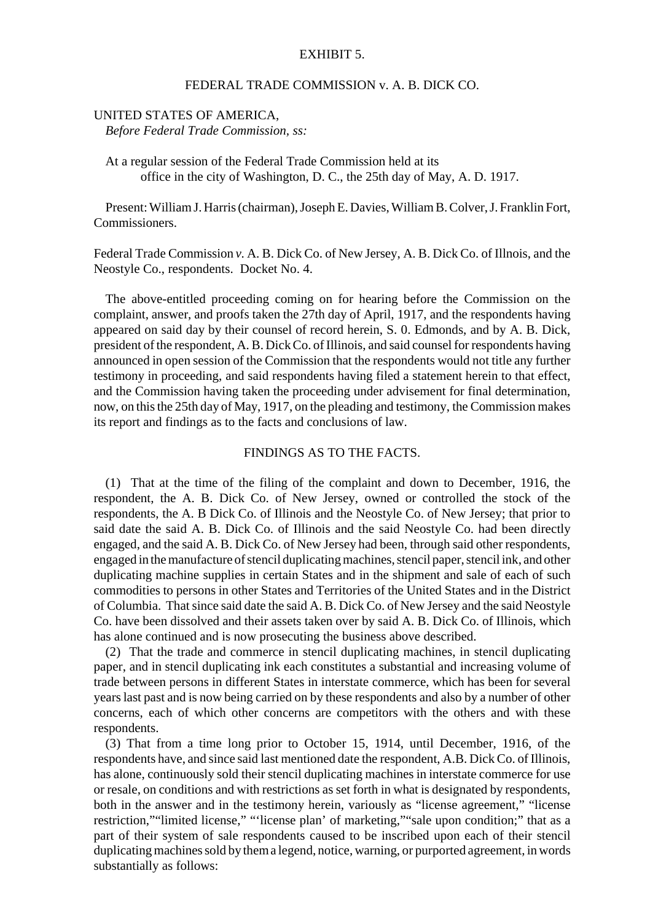#### EXHIBIT 5.

#### FEDERAL TRADE COMMISSION v. A. B. DICK CO.

# UNITED STATES OF AMERICA,

*Before Federal Trade Commission, ss:*

At a regular session of the Federal Trade Commission held at its office in the city of Washington, D. C., the 25th day of May, A. D. 1917.

Present: William J. Harris (chairman), Joseph E. Davies, William B. Colver, J. Franklin Fort, **Commissioners** 

Federal Trade Commission *v.* A. B. Dick Co. of New Jersey, A. B. Dick Co. of Illnois, and the Neostyle Co., respondents. Docket No. 4.

The above-entitled proceeding coming on for hearing before the Commission on the complaint, answer, and proofs taken the 27th day of April, 1917, and the respondents having appeared on said day by their counsel of record herein, S. 0. Edmonds, and by A. B. Dick, president ofthe respondent, A. B. DickCo. ofIllinois, and said counsel for respondents having announced in open session of the Commission that the respondents would not title any further testimony in proceeding, and said respondents having filed a statement herein to that effect, and the Commission having taken the proceeding under advisement for final determination, now, on thisthe 25th day of May, 1917, on the pleading and testimony, the Commission makes its report and findings as to the facts and conclusions of law.

## FINDINGS AS TO THE FACTS.

(1) That at the time of the filing of the complaint and down to December, 1916, the respondent, the A. B. Dick Co. of New Jersey, owned or controlled the stock of the respondents, the A. B Dick Co. of Illinois and the Neostyle Co. of New Jersey; that prior to said date the said A. B. Dick Co. of Illinois and the said Neostyle Co. had been directly engaged, and the said A. B. Dick Co. of New Jersey had been, through said other respondents, engaged in the manufacture of stencil duplicating machines, stencil paper, stencil ink, and other duplicating machine supplies in certain States and in the shipment and sale of each of such commodities to persons in other States and Territories of the United States and in the District of Columbia. That since said date the said A. B. Dick Co. of New Jersey and the said Neostyle Co. have been dissolved and their assets taken over by said A. B. Dick Co. of Illinois, which has alone continued and is now prosecuting the business above described.

(2) That the trade and commerce in stencil duplicating machines, in stencil duplicating paper, and in stencil duplicating ink each constitutes a substantial and increasing volume of trade between persons in different States in interstate commerce, which has been for several yearslast past and is now being carried on by these respondents and also by a number of other concerns, each of which other concerns are competitors with the others and with these respondents.

(3) That from a time long prior to October 15, 1914, until December, 1916, of the respondents have, and since said last mentioned date the respondent, A.B. Dick Co. ofIllinois, has alone, continuously sold their stencil duplicating machines in interstate commerce for use or resale, on conditions and with restrictions as set forth in what is designated by respondents, both in the answer and in the testimony herein, variously as "license agreement," "license restriction,""limited license," "'license plan' of marketing,""sale upon condition;" that as a part of their system of sale respondents caused to be inscribed upon each of their stencil duplicating machines sold by them a legend, notice, warning, or purported agreement, in words substantially as follows: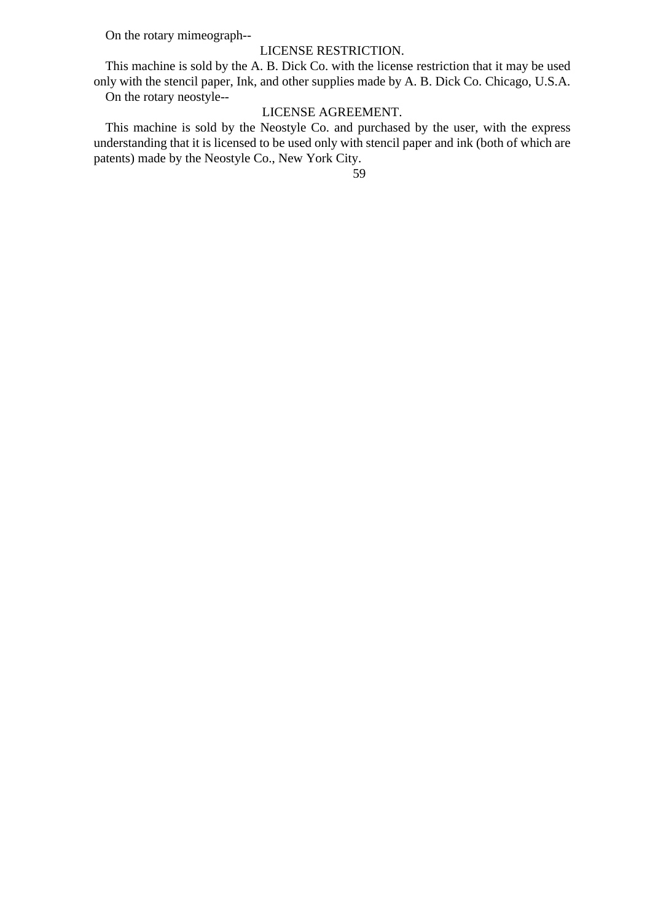On the rotary mimeograph--

### LICENSE RESTRICTION.

This machine is sold by the A. B. Dick Co. with the license restriction that it may be used only with the stencil paper, Ink, and other supplies made by A. B. Dick Co. Chicago, U.S.A.

On the rotary neostyle--

# LICENSE AGREEMENT.

This machine is sold by the Neostyle Co. and purchased by the user, with the express understanding that it is licensed to be used only with stencil paper and ink (both of which are patents) made by the Neostyle Co., New York City.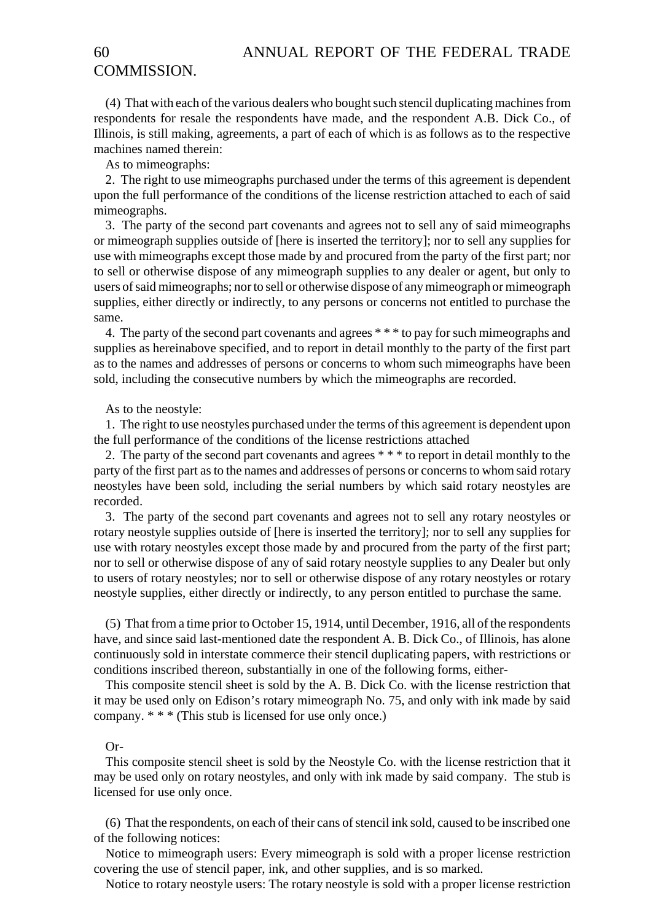(4) That with each of the various dealers who bought such stencil duplicating machines from respondents for resale the respondents have made, and the respondent A.B. Dick Co., of Illinois, is still making, agreements, a part of each of which is as follows as to the respective machines named therein:

As to mimeographs:

2. The right to use mimeographs purchased under the terms of this agreement is dependent upon the full performance of the conditions of the license restriction attached to each of said mimeographs.

3. The party of the second part covenants and agrees not to sell any of said mimeographs or mimeograph supplies outside of [here is inserted the territory]; nor to sell any supplies for use with mimeographs except those made by and procured from the party of the first part; nor to sell or otherwise dispose of any mimeograph supplies to any dealer or agent, but only to users ofsaid mimeographs; norto sell or otherwise dispose of anymimeograph or mimeograph supplies, either directly or indirectly, to any persons or concerns not entitled to purchase the same.

4. The party of the second part covenants and agrees \* \* \* to pay for such mimeographs and supplies as hereinabove specified, and to report in detail monthly to the party of the first part as to the names and addresses of persons or concerns to whom such mimeographs have been sold, including the consecutive numbers by which the mimeographs are recorded.

As to the neostyle:

1. The right to use neostyles purchased under the terms of this agreement is dependent upon the full performance of the conditions of the license restrictions attached

2. The party of the second part covenants and agrees \* \* \* to report in detail monthly to the party of the first part asto the names and addresses of persons or concernsto whomsaid rotary neostyles have been sold, including the serial numbers by which said rotary neostyles are recorded.

3. The party of the second part covenants and agrees not to sell any rotary neostyles or rotary neostyle supplies outside of [here is inserted the territory]; nor to sell any supplies for use with rotary neostyles except those made by and procured from the party of the first part; nor to sell or otherwise dispose of any of said rotary neostyle supplies to any Dealer but only to users of rotary neostyles; nor to sell or otherwise dispose of any rotary neostyles or rotary neostyle supplies, either directly or indirectly, to any person entitled to purchase the same.

(5) That from a time prior to October 15, 1914, until December, 1916, all of the respondents have, and since said last-mentioned date the respondent A. B. Dick Co., of Illinois, has alone continuously sold in interstate commerce their stencil duplicating papers, with restrictions or conditions inscribed thereon, substantially in one of the following forms, either-

This composite stencil sheet is sold by the A. B. Dick Co. with the license restriction that it may be used only on Edison's rotary mimeograph No. 75, and only with ink made by said company. \* \* \* (This stub is licensed for use only once.)

#### Or-

This composite stencil sheet is sold by the Neostyle Co. with the license restriction that it may be used only on rotary neostyles, and only with ink made by said company. The stub is licensed for use only once.

(6) That the respondents, on each of their cans of stencil ink sold, caused to be inscribed one of the following notices:

Notice to mimeograph users: Every mimeograph is sold with a proper license restriction covering the use of stencil paper, ink, and other supplies, and is so marked.

Notice to rotary neostyle users: The rotary neostyle is sold with a proper license restriction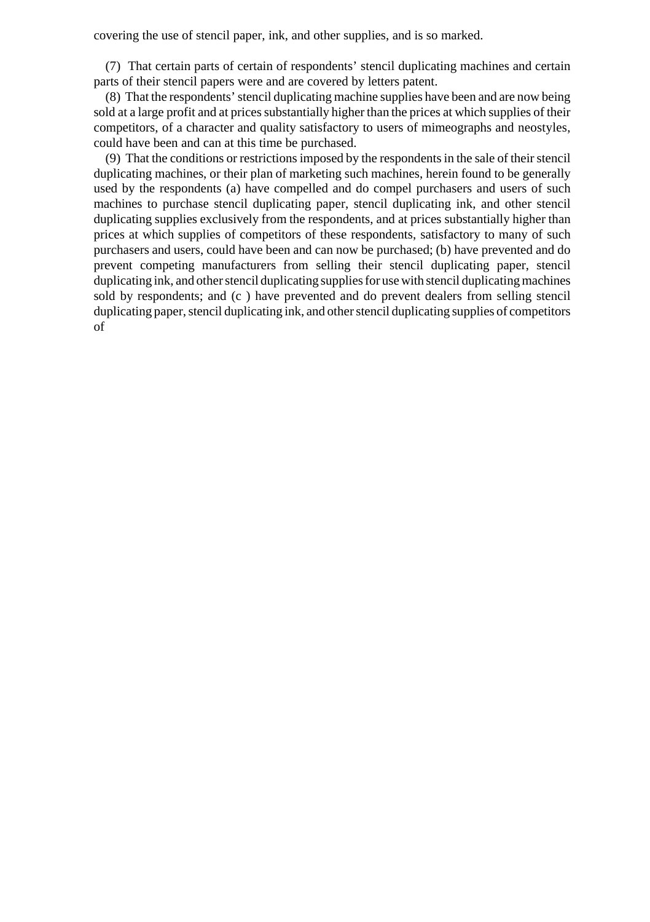covering the use of stencil paper, ink, and other supplies, and is so marked.

(7) That certain parts of certain of respondents' stencil duplicating machines and certain parts of their stencil papers were and are covered by letters patent.

(8) That the respondents' stencil duplicating machine supplies have been and are now being sold at a large profit and at prices substantially higher than the prices at which supplies of their competitors, of a character and quality satisfactory to users of mimeographs and neostyles, could have been and can at this time be purchased.

(9) That the conditions or restrictions imposed by the respondents in the sale of their stencil duplicating machines, or their plan of marketing such machines, herein found to be generally used by the respondents (a) have compelled and do compel purchasers and users of such machines to purchase stencil duplicating paper, stencil duplicating ink, and other stencil duplicating supplies exclusively from the respondents, and at prices substantially higher than prices at which supplies of competitors of these respondents, satisfactory to many of such purchasers and users, could have been and can now be purchased; (b) have prevented and do prevent competing manufacturers from selling their stencil duplicating paper, stencil duplicating ink, and other stencil duplicating supplies for use with stencil duplicating machines sold by respondents; and (c ) have prevented and do prevent dealers from selling stencil duplicating paper, stencil duplicating ink, and other stencil duplicating supplies of competitors of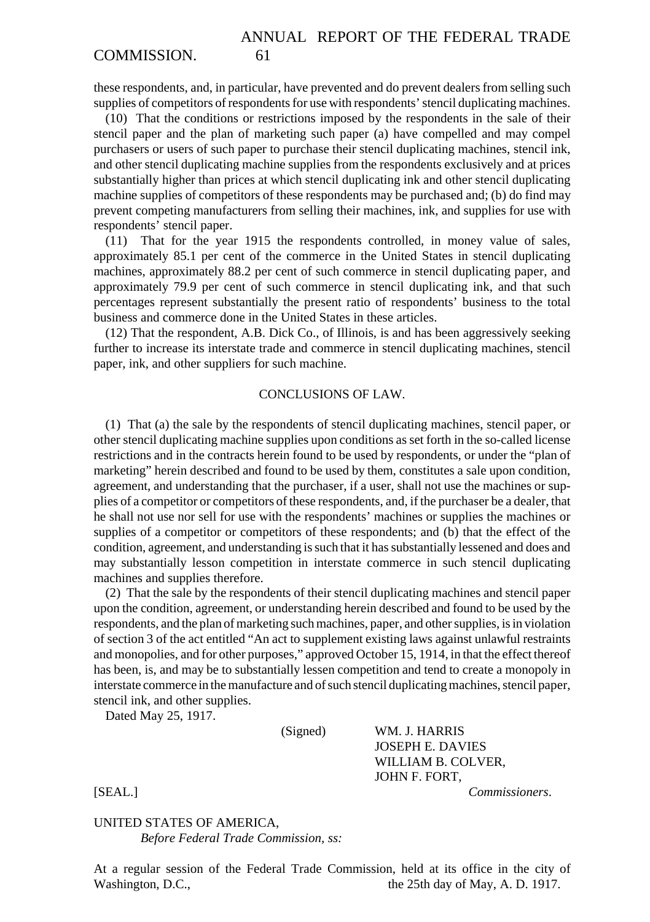these respondents, and, in particular, have prevented and do prevent dealersfrom selling such supplies of competitors of respondents for use with respondents' stencil duplicating machines.

(10) That the conditions or restrictions imposed by the respondents in the sale of their stencil paper and the plan of marketing such paper (a) have compelled and may compel purchasers or users of such paper to purchase their stencil duplicating machines, stencil ink, and other stencil duplicating machine supplies from the respondents exclusively and at prices substantially higher than prices at which stencil duplicating ink and other stencil duplicating machine supplies of competitors of these respondents may be purchased and; (b) do find may prevent competing manufacturers from selling their machines, ink, and supplies for use with respondents' stencil paper.

(11) That for the year 1915 the respondents controlled, in money value of sales, approximately 85.1 per cent of the commerce in the United States in stencil duplicating machines, approximately 88.2 per cent of such commerce in stencil duplicating paper, and approximately 79.9 per cent of such commerce in stencil duplicating ink, and that such percentages represent substantially the present ratio of respondents' business to the total business and commerce done in the United States in these articles.

(12) That the respondent, A.B. Dick Co., of Illinois, is and has been aggressively seeking further to increase its interstate trade and commerce in stencil duplicating machines, stencil paper, ink, and other suppliers for such machine.

#### CONCLUSIONS OF LAW.

(1) That (a) the sale by the respondents of stencil duplicating machines, stencil paper, or other stencil duplicating machine supplies upon conditions asset forth in the so-called license restrictions and in the contracts herein found to be used by respondents, or under the "plan of marketing" herein described and found to be used by them, constitutes a sale upon condition, agreement, and understanding that the purchaser, if a user, shall not use the machines or supplies of a competitor or competitors ofthese respondents, and, if the purchaser be a dealer, that he shall not use nor sell for use with the respondents' machines or supplies the machines or supplies of a competitor or competitors of these respondents; and (b) that the effect of the condition, agreement, and understanding issuch that it hassubstantially lessened and does and may substantially lesson competition in interstate commerce in such stencil duplicating machines and supplies therefore.

(2) That the sale by the respondents of their stencil duplicating machines and stencil paper upon the condition, agreement, or understanding herein described and found to be used by the respondents, and the plan of marketing such machines, paper, and other supplies, is in violation of section 3 of the act entitled "An act to supplement existing laws against unlawful restraints and monopolies, and for other purposes," approved October 15, 1914, in that the effect thereof has been, is, and may be to substantially lessen competition and tend to create a monopoly in interstate commerce in the manufacture and of such stencil duplicating machines, stencil paper, stencil ink, and other supplies.

Dated May 25, 1917.

(Signed) WM. J. HARRIS JOSEPH E. DAVIES WILLIAM B. COLVER, JOHN F. FORT,

[SEAL.] *Commissioners*.

UNITED STATES OF AMERICA, *Before Federal Trade Commission, ss:*

At a regular session of the Federal Trade Commission, held at its office in the city of Washington, D.C., the 25th day of May, A. D. 1917.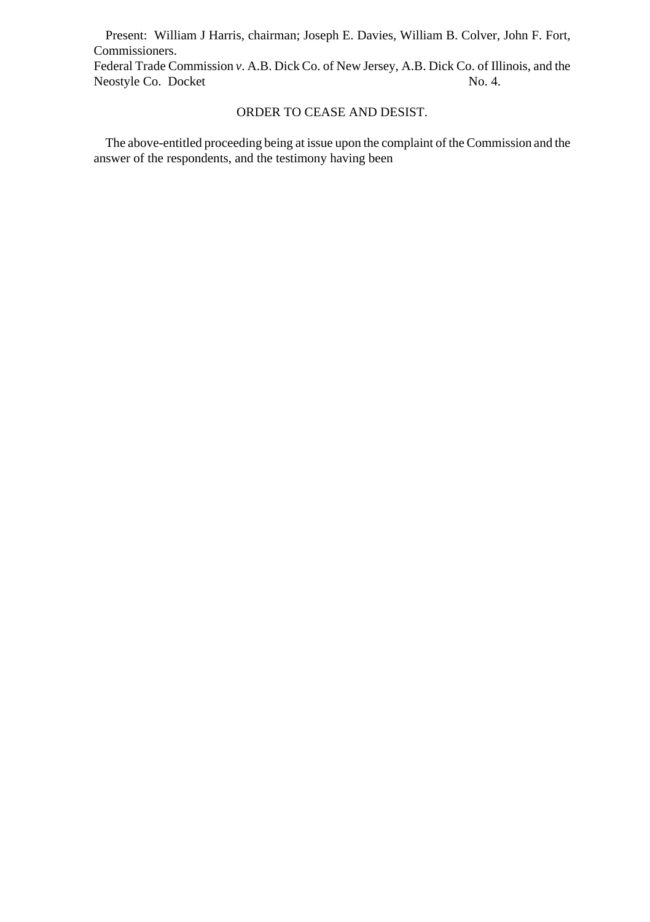Present: William J Harris, chairman; Joseph E. Davies, William B. Colver, John F. Fort, Commissioners. Federal Trade Commission *v*. A.B. Dick Co. of New Jersey, A.B. Dick Co. of Illinois, and the Neostyle Co. Docket No. 4.

### ORDER TO CEASE AND DESIST.

The above-entitled proceeding being at issue upon the complaint of the Commission and the answer of the respondents, and the testimony having been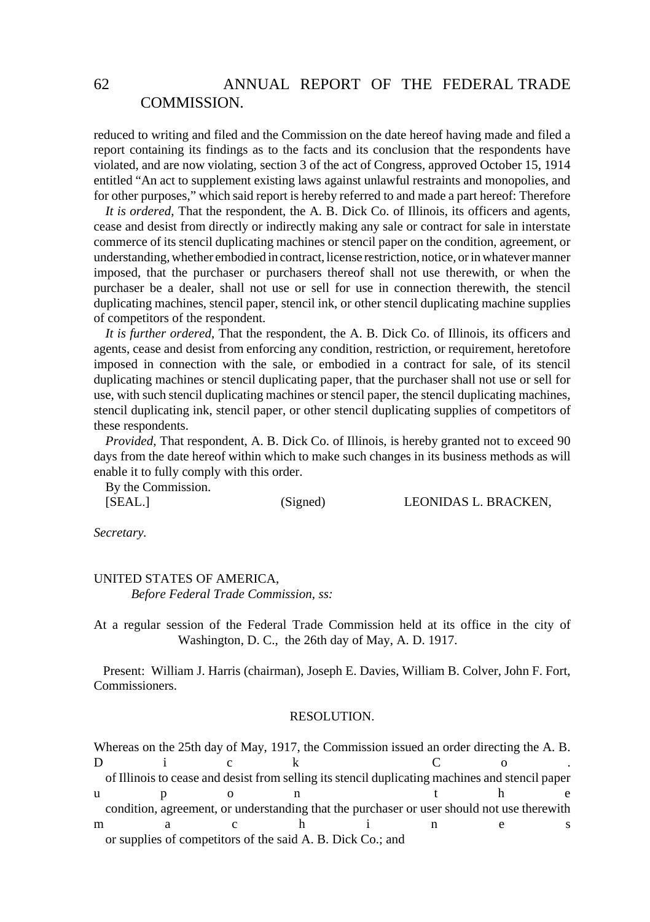# 62 ANNUAL REPORT OF THE FEDERAL TRADE COMMISSION.

reduced to writing and filed and the Commission on the date hereof having made and filed a report containing its findings as to the facts and its conclusion that the respondents have violated, and are now violating, section 3 of the act of Congress, approved October 15, 1914 entitled "An act to supplement existing laws against unlawful restraints and monopolies, and for other purposes," which said report is hereby referred to and made a part hereof: Therefore

*It is ordered*, That the respondent, the A. B. Dick Co. of Illinois, its officers and agents, cease and desist from directly or indirectly making any sale or contract for sale in interstate commerce of its stencil duplicating machines or stencil paper on the condition, agreement, or understanding, whether embodied in contract, license restriction, notice, or in whatever manner imposed, that the purchaser or purchasers thereof shall not use therewith, or when the purchaser be a dealer, shall not use or sell for use in connection therewith, the stencil duplicating machines, stencil paper, stencil ink, or other stencil duplicating machine supplies of competitors of the respondent.

*It is further ordered*, That the respondent, the A. B. Dick Co. of Illinois, its officers and agents, cease and desist from enforcing any condition, restriction, or requirement, heretofore imposed in connection with the sale, or embodied in a contract for sale, of its stencil duplicating machines or stencil duplicating paper, that the purchaser shall not use or sell for use, with such stencil duplicating machines or stencil paper, the stencil duplicating machines, stencil duplicating ink, stencil paper, or other stencil duplicating supplies of competitors of these respondents.

*Provided*, That respondent, A. B. Dick Co. of Illinois, is hereby granted not to exceed 90 days from the date hereof within which to make such changes in its business methods as will enable it to fully comply with this order.

By the Commission.

[SEAL.] (Signed) LEONIDAS L. BRACKEN,

*Secretary.*

### UNITED STATES OF AMERICA,

*Before Federal Trade Commission, ss:*

At a regular session of the Federal Trade Commission held at its office in the city of Washington, D. C., the 26th day of May, A. D. 1917.

Present: William J. Harris (chairman), Joseph E. Davies, William B. Colver, John F. Fort, Commissioners.

#### RESOLUTION.

Whereas on the 25th day of May, 1917, the Commission issued an order directing the A. B. D i c k C o . of Illinois to cease and desist from selling its stencil duplicating machines and stencil paper upon the condition, agreement, or understanding that the purchaser or user should not use therewith machines or supplies of competitors of the said A. B. Dick Co.; and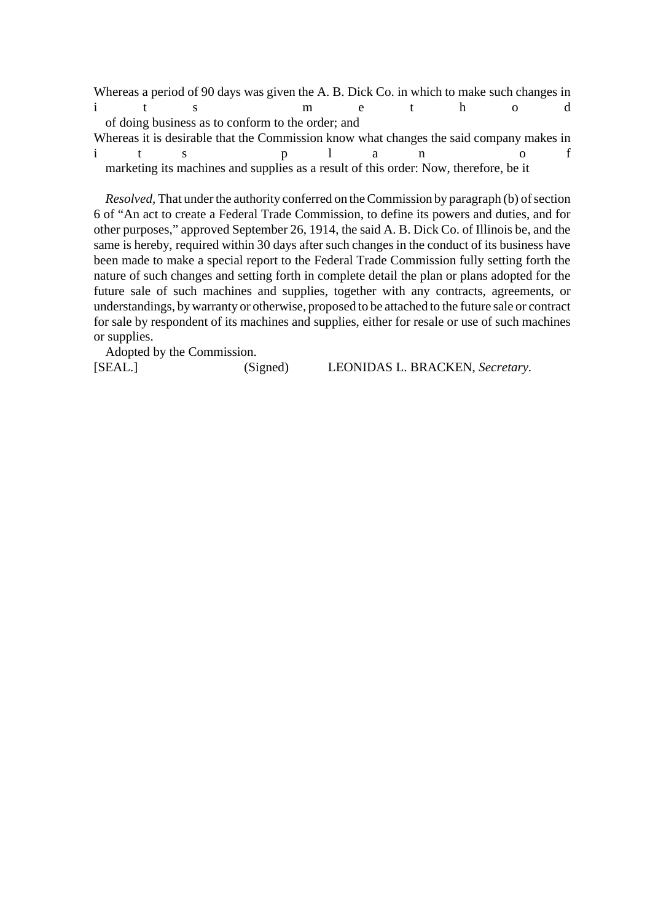Whereas a period of 90 days was given the A. B. Dick Co. in which to make such changes in its method of doing business as to conform to the order; and Whereas it is desirable that the Commission know what changes the said company makes in its plan of

marketing its machines and supplies as a result of this order: Now, therefore, be it

*Resolved,* That under the authority conferred on the Commission by paragraph (b) of section 6 of "An act to create a Federal Trade Commission, to define its powers and duties, and for other purposes," approved September 26, 1914, the said A. B. Dick Co. of Illinois be, and the same is hereby, required within 30 days after such changes in the conduct of its business have been made to make a special report to the Federal Trade Commission fully setting forth the nature of such changes and setting forth in complete detail the plan or plans adopted for the future sale of such machines and supplies, together with any contracts, agreements, or understandings, bywarranty or otherwise, proposed to be attached to the future sale or contract for sale by respondent of its machines and supplies, either for resale or use of such machines or supplies.

Adopted by the Commission.

[SEAL.] (Signed) LEONIDAS L. BRACKEN, *Secretary.*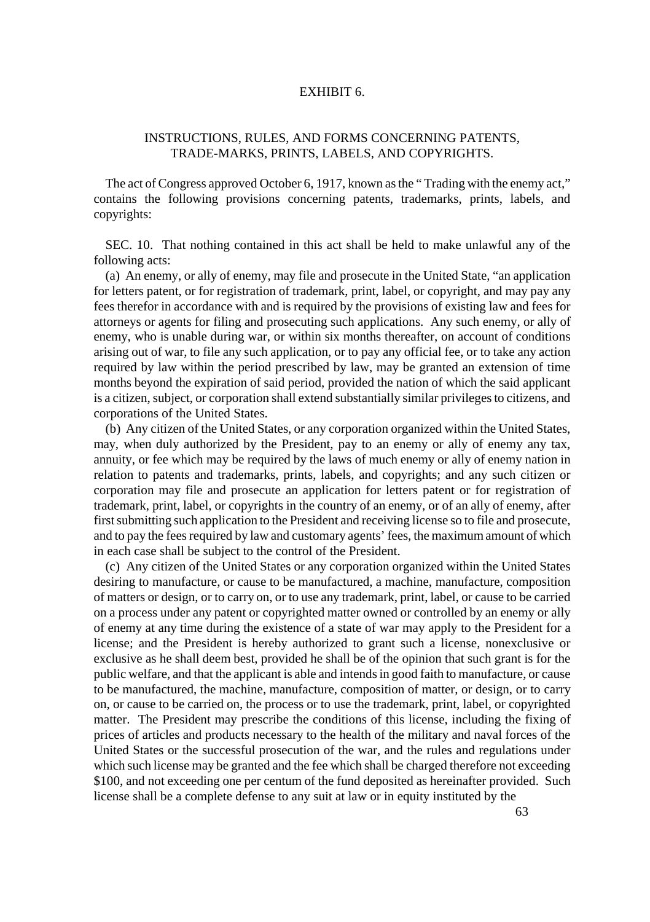#### EXHIBIT 6.

## INSTRUCTIONS, RULES, AND FORMS CONCERNING PATENTS, TRADE-MARKS, PRINTS, LABELS, AND COPYRIGHTS.

The act of Congress approved October 6, 1917, known as the "Trading with the enemy act," contains the following provisions concerning patents, trademarks, prints, labels, and copyrights:

SEC. 10. That nothing contained in this act shall be held to make unlawful any of the following acts:

(a) An enemy, or ally of enemy, may file and prosecute in the United State, "an application for letters patent, or for registration of trademark, print, label, or copyright, and may pay any fees therefor in accordance with and is required by the provisions of existing law and fees for attorneys or agents for filing and prosecuting such applications. Any such enemy, or ally of enemy, who is unable during war, or within six months thereafter, on account of conditions arising out of war, to file any such application, or to pay any official fee, or to take any action required by law within the period prescribed by law, may be granted an extension of time months beyond the expiration of said period, provided the nation of which the said applicant is a citizen, subject, or corporation shall extend substantially similar privileges to citizens, and corporations of the United States.

(b) Any citizen of the United States, or any corporation organized within the United States, may, when duly authorized by the President, pay to an enemy or ally of enemy any tax, annuity, or fee which may be required by the laws of much enemy or ally of enemy nation in relation to patents and trademarks, prints, labels, and copyrights; and any such citizen or corporation may file and prosecute an application for letters patent or for registration of trademark, print, label, or copyrights in the country of an enemy, or of an ally of enemy, after first submitting such application to the President and receiving license so to file and prosecute, and to pay the feesrequired by law and customary agents' fees, the maximumamount of which in each case shall be subject to the control of the President.

(c) Any citizen of the United States or any corporation organized within the United States desiring to manufacture, or cause to be manufactured, a machine, manufacture, composition of matters or design, or to carry on, or to use any trademark, print, label, or cause to be carried on a process under any patent or copyrighted matter owned or controlled by an enemy or ally of enemy at any time during the existence of a state of war may apply to the President for a license; and the President is hereby authorized to grant such a license, nonexclusive or exclusive as he shall deem best, provided he shall be of the opinion that such grant is for the public welfare, and that the applicant is able and intendsin good faith to manufacture, or cause to be manufactured, the machine, manufacture, composition of matter, or design, or to carry on, or cause to be carried on, the process or to use the trademark, print, label, or copyrighted matter. The President may prescribe the conditions of this license, including the fixing of prices of articles and products necessary to the health of the military and naval forces of the United States or the successful prosecution of the war, and the rules and regulations under which such license may be granted and the fee which shall be charged therefore not exceeding \$100, and not exceeding one per centum of the fund deposited as hereinafter provided. Such license shall be a complete defense to any suit at law or in equity instituted by the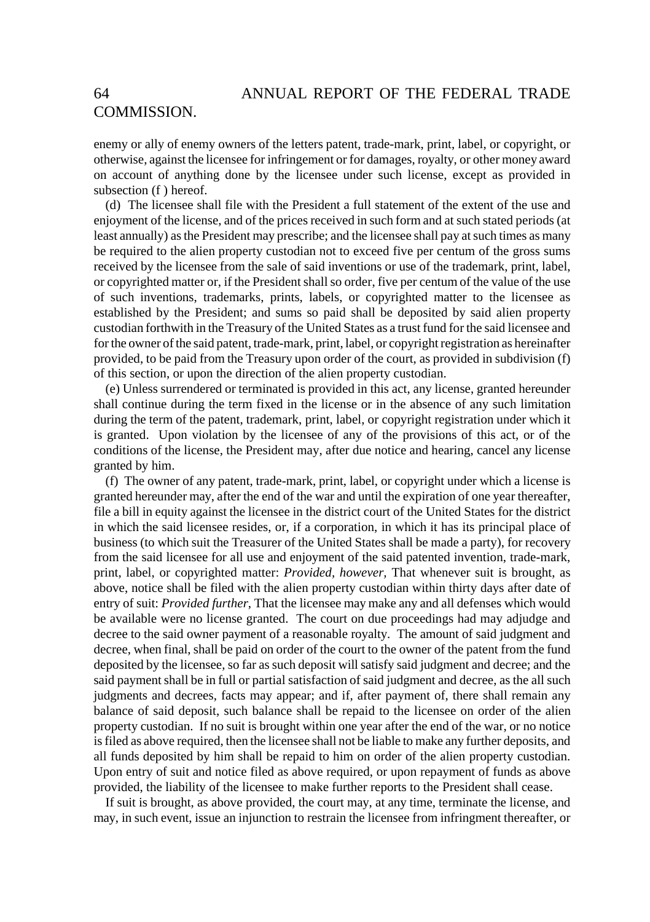enemy or ally of enemy owners of the letters patent, trade-mark, print, label, or copyright, or otherwise, against the licensee for infringement or for damages, royalty, or other money award on account of anything done by the licensee under such license, except as provided in subsection (f ) hereof.

(d) The licensee shall file with the President a full statement of the extent of the use and enjoyment of the license, and of the prices received in such form and at such stated periods (at least annually) as the President may prescribe; and the licensee shall pay at such times as many be required to the alien property custodian not to exceed five per centum of the gross sums received by the licensee from the sale of said inventions or use of the trademark, print, label, or copyrighted matter or, if the President shall so order, five per centum of the value of the use of such inventions, trademarks, prints, labels, or copyrighted matter to the licensee as established by the President; and sums so paid shall be deposited by said alien property custodian forthwith in the Treasury of the United States as a trust fund for the said licensee and for the owner of the said patent, trade-mark, print, label, or copyright registration as hereinafter provided, to be paid from the Treasury upon order of the court, as provided in subdivision (f) of this section, or upon the direction of the alien property custodian.

(e) Unless surrendered or terminated is provided in this act, any license, granted hereunder shall continue during the term fixed in the license or in the absence of any such limitation during the term of the patent, trademark, print, label, or copyright registration under which it is granted. Upon violation by the licensee of any of the provisions of this act, or of the conditions of the license, the President may, after due notice and hearing, cancel any license granted by him.

(f) The owner of any patent, trade-mark, print, label, or copyright under which a license is granted hereunder may, after the end of the war and until the expiration of one year thereafter, file a bill in equity against the licensee in the district court of the United States for the district in which the said licensee resides, or, if a corporation, in which it has its principal place of business (to which suit the Treasurer of the United States shall be made a party), for recovery from the said licensee for all use and enjoyment of the said patented invention, trade-mark, print, label, or copyrighted matter: *Provided, however,* That whenever suit is brought, as above, notice shall be filed with the alien property custodian within thirty days after date of entry of suit: *Provided further*, That the licensee may make any and all defenses which would be available were no license granted. The court on due proceedings had may adjudge and decree to the said owner payment of a reasonable royalty. The amount of said judgment and decree, when final, shall be paid on order of the court to the owner of the patent from the fund deposited by the licensee, so far assuch deposit willsatisfy said judgment and decree; and the said payment shall be in full or partial satisfaction of said judgment and decree, as the all such judgments and decrees, facts may appear; and if, after payment of, there shall remain any balance of said deposit, such balance shall be repaid to the licensee on order of the alien property custodian. If no suit is brought within one year after the end of the war, or no notice isfiled as above required, then the licensee shall not be liable to make any further deposits, and all funds deposited by him shall be repaid to him on order of the alien property custodian. Upon entry of suit and notice filed as above required, or upon repayment of funds as above provided, the liability of the licensee to make further reports to the President shall cease.

If suit is brought, as above provided, the court may, at any time, terminate the license, and may, in such event, issue an injunction to restrain the licensee from infringment thereafter, or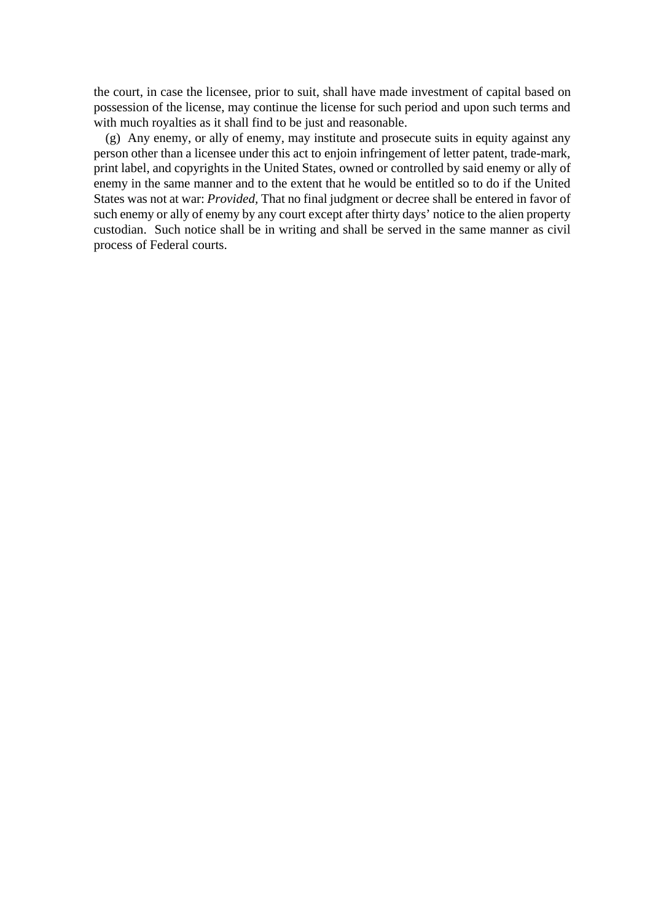the court, in case the licensee, prior to suit, shall have made investment of capital based on possession of the license, may continue the license for such period and upon such terms and with much royalties as it shall find to be just and reasonable.

(g) Any enemy, or ally of enemy, may institute and prosecute suits in equity against any person other than a licensee under this act to enjoin infringement of letter patent, trade-mark, print label, and copyrights in the United States, owned or controlled by said enemy or ally of enemy in the same manner and to the extent that he would be entitled so to do if the United States was not at war: *Provided,* That no final judgment or decree shall be entered in favor of such enemy or ally of enemy by any court except after thirty days' notice to the alien property custodian. Such notice shall be in writing and shall be served in the same manner as civil process of Federal courts.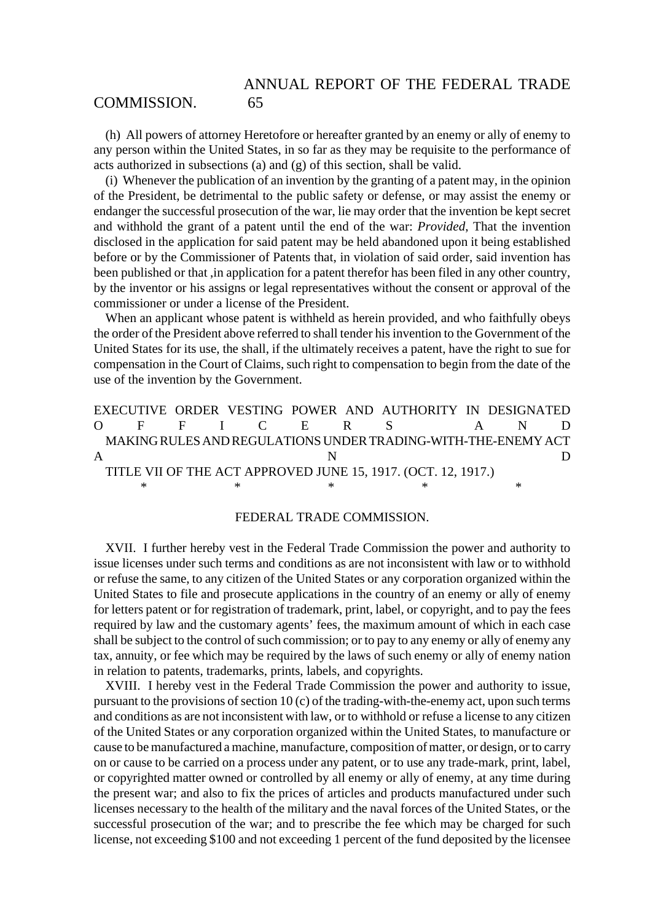# ANNUAL REPORT OF THE FEDERAL TRADE COMMISSION. 65

(h) All powers of attorney Heretofore or hereafter granted by an enemy or ally of enemy to any person within the United States, in so far as they may be requisite to the performance of acts authorized in subsections (a) and (g) of this section, shall be valid.

(i) Whenever the publication of an invention by the granting of a patent may, in the opinion of the President, be detrimental to the public safety or defense, or may assist the enemy or endanger the successful prosecution of the war, lie may order that the invention be kept secret and withhold the grant of a patent until the end of the war: *Provided*, That the invention disclosed in the application for said patent may be held abandoned upon it being established before or by the Commissioner of Patents that, in violation of said order, said invention has been published or that ,in application for a patent therefor has been filed in any other country, by the inventor or his assigns or legal representatives without the consent or approval of the commissioner or under a license of the President.

When an applicant whose patent is withheld as herein provided, and who faithfully obeys the order of the President above referred to shall tender hisinvention to the Government of the United States for its use, the shall, if the ultimately receives a patent, have the right to sue for compensation in the Court of Claims, such right to compensation to begin from the date of the use of the invention by the Government.

EXECUTIVE ORDER VESTING POWER AND AUTHORITY IN DESIGNATED OFFICERS AND MAKING RULES AND REGULATIONS UNDER TRADING-WITH-THE-ENEMY ACT A N D TITLE VII OF THE ACT APPROVED JUNE 15, 1917. (OCT. 12, 1917.)  $*$  \*  $*$  \*  $*$  \*  $*$ 

### FEDERAL TRADE COMMISSION.

XVII. I further hereby vest in the Federal Trade Commission the power and authority to issue licenses under such terms and conditions as are not inconsistent with law or to withhold or refuse the same, to any citizen of the United States or any corporation organized within the United States to file and prosecute applications in the country of an enemy or ally of enemy for letters patent or for registration of trademark, print, label, or copyright, and to pay the fees required by law and the customary agents' fees, the maximum amount of which in each case shall be subject to the control of such commission; or to pay to any enemy or ally of enemy any tax, annuity, or fee which may be required by the laws of such enemy or ally of enemy nation in relation to patents, trademarks, prints, labels, and copyrights.

XVIII. I hereby vest in the Federal Trade Commission the power and authority to issue, pursuant to the provisions of section  $10(c)$  of the trading-with-the-enemy act, upon such terms and conditions as are not inconsistent with law, or to withhold or refuse a license to any citizen of the United States or any corporation organized within the United States, to manufacture or cause to be manufactured a machine, manufacture, composition of matter, or design, or to carry on or cause to be carried on a process under any patent, or to use any trade-mark, print, label, or copyrighted matter owned or controlled by all enemy or ally of enemy, at any time during the present war; and also to fix the prices of articles and products manufactured under such licenses necessary to the health of the military and the naval forces of the United States, or the successful prosecution of the war; and to prescribe the fee which may be charged for such license, not exceeding \$100 and not exceeding 1 percent of the fund deposited by the licensee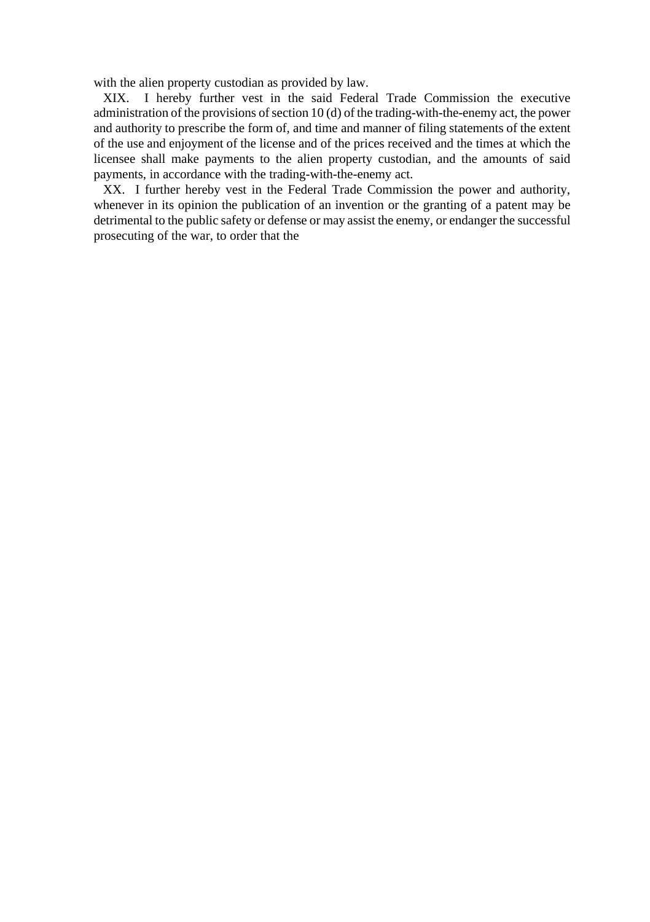with the alien property custodian as provided by law.

XIX. I hereby further vest in the said Federal Trade Commission the executive administration of the provisions of section 10 (d) of the trading-with-the-enemy act, the power and authority to prescribe the form of, and time and manner of filing statements of the extent of the use and enjoyment of the license and of the prices received and the times at which the licensee shall make payments to the alien property custodian, and the amounts of said payments, in accordance with the trading-with-the-enemy act.

XX. I further hereby vest in the Federal Trade Commission the power and authority, whenever in its opinion the publication of an invention or the granting of a patent may be detrimental to the public safety or defense or may assist the enemy, or endanger the successful prosecuting of the war, to order that the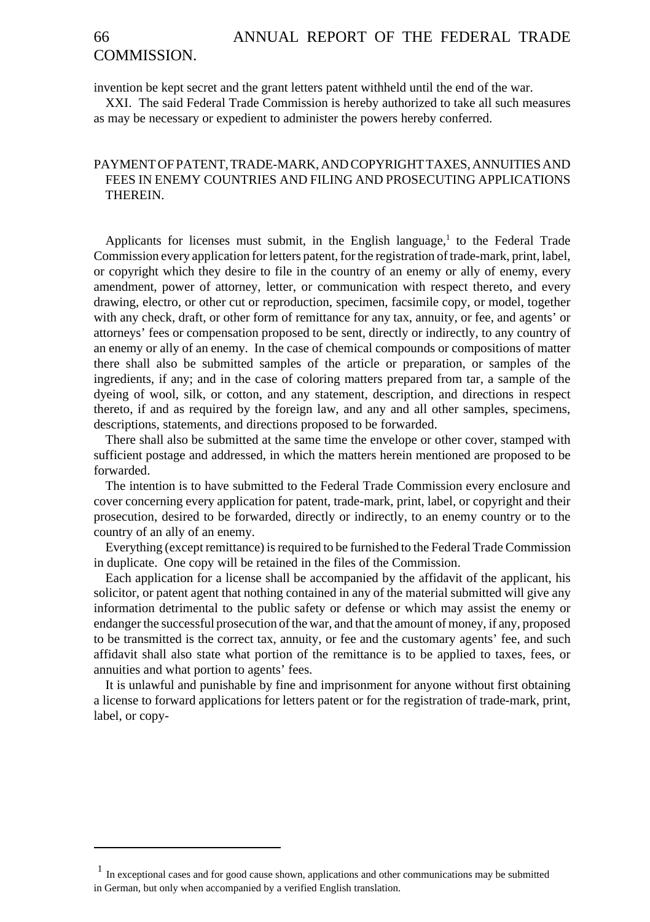invention be kept secret and the grant letters patent withheld until the end of the war.

XXI. The said Federal Trade Commission is hereby authorized to take all such measures as may be necessary or expedient to administer the powers hereby conferred.

# PAYMENT OF PATENT, TRADE-MARK, AND COPYRIGHT TAXES, ANNUITIES AND FEES IN ENEMY COUNTRIES AND FILING AND PROSECUTING APPLICATIONS THEREIN.

Applicants for licenses must submit, in the English language,<sup>1</sup> to the Federal Trade Commission every application for letters patent, for the registration oftrade-mark, print, label, or copyright which they desire to file in the country of an enemy or ally of enemy, every amendment, power of attorney, letter, or communication with respect thereto, and every drawing, electro, or other cut or reproduction, specimen, facsimile copy, or model, together with any check, draft, or other form of remittance for any tax, annuity, or fee, and agents' or attorneys' fees or compensation proposed to be sent, directly or indirectly, to any country of an enemy or ally of an enemy. In the case of chemical compounds or compositions of matter there shall also be submitted samples of the article or preparation, or samples of the ingredients, if any; and in the case of coloring matters prepared from tar, a sample of the dyeing of wool, silk, or cotton, and any statement, description, and directions in respect thereto, if and as required by the foreign law, and any and all other samples, specimens, descriptions, statements, and directions proposed to be forwarded.

There shall also be submitted at the same time the envelope or other cover, stamped with sufficient postage and addressed, in which the matters herein mentioned are proposed to be forwarded.

The intention is to have submitted to the Federal Trade Commission every enclosure and cover concerning every application for patent, trade-mark, print, label, or copyright and their prosecution, desired to be forwarded, directly or indirectly, to an enemy country or to the country of an ally of an enemy.

Everything (except remittance) isrequired to be furnished to the Federal Trade Commission in duplicate. One copy will be retained in the files of the Commission.

Each application for a license shall be accompanied by the affidavit of the applicant, his solicitor, or patent agent that nothing contained in any of the material submitted will give any information detrimental to the public safety or defense or which may assist the enemy or endanger the successful prosecution of the war, and that the amount of money, if any, proposed to be transmitted is the correct tax, annuity, or fee and the customary agents' fee, and such affidavit shall also state what portion of the remittance is to be applied to taxes, fees, or annuities and what portion to agents' fees.

It is unlawful and punishable by fine and imprisonment for anyone without first obtaining a license to forward applications for letters patent or for the registration of trade-mark, print, label, or copy-

 $<sup>1</sup>$  In exceptional cases and for good cause shown, applications and other communications may be submitted</sup> in German, but only when accompanied by a verified English translation.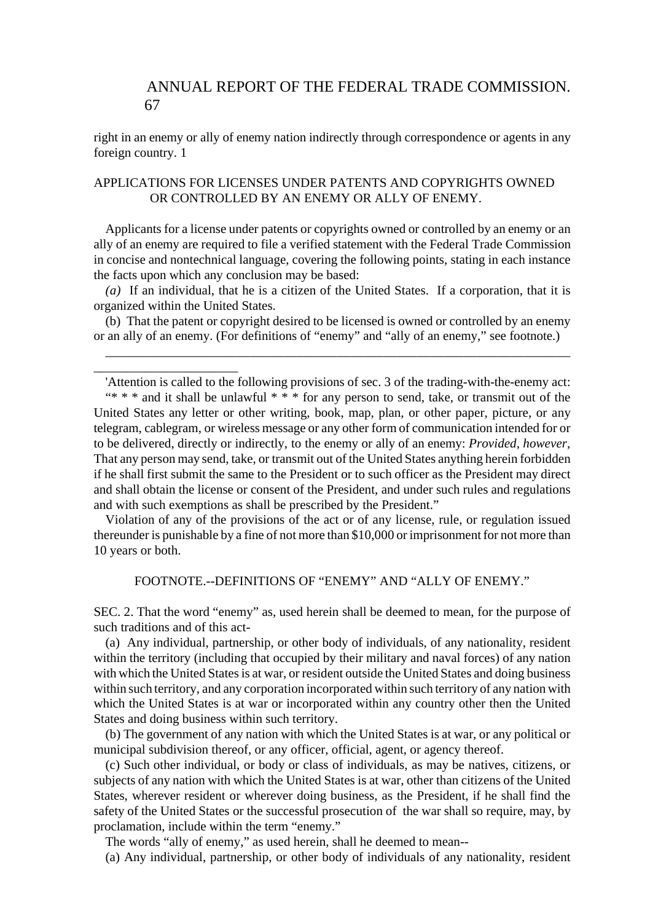# ANNUAL REPORT OF THE FEDERAL TRADE COMMISSION. 67

right in an enemy or ally of enemy nation indirectly through correspondence or agents in any foreign country. 1

# APPLICATIONS FOR LICENSES UNDER PATENTS AND COPYRIGHTS OWNED OR CONTROLLED BY AN ENEMY OR ALLY OF ENEMY.

Applicants for a license under patents or copyrights owned or controlled by an enemy or an ally of an enemy are required to file a verified statement with the Federal Trade Commission in concise and nontechnical language, covering the following points, stating in each instance the facts upon which any conclusion may be based:

*(a)* If an individual, that he is a citizen of the United States. If a corporation, that it is organized within the United States.

(b) That the patent or copyright desired to be licensed is owned or controlled by an enemy or an ally of an enemy. (For definitions of "enemy" and "ally of an enemy," see footnote.) \_\_\_\_\_\_\_\_\_\_\_\_\_\_\_\_\_\_\_\_\_\_\_\_\_\_\_\_\_\_\_\_\_\_\_\_\_\_\_\_\_\_\_\_\_\_\_\_\_\_\_\_\_\_\_\_\_\_\_\_\_\_\_\_\_\_\_\_\_\_

\_\_\_\_\_\_\_\_\_\_\_\_\_\_\_\_\_\_\_\_\_\_

'Attention is called to the following provisions of sec. 3 of the trading-with-the-enemy act:

 $** *$  and it shall be unlawful  $** *$  for any person to send, take, or transmit out of the United States any letter or other writing, book, map, plan, or other paper, picture, or any telegram, cablegram, or wireless message or any other form of communication intended for or to be delivered, directly or indirectly, to the enemy or ally of an enemy: *Provided, however,* That any person may send, take, or transmit out of the United States anything herein forbidden if he shall first submit the same to the President or to such officer as the President may direct and shall obtain the license or consent of the President, and under such rules and regulations and with such exemptions as shall be prescribed by the President."

Violation of any of the provisions of the act or of any license, rule, or regulation issued thereunder is punishable by a fine of not more than  $$10,000$  or imprisonment for not more than 10 years or both.

FOOTNOTE.--DEFINITIONS OF "ENEMY" AND "ALLY OF ENEMY."

SEC. 2. That the word "enemy" as, used herein shall be deemed to mean, for the purpose of such traditions and of this act-

(a) Any individual, partnership, or other body of individuals, of any nationality, resident within the territory (including that occupied by their military and naval forces) of any nation with which the United States is at war, or resident outside the United States and doing business within such territory, and any corporation incorporated within such territory of any nation with which the United States is at war or incorporated within any country other then the United States and doing business within such territory.

(b) The government of any nation with which the United States is at war, or any political or municipal subdivision thereof, or any officer, official, agent, or agency thereof.

(c) Such other individual, or body or class of individuals, as may be natives, citizens, or subjects of any nation with which the United States is at war, other than citizens of the United States, wherever resident or wherever doing business, as the President, if he shall find the safety of the United States or the successful prosecution ofthe war shall so require, may, by proclamation, include within the term "enemy."

The words "ally of enemy," as used herein, shall he deemed to mean--

(a) Any individual, partnership, or other body of individuals of any nationality, resident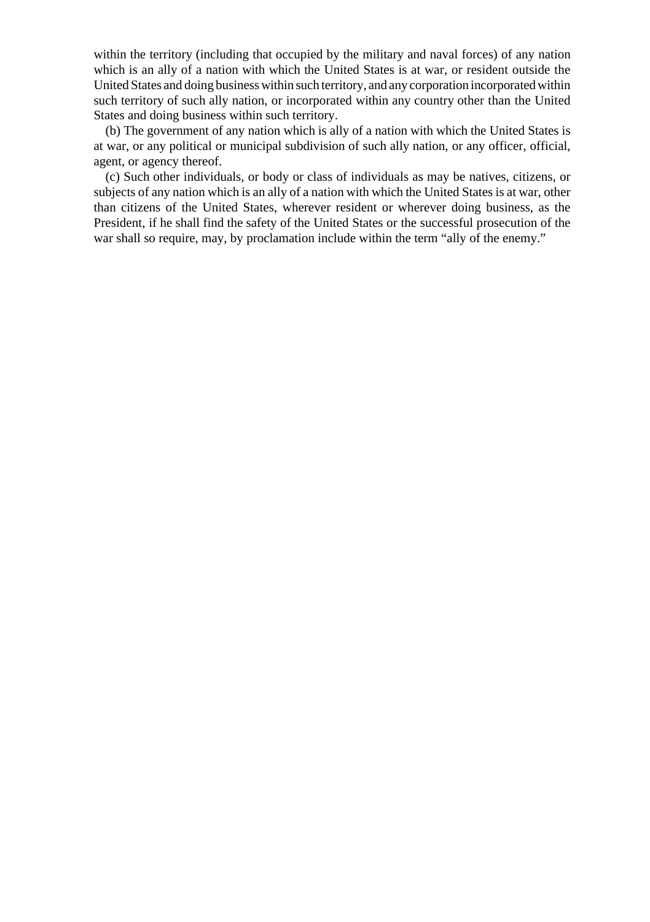within the territory (including that occupied by the military and naval forces) of any nation which is an ally of a nation with which the United States is at war, or resident outside the United States and doing businesswithin such territory, and any corporation incorporated within such territory of such ally nation, or incorporated within any country other than the United States and doing business within such territory.

(b) The government of any nation which is ally of a nation with which the United States is at war, or any political or municipal subdivision of such ally nation, or any officer, official, agent, or agency thereof.

(c) Such other individuals, or body or class of individuals as may be natives, citizens, or subjects of any nation which is an ally of a nation with which the United States is at war, other than citizens of the United States, wherever resident or wherever doing business, as the President, if he shall find the safety of the United States or the successful prosecution of the war shall so require, may, by proclamation include within the term "ally of the enemy."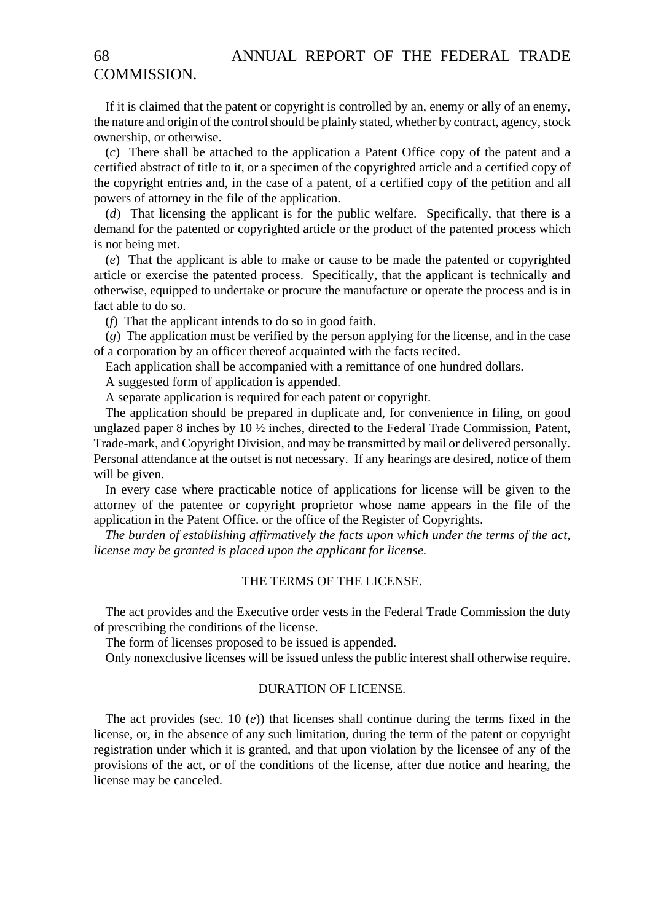If it is claimed that the patent or copyright is controlled by an, enemy or ally of an enemy, the nature and origin of the control should be plainly stated, whether by contract, agency, stock ownership, or otherwise.

(*c*) There shall be attached to the application a Patent Office copy of the patent and a certified abstract of title to it, or a specimen of the copyrighted article and a certified copy of the copyright entries and, in the case of a patent, of a certified copy of the petition and all powers of attorney in the file of the application.

(*d*) That licensing the applicant is for the public welfare. Specifically, that there is a demand for the patented or copyrighted article or the product of the patented process which is not being met.

(*e*) That the applicant is able to make or cause to be made the patented or copyrighted article or exercise the patented process. Specifically, that the applicant is technically and otherwise, equipped to undertake or procure the manufacture or operate the process and is in fact able to do so.

(*f*) That the applicant intends to do so in good faith.

(*g*) The application must be verified by the person applying for the license, and in the case of a corporation by an officer thereof acquainted with the facts recited.

Each application shall be accompanied with a remittance of one hundred dollars.

A suggested form of application is appended.

A separate application is required for each patent or copyright.

The application should be prepared in duplicate and, for convenience in filing, on good unglazed paper 8 inches by 10 ½ inches, directed to the Federal Trade Commission, Patent, Trade-mark, and Copyright Division, and may be transmitted by mail or delivered personally. Personal attendance at the outset is not necessary. If any hearings are desired, notice of them will be given.

In every case where practicable notice of applications for license will be given to the attorney of the patentee or copyright proprietor whose name appears in the file of the application in the Patent Office. or the office of the Register of Copyrights.

*The burden of establishing affirmatively the facts upon which under the terms of the act, license may be granted is placed upon the applicant for license.*

#### THE TERMS OF THE LICENSE.

The act provides and the Executive order vests in the Federal Trade Commission the duty of prescribing the conditions of the license.

The form of licenses proposed to be issued is appended.

Only nonexclusive licenses will be issued unless the public interest shall otherwise require.

### DURATION OF LICENSE.

The act provides (sec. 10  $(e)$ ) that licenses shall continue during the terms fixed in the license, or, in the absence of any such limitation, during the term of the patent or copyright registration under which it is granted, and that upon violation by the licensee of any of the provisions of the act, or of the conditions of the license, after due notice and hearing, the license may be canceled.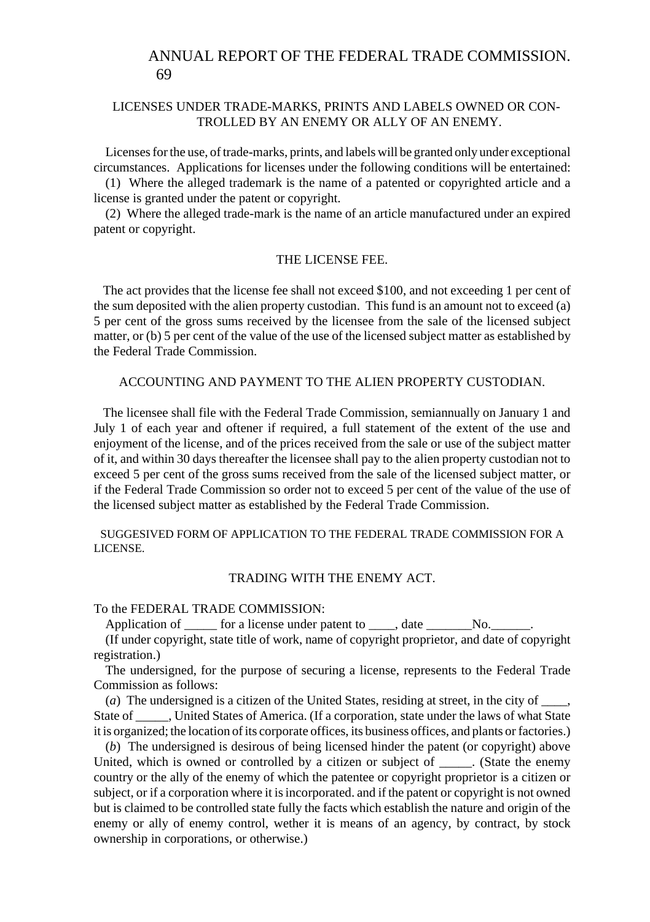# ANNUAL REPORT OF THE FEDERAL TRADE COMMISSION. 69

### LICENSES UNDER TRADE-MARKS, PRINTS AND LABELS OWNED OR CON-TROLLED BY AN ENEMY OR ALLY OF AN ENEMY.

Licenses for the use, of trade-marks, prints, and labels will be granted only under exceptional circumstances. Applications for licenses under the following conditions will be entertained:

(1) Where the alleged trademark is the name of a patented or copyrighted article and a license is granted under the patent or copyright.

(2) Where the alleged trade-mark is the name of an article manufactured under an expired patent or copyright.

#### THE LICENSE FEE.

The act provides that the license fee shall not exceed \$100, and not exceeding 1 per cent of the sum deposited with the alien property custodian. This fund is an amount not to exceed (a) 5 per cent of the gross sums received by the licensee from the sale of the licensed subject matter, or (b) 5 per cent of the value of the use of the licensed subject matter as established by the Federal Trade Commission.

# ACCOUNTING AND PAYMENT TO THE ALIEN PROPERTY CUSTODIAN.

The licensee shall file with the Federal Trade Commission, semiannually on January 1 and July 1 of each year and oftener if required, a full statement of the extent of the use and enjoyment of the license, and of the prices received from the sale or use of the subject matter of it, and within 30 days thereafter the licensee shall pay to the alien property custodian not to exceed 5 per cent of the gross sums received from the sale of the licensed subject matter, or if the Federal Trade Commission so order not to exceed 5 per cent of the value of the use of the licensed subject matter as established by the Federal Trade Commission.

SUGGESIVED FORM OF APPLICATION TO THE FEDERAL TRADE COMMISSION FOR A LICENSE.

### TRADING WITH THE ENEMY ACT.

#### To the FEDERAL TRADE COMMISSION:

Application of  $\Box$  for a license under patent to  $\Box$ , date  $\Box$  No.

(If under copyright, state title of work, name of copyright proprietor, and date of copyright registration.)

The undersigned, for the purpose of securing a license, represents to the Federal Trade Commission as follows:

(*a*) The undersigned is a citizen of the United States, residing at street, in the city of \_\_\_ State of \_\_\_\_\_, United States of America. (If a corporation, state under the laws of what State it is organized; the location ofits corporate offices, its business offices, and plants or factories.)

(*b*) The undersigned is desirous of being licensed hinder the patent (or copyright) above United, which is owned or controlled by a citizen or subject of \_\_\_\_\_. (State the enemy country or the ally of the enemy of which the patentee or copyright proprietor is a citizen or subject, or if a corporation where it isincorporated. and if the patent or copyright is not owned but is claimed to be controlled state fully the facts which establish the nature and origin of the enemy or ally of enemy control, wether it is means of an agency, by contract, by stock ownership in corporations, or otherwise.)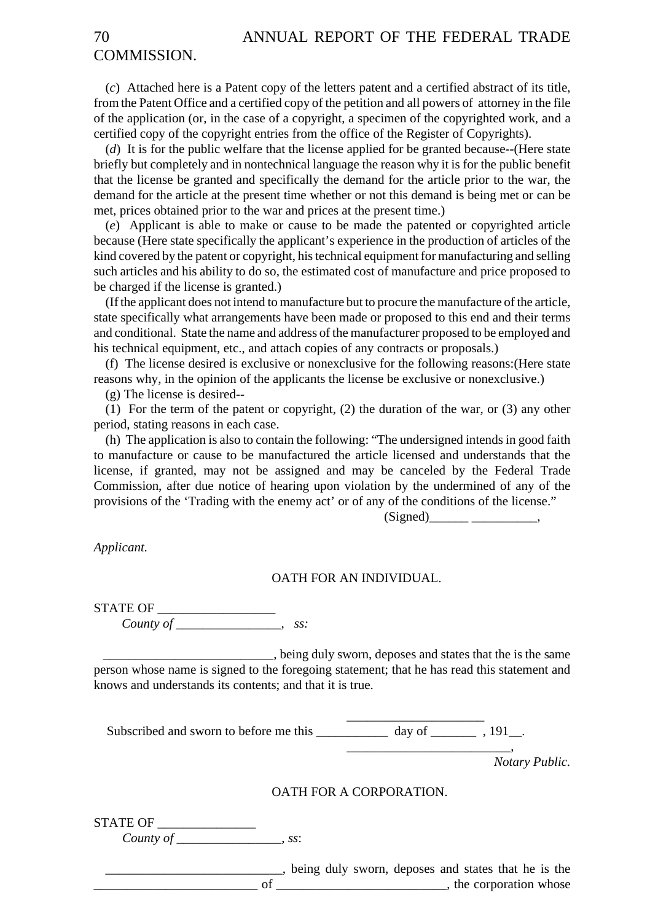(*c*) Attached here is a Patent copy of the letters patent and a certified abstract of its title, from the Patent Office and a certified copy of the petition and all powers of attorney in the file of the application (or, in the case of a copyright, a specimen of the copyrighted work, and a certified copy of the copyright entries from the office of the Register of Copyrights).

(*d*) It is for the public welfare that the license applied for be granted because--(Here state briefly but completely and in nontechnical language the reason why it is for the public benefit that the license be granted and specifically the demand for the article prior to the war, the demand for the article at the present time whether or not this demand is being met or can be met, prices obtained prior to the war and prices at the present time.)

(*e*) Applicant is able to make or cause to be made the patented or copyrighted article because (Here state specifically the applicant's experience in the production of articles of the kind covered by the patent or copyright, histechnical equipment for manufacturing and selling such articles and his ability to do so, the estimated cost of manufacture and price proposed to be charged if the license is granted.)

(Ifthe applicant does not intend to manufacture but to procure the manufacture ofthe article, state specifically what arrangements have been made or proposed to this end and their terms and conditional. State the name and address of the manufacturer proposed to be employed and his technical equipment, etc., and attach copies of any contracts or proposals.)

(f) The license desired is exclusive or nonexclusive for the following reasons:(Here state reasons why, in the opinion of the applicants the license be exclusive or nonexclusive.)

(g) The license is desired--

(1) For the term of the patent or copyright, (2) the duration of the war, or (3) any other period, stating reasons in each case.

(h) The application is also to contain the following: "The undersigned intends in good faith to manufacture or cause to be manufactured the article licensed and understands that the license, if granted, may not be assigned and may be canceled by the Federal Trade Commission, after due notice of hearing upon violation by the undermined of any of the provisions of the 'Trading with the enemy act' or of any of the conditions of the license."

 $(Signed)$ 

*Applicant.*

#### OATH FOR AN INDIVIDUAL.

STATE OF \_\_\_\_\_\_\_\_\_\_\_\_\_\_\_\_\_\_ *County of* \_\_\_\_\_\_\_\_\_\_\_\_\_\_\_\_, *ss:*

\_\_\_\_\_\_\_\_\_\_\_\_\_\_\_\_\_\_\_\_\_\_\_\_\_\_, being duly sworn, deposes and states that the is the same person whose name is signed to the foregoing statement; that he has read this statement and knows and understands its contents; and that it is true.

Subscribed and sworn to before me this \_\_\_\_\_\_\_\_\_\_\_\_\_ day of \_\_\_\_\_\_\_\_\_\_, 191\_\_\_.

*Notary Public.*

#### OATH FOR A CORPORATION.

\_\_\_\_\_\_\_\_\_\_\_\_\_\_\_\_\_\_\_\_\_

\_\_\_\_\_\_\_\_\_\_\_\_\_\_\_\_\_\_\_\_\_\_\_\_\_,

STATE OF \_\_\_\_\_\_\_\_\_\_\_\_\_\_\_ *County of* \_\_\_\_\_\_\_\_\_\_\_\_\_\_\_\_, *ss*: \_\_\_\_\_\_\_\_\_\_\_\_\_\_\_\_\_\_\_\_\_\_\_\_\_\_\_, being duly sworn, deposes and states that he is the

 $\frac{1}{\sqrt{1-\frac{1}{2}}}\text{ of } \frac{1}{\sqrt{1-\frac{1}{2}}}\text{ of } \frac{1}{\sqrt{1-\frac{1}{2}}}\text{ of } \frac{1}{\sqrt{1-\frac{1}{2}}}\text{ of } \frac{1}{\sqrt{1-\frac{1}{2}}}\text{ of } \frac{1}{\sqrt{1-\frac{1}{2}}}\text{ of } \frac{1}{\sqrt{1-\frac{1}{2}}}\text{ of } \frac{1}{\sqrt{1-\frac{1}{2}}}\text{ of } \frac{1}{\sqrt{1-\frac{1}{2}}}\text{ of } \frac{1}{\sqrt{1-\frac{1}{2}}}\text{ of } \frac{1}{\sqrt{1-\$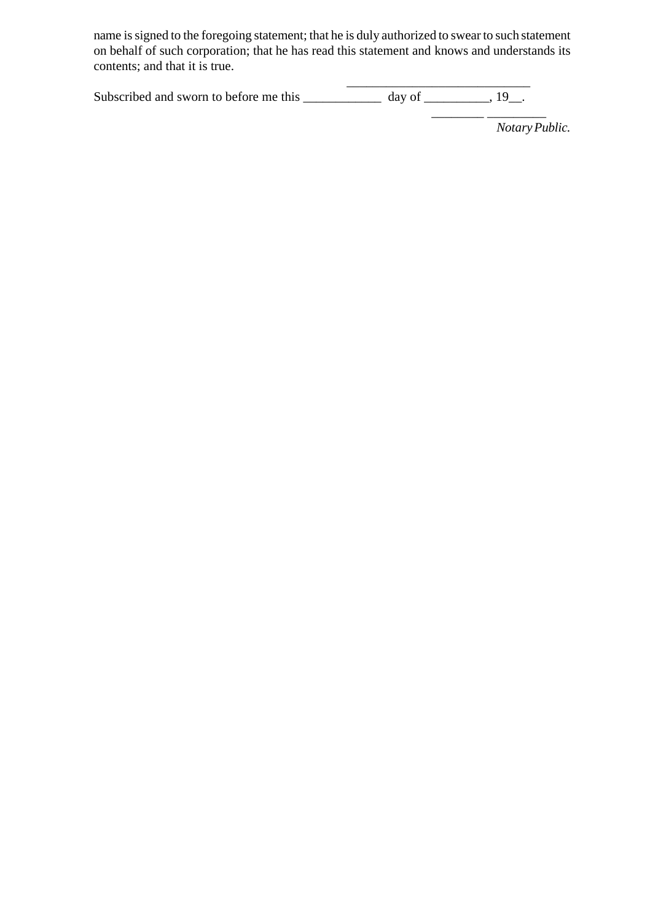name issigned to the foregoing statement; that he is duly authorized to swearto such statement on behalf of such corporation; that he has read this statement and knows and understands its contents; and that it is true.

\_\_\_\_\_\_\_\_\_\_\_\_\_\_\_\_\_\_\_\_\_\_\_\_\_\_\_\_ Subscribed and sworn to before me this \_\_\_\_\_\_\_\_\_\_\_\_\_\_ day of \_\_\_\_\_\_\_\_\_, 19\_.

*Notary Public.*

 $\overline{\phantom{a}}$  .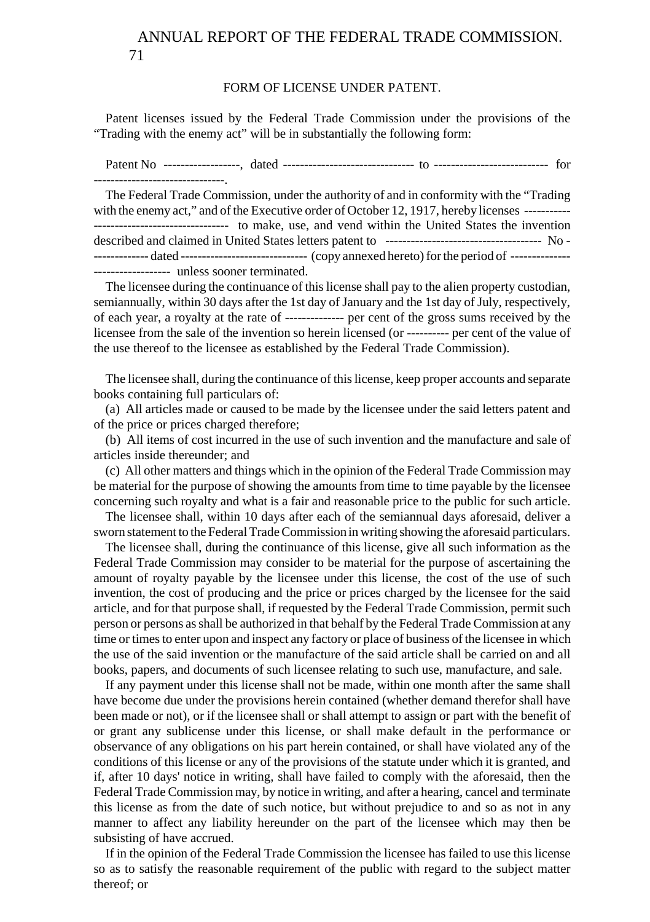# ANNUAL REPORT OF THE FEDERAL TRADE COMMISSION. 71

#### FORM OF LICENSE UNDER PATENT.

Patent licenses issued by the Federal Trade Commission under the provisions of the "Trading with the enemy act" will be in substantially the following form:

Patent No ------------------, dated ------------------------------- to --------------------------- for -------------------------------.

The Federal Trade Commission, under the authority of and in conformity with the "Trading with the enemy act," and of the Executive order of October 12, 1917, hereby licenses ------------------------------------------- to make, use, and vend within the United States the invention described and claimed in United States letters patent to ------------------------------------- No - ------------- dated ------------------------------ (copy annexed hereto) for the period of -------------- ------------------ unless sooner terminated.

The licensee during the continuance of thislicense shall pay to the alien property custodian, semiannually, within 30 days after the 1st day of January and the 1st day of July, respectively, of each year, a royalty at the rate of -------------- per cent of the gross sums received by the licensee from the sale of the invention so herein licensed (or ---------- per cent of the value of the use thereof to the licensee as established by the Federal Trade Commission).

The licensee shall, during the continuance of thislicense, keep proper accounts and separate books containing full particulars of:

(a) All articles made or caused to be made by the licensee under the said letters patent and of the price or prices charged therefore;

(b) All items of cost incurred in the use of such invention and the manufacture and sale of articles inside thereunder; and

(c) All other matters and things which in the opinion of the Federal Trade Commission may be material for the purpose of showing the amounts from time to time payable by the licensee concerning such royalty and what is a fair and reasonable price to the public for such article.

The licensee shall, within 10 days after each of the semiannual days aforesaid, deliver a sworn statement to the Federal Trade Commission in writing showing the aforesaid particulars.

The licensee shall, during the continuance of this license, give all such information as the Federal Trade Commission may consider to be material for the purpose of ascertaining the amount of royalty payable by the licensee under this license, the cost of the use of such invention, the cost of producing and the price or prices charged by the licensee for the said article, and for that purpose shall, if requested by the Federal Trade Commission, permit such person or persons asshall be authorized in that behalf by the Federal Trade Commission at any time or times to enter upon and inspect any factory or place of business of the licensee in which the use of the said invention or the manufacture of the said article shall be carried on and all books, papers, and documents of such licensee relating to such use, manufacture, and sale.

If any payment under this license shall not be made, within one month after the same shall have become due under the provisions herein contained (whether demand therefor shall have been made or not), or if the licensee shall or shall attempt to assign or part with the benefit of or grant any sublicense under this license, or shall make default in the performance or observance of any obligations on his part herein contained, or shall have violated any of the conditions of this license or any of the provisions of the statute under which it is granted, and if, after 10 days' notice in writing, shall have failed to comply with the aforesaid, then the Federal Trade Commissionmay, by notice in writing, and after a hearing, cancel and terminate this license as from the date of such notice, but without prejudice to and so as not in any manner to affect any liability hereunder on the part of the licensee which may then be subsisting of have accrued.

If in the opinion of the Federal Trade Commission the licensee has failed to use this license so as to satisfy the reasonable requirement of the public with regard to the subject matter thereof; or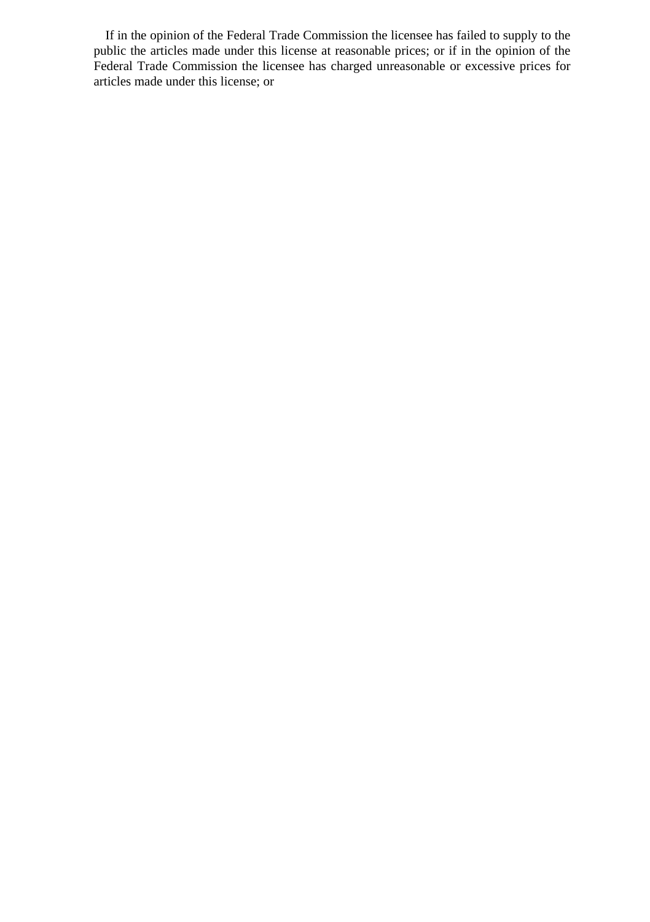If in the opinion of the Federal Trade Commission the licensee has failed to supply to the public the articles made under this license at reasonable prices; or if in the opinion of the Federal Trade Commission the licensee has charged unreasonable or excessive prices for articles made under this license; or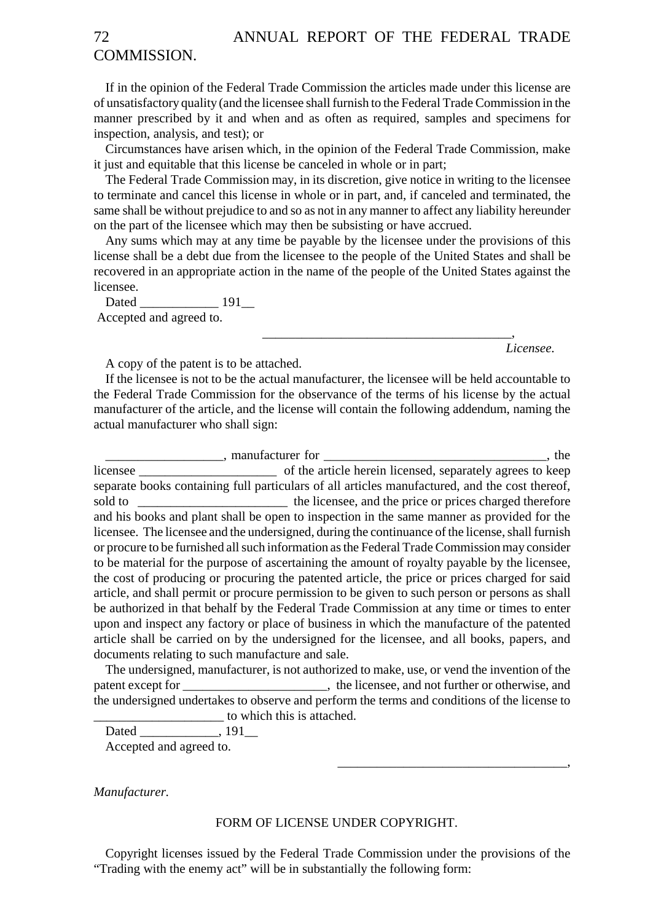If in the opinion of the Federal Trade Commission the articles made under this license are of unsatisfactory quality (and the licensee shall furnish to the Federal Trade Commission in the manner prescribed by it and when and as often as required, samples and specimens for inspection, analysis, and test); or

Circumstances have arisen which, in the opinion of the Federal Trade Commission, make it just and equitable that this license be canceled in whole or in part;

The Federal Trade Commission may, in its discretion, give notice in writing to the licensee to terminate and cancel this license in whole or in part, and, if canceled and terminated, the same shall be without prejudice to and so as not in any manner to affect any liability hereunder on the part of the licensee which may then be subsisting or have accrued.

Any sums which may at any time be payable by the licensee under the provisions of this license shall be a debt due from the licensee to the people of the United States and shall be recovered in an appropriate action in the name of the people of the United States against the licensee.

Dated 191 Accepted and agreed to.

*Licensee.*

A copy of the patent is to be attached.

If the licensee is not to be the actual manufacturer, the licensee will be held accountable to the Federal Trade Commission for the observance of the terms of his license by the actual manufacturer of the article, and the license will contain the following addendum, naming the actual manufacturer who shall sign:

\_\_\_\_\_\_\_\_\_\_\_\_\_\_\_\_\_\_\_\_\_\_\_\_\_\_\_\_\_\_\_\_\_\_\_\_\_\_,

\_\_\_\_\_\_\_\_\_\_\_\_\_\_\_\_\_\_, manufacturer for \_\_\_\_\_\_\_\_\_\_\_\_\_\_\_\_\_\_\_\_\_\_\_\_\_\_\_\_\_\_\_\_\_\_, the licensee \_\_\_\_\_\_\_\_\_\_\_\_\_\_\_\_\_\_\_\_\_ of the article herein licensed, separately agrees to keep separate books containing full particulars of all articles manufactured, and the cost thereof, sold to \_\_\_\_\_\_\_\_\_\_\_\_\_\_\_\_\_\_\_\_\_\_\_\_ the licensee, and the price or prices charged therefore and his books and plant shall be open to inspection in the same manner as provided for the licensee. The licensee and the undersigned, during the continuance of the license, shall furnish or procure to be furnished allsuch information asthe Federal Trade Commissionmay consider to be material for the purpose of ascertaining the amount of royalty payable by the licensee, the cost of producing or procuring the patented article, the price or prices charged for said article, and shall permit or procure permission to be given to such person or persons as shall be authorized in that behalf by the Federal Trade Commission at any time or times to enter upon and inspect any factory or place of business in which the manufacture of the patented article shall be carried on by the undersigned for the licensee, and all books, papers, and documents relating to such manufacture and sale.

The undersigned, manufacturer, is not authorized to make, use, or vend the invention of the patent except for \_\_\_\_\_\_\_\_\_\_\_\_\_\_\_\_\_\_\_\_\_, the licensee, and not further or otherwise, and the undersigned undertakes to observe and perform the terms and conditions of the license to \_\_\_\_\_\_\_\_\_\_\_\_\_\_\_\_\_\_\_\_ to which this is attached.

Dated \_\_\_\_\_\_\_\_\_\_\_\_, 191\_\_ Accepted and agreed to.

*Manufacturer.*

#### FORM OF LICENSE UNDER COPYRIGHT.

\_\_\_\_\_\_\_\_\_\_\_\_\_\_\_\_\_\_\_\_\_\_\_\_\_\_\_\_\_\_\_\_\_\_\_,

Copyright licenses issued by the Federal Trade Commission under the provisions of the "Trading with the enemy act" will be in substantially the following form: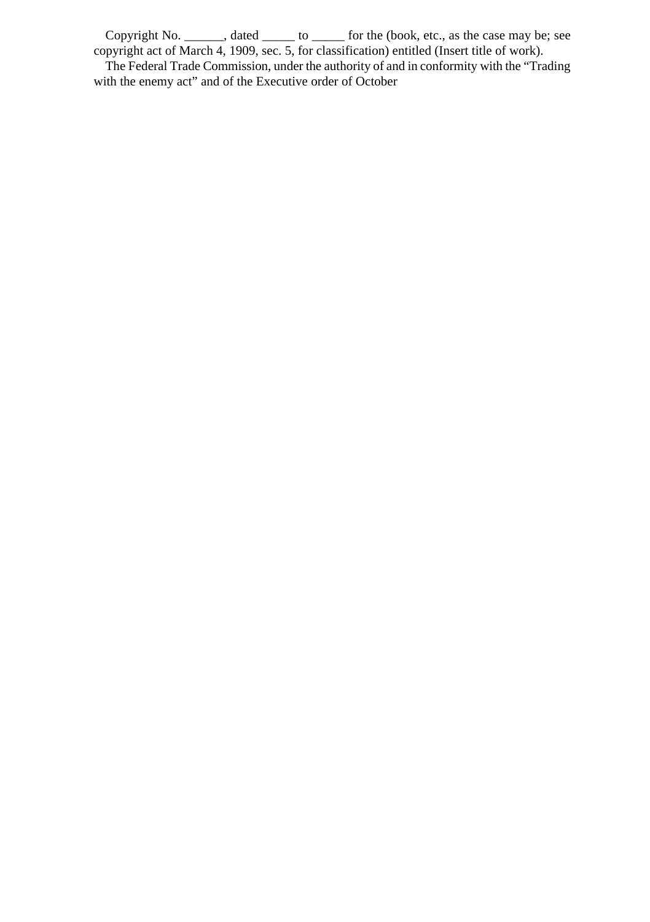Copyright No. \_\_\_\_\_\_, dated \_\_\_\_\_ to \_\_\_\_\_ for the (book, etc., as the case may be; see copyright act of March 4, 1909, sec. 5, for classification) entitled (Insert title of work).

The Federal Trade Commission, under the authority of and in conformity with the "Trading with the enemy act" and of the Executive order of October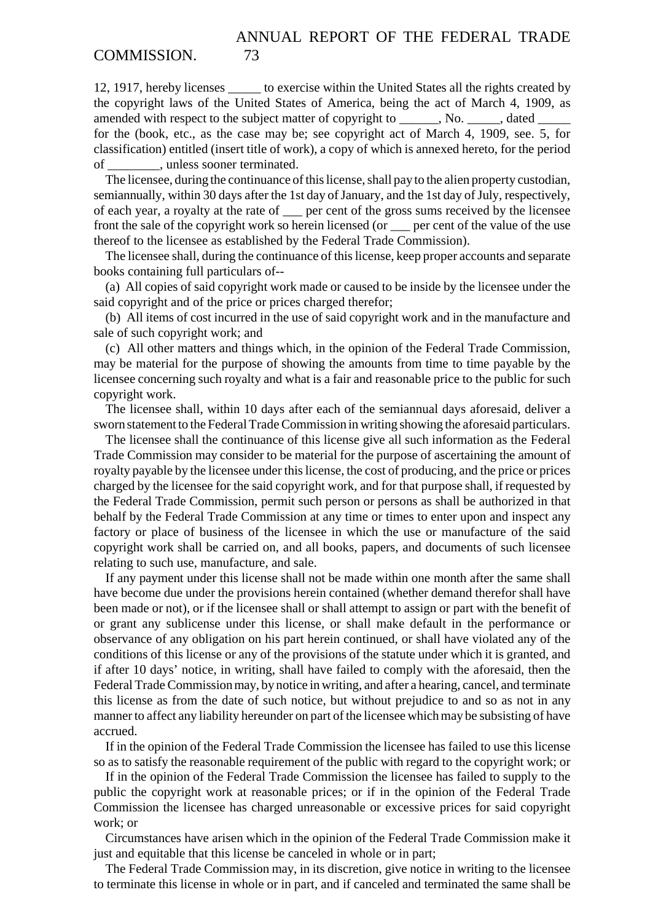# ANNUAL REPORT OF THE FEDERAL TRADE

# COMMISSION. 73

12, 1917, hereby licenses to exercise within the United States all the rights created by the copyright laws of the United States of America, being the act of March 4, 1909, as amended with respect to the subject matter of copyright to \_\_\_\_\_\_, No. \_\_\_\_\_, dated \_ for the (book, etc., as the case may be; see copyright act of March 4, 1909, see. 5, for classification) entitled (insert title of work), a copy of which is annexed hereto, for the period of \_\_\_\_\_\_\_\_, unless sooner terminated.

The licensee, during the continuance of this license, shall pay to the alien property custodian, semiannually, within 30 days after the 1st day of January, and the 1st day of July, respectively, of each year, a royalty at the rate of \_\_\_ per cent of the gross sums received by the licensee front the sale of the copyright work so herein licensed (or \_\_\_ per cent of the value of the use thereof to the licensee as established by the Federal Trade Commission).

The licensee shall, during the continuance of this license, keep proper accounts and separate books containing full particulars of--

(a) All copies of said copyright work made or caused to be inside by the licensee under the said copyright and of the price or prices charged therefor;

(b) All items of cost incurred in the use of said copyright work and in the manufacture and sale of such copyright work; and

(c) All other matters and things which, in the opinion of the Federal Trade Commission, may be material for the purpose of showing the amounts from time to time payable by the licensee concerning such royalty and what is a fair and reasonable price to the public for such copyright work.

The licensee shall, within 10 days after each of the semiannual days aforesaid, deliver a sworn statement to the FederalTradeCommission in writing showing the aforesaid particulars.

The licensee shall the continuance of this license give all such information as the Federal Trade Commission may consider to be material for the purpose of ascertaining the amount of royalty payable by the licensee under thislicense, the cost of producing, and the price or prices charged by the licensee for the said copyright work, and for that purpose shall, if requested by the Federal Trade Commission, permit such person or persons as shall be authorized in that behalf by the Federal Trade Commission at any time or times to enter upon and inspect any factory or place of business of the licensee in which the use or manufacture of the said copyright work shall be carried on, and all books, papers, and documents of such licensee relating to such use, manufacture, and sale.

If any payment under this license shall not be made within one month after the same shall have become due under the provisions herein contained (whether demand therefor shall have been made or not), or if the licensee shall or shall attempt to assign or part with the benefit of or grant any sublicense under this license, or shall make default in the performance or observance of any obligation on his part herein continued, or shall have violated any of the conditions of this license or any of the provisions of the statute under which it is granted, and if after 10 days' notice, in writing, shall have failed to comply with the aforesaid, then the Federal Trade Commission may, by notice in writing, and after a hearing, cancel, and terminate this license as from the date of such notice, but without prejudice to and so as not in any manner to affect any liability hereunder on part of the licensee which may be subsisting of have accrued.

If in the opinion of the Federal Trade Commission the licensee has failed to use this license so as to satisfy the reasonable requirement of the public with regard to the copyright work; or

If in the opinion of the Federal Trade Commission the licensee has failed to supply to the public the copyright work at reasonable prices; or if in the opinion of the Federal Trade Commission the licensee has charged unreasonable or excessive prices for said copyright work; or

Circumstances have arisen which in the opinion of the Federal Trade Commission make it just and equitable that this license be canceled in whole or in part;

The Federal Trade Commission may, in its discretion, give notice in writing to the licensee to terminate this license in whole or in part, and if canceled and terminated the same shall be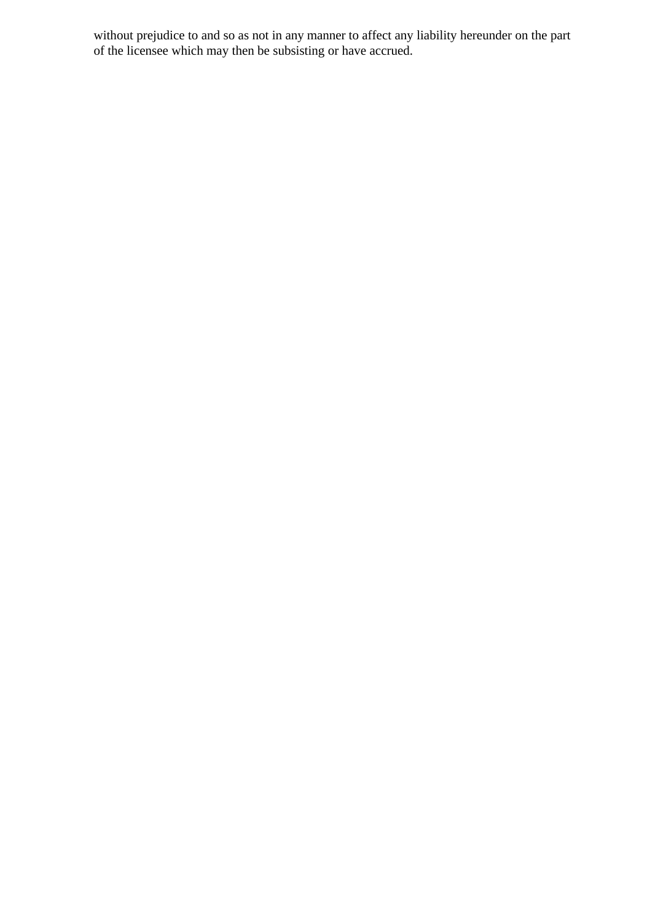without prejudice to and so as not in any manner to affect any liability hereunder on the part of the licensee which may then be subsisting or have accrued.